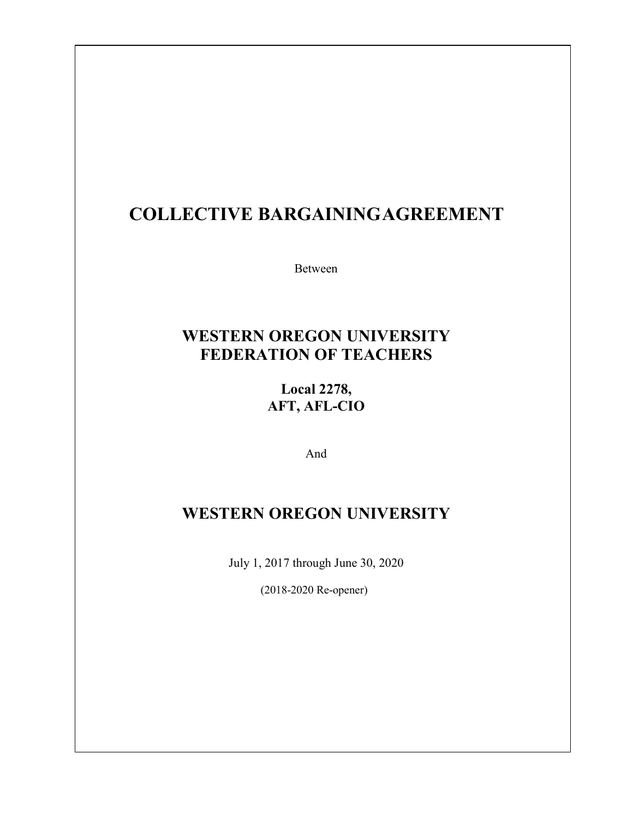# **COLLECTIVE BARGAININGAGREEMENT**

Between

### **WESTERN OREGON UNIVERSITY FEDERATION OF TEACHERS**

**Local 2278, AFT, AFL-CIO**

And

### **WESTERN OREGON UNIVERSITY**

July 1, 2017 through June 30, 2020

(2018-2020 Re-opener)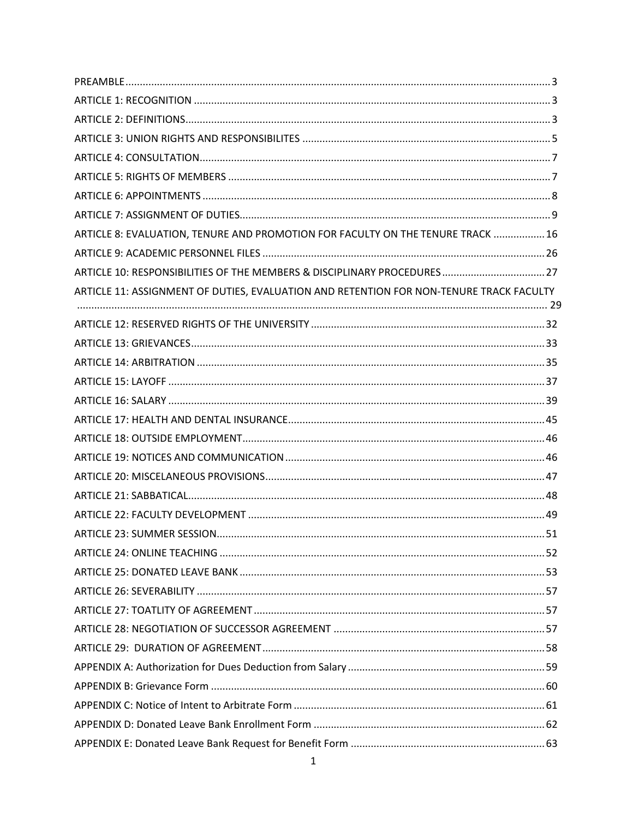| ARTICLE 8: EVALUATION, TENURE AND PROMOTION FOR FACULTY ON THE TENURE TRACK  16         |  |
|-----------------------------------------------------------------------------------------|--|
|                                                                                         |  |
|                                                                                         |  |
| ARTICLE 11: ASSIGNMENT OF DUTIES, EVALUATION AND RETENTION FOR NON-TENURE TRACK FACULTY |  |
|                                                                                         |  |
|                                                                                         |  |
|                                                                                         |  |
|                                                                                         |  |
|                                                                                         |  |
|                                                                                         |  |
|                                                                                         |  |
|                                                                                         |  |
|                                                                                         |  |
|                                                                                         |  |
|                                                                                         |  |
|                                                                                         |  |
|                                                                                         |  |
|                                                                                         |  |
|                                                                                         |  |
|                                                                                         |  |
|                                                                                         |  |
|                                                                                         |  |
|                                                                                         |  |
|                                                                                         |  |
|                                                                                         |  |
|                                                                                         |  |
|                                                                                         |  |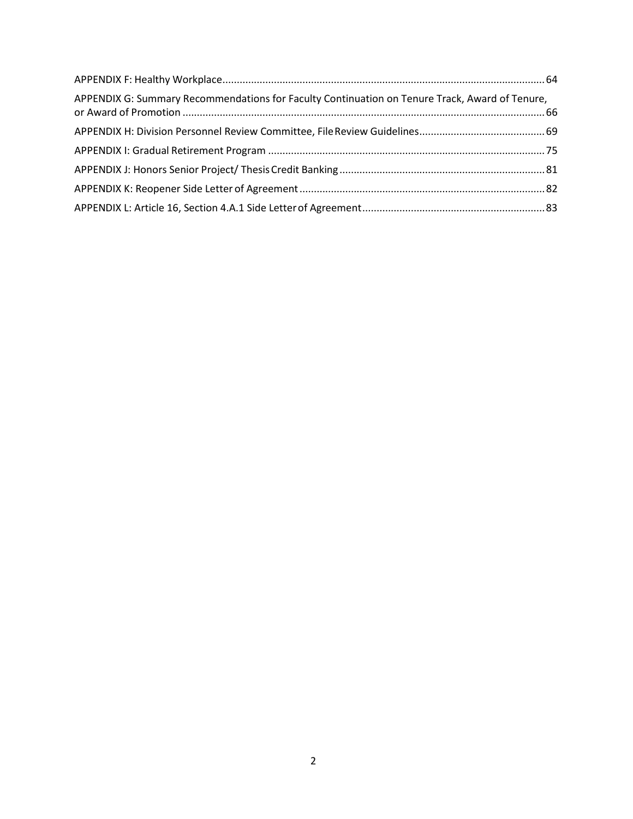| APPENDIX G: Summary Recommendations for Faculty Continuation on Tenure Track, Award of Tenure, |  |
|------------------------------------------------------------------------------------------------|--|
|                                                                                                |  |
|                                                                                                |  |
|                                                                                                |  |
|                                                                                                |  |
|                                                                                                |  |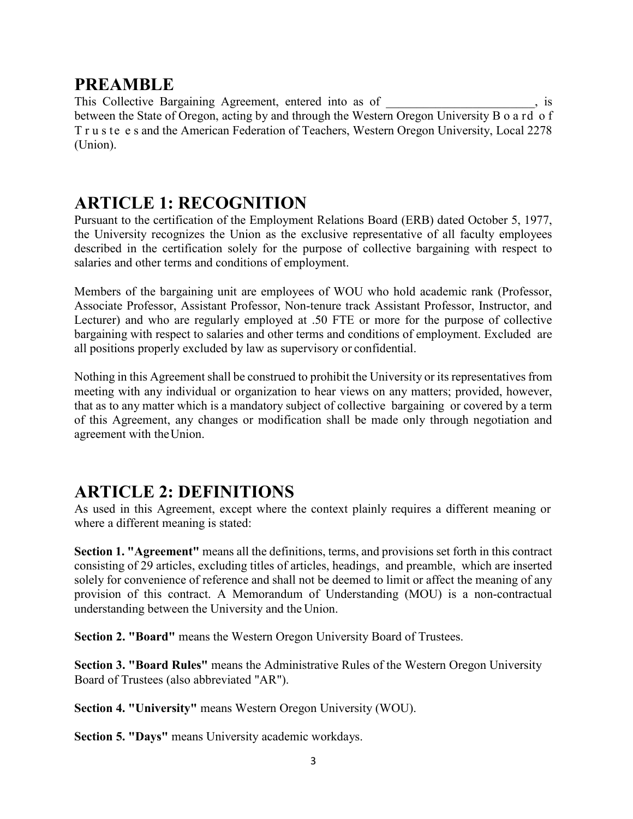### <span id="page-3-0"></span>**PREAMBLE**

This Collective Bargaining Agreement, entered into as of  $\cdot$ , is between the State of Oregon, acting by and through the Western Oregon University B o a rd o f T r u s te e s and the American Federation of Teachers, Western Oregon University, Local 2278 (Union).

## <span id="page-3-1"></span>**ARTICLE 1: RECOGNITION**

Pursuant to the certification of the Employment Relations Board (ERB) dated October 5, 1977, the University recognizes the Union as the exclusive representative of all faculty employees described in the certification solely for the purpose of collective bargaining with respect to salaries and other terms and conditions of employment.

Members of the bargaining unit are employees of WOU who hold academic rank (Professor, Associate Professor, Assistant Professor, Non-tenure track Assistant Professor, Instructor, and Lecturer) and who are regularly employed at .50 FTE or more for the purpose of collective bargaining with respect to salaries and other terms and conditions of employment. Excluded are all positions properly excluded by law as supervisory or confidential.

Nothing in this Agreement shall be construed to prohibit the University or its representatives from meeting with any individual or organization to hear views on any matters; provided, however, that as to any matter which is a mandatory subject of collective bargaining or covered by a term of this Agreement, any changes or modification shall be made only through negotiation and agreement with theUnion.

## <span id="page-3-2"></span>**ARTICLE 2: DEFINITIONS**

As used in this Agreement, except where the context plainly requires a different meaning or where a different meaning is stated:

**Section 1. "Agreement"** means all the definitions, terms, and provisions set forth in this contract consisting of 29 articles, excluding titles of articles, headings, and preamble, which are inserted solely for convenience of reference and shall not be deemed to limit or affect the meaning of any provision of this contract. A Memorandum of Understanding (MOU) is a non-contractual understanding between the University and the Union.

**Section 2. "Board"** means the Western Oregon University Board of Trustees.

**Section 3. "Board Rules"** means the Administrative Rules of the Western Oregon University Board of Trustees (also abbreviated "AR").

**Section 4. "University"** means Western Oregon University (WOU).

**Section 5. "Days"** means University academic workdays.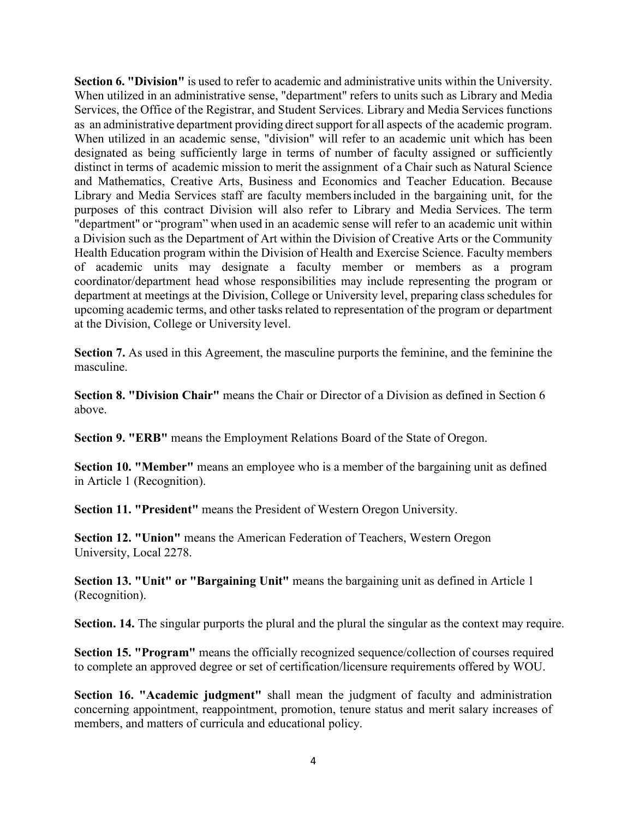**Section 6. "Division"** is used to refer to academic and administrative units within the University. When utilized in an administrative sense, "department" refers to units such as Library and Media Services, the Office of the Registrar, and Student Services. Library and Media Services functions as an administrative department providing direct support for all aspects of the academic program. When utilized in an academic sense, "division" will refer to an academic unit which has been designated as being sufficiently large in terms of number of faculty assigned or sufficiently distinct in terms of academic mission to merit the assignment of a Chair such as Natural Science and Mathematics, Creative Arts, Business and Economics and Teacher Education. Because Library and Media Services staff are faculty membersincluded in the bargaining unit, for the purposes of this contract Division will also refer to Library and Media Services. The term "department" or "program" when used in an academic sense will refer to an academic unit within a Division such as the Department of Art within the Division of Creative Arts or the Community Health Education program within the Division of Health and Exercise Science. Faculty members of academic units may designate a faculty member or members as a program coordinator/department head whose responsibilities may include representing the program or department at meetings at the Division, College or University level, preparing class schedules for upcoming academic terms, and other tasks related to representation of the program or department at the Division, College or University level.

**Section 7.** As used in this Agreement, the masculine purports the feminine, and the feminine the masculine.

**Section 8. "Division Chair"** means the Chair or Director of a Division as defined in Section 6 above.

**Section 9. "ERB"** means the Employment Relations Board of the State of Oregon.

**Section 10. "Member"** means an employee who is a member of the bargaining unit as defined in Article 1 (Recognition).

**Section 11. "President"** means the President of Western Oregon University.

**Section 12. "Union"** means the American Federation of Teachers, Western Oregon University, Local 2278.

**Section 13. "Unit" or "Bargaining Unit"** means the bargaining unit as defined in Article 1 (Recognition).

**Section. 14.** The singular purports the plural and the plural the singular as the context may require.

**Section 15. "Program"** means the officially recognized sequence/collection of courses required to complete an approved degree or set of certification/licensure requirements offered by WOU.

**Section 16. "Academic judgment"** shall mean the judgment of faculty and administration concerning appointment, reappointment, promotion, tenure status and merit salary increases of members, and matters of curricula and educational policy.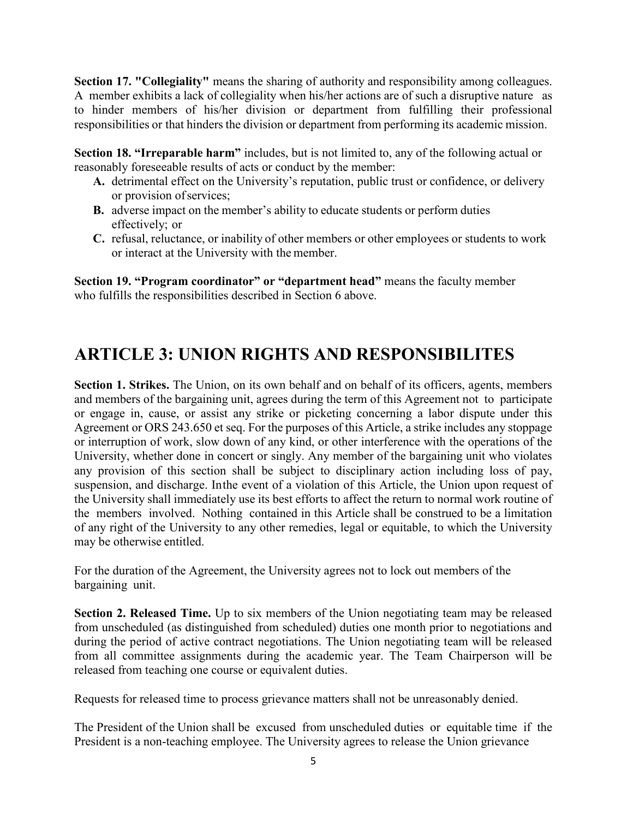**Section 17. "Collegiality"** means the sharing of authority and responsibility among colleagues. A member exhibits a lack of collegiality when his/her actions are of such a disruptive nature as to hinder members of his/her division or department from fulfilling their professional responsibilities or that hinders the division or department from performing its academic mission.

**Section 18. "Irreparable harm"** includes, but is not limited to, any of the following actual or reasonably foreseeable results of acts or conduct by the member:

- **A.** detrimental effect on the University's reputation, public trust or confidence, or delivery or provision ofservices;
- **B.** adverse impact on the member's ability to educate students or perform duties effectively; or
- **C.** refusal, reluctance, or inability of other members or other employees or students to work or interact at the University with the member.

**Section 19. "Program coordinator" or "department head"** means the faculty member who fulfills the responsibilities described in Section 6 above.

## <span id="page-5-0"></span>**ARTICLE 3: UNION RIGHTS AND RESPONSIBILITES**

**Section 1. Strikes.** The Union, on its own behalf and on behalf of its officers, agents, members and members of the bargaining unit, agrees during the term of this Agreement not to participate or engage in, cause, or assist any strike or picketing concerning a labor dispute under this Agreement or ORS 243.650 et seq. For the purposes of this Article, a strike includes any stoppage or interruption of work, slow down of any kind, or other interference with the operations of the University, whether done in concert or singly. Any member of the bargaining unit who violates any provision of this section shall be subject to disciplinary action including loss of pay, suspension, and discharge. Inthe event of a violation of this Article, the Union upon request of the University shall immediately use its best efforts to affect the return to normal work routine of the members involved. Nothing contained in this Article shall be construed to be a limitation of any right of the University to any other remedies, legal or equitable, to which the University may be otherwise entitled.

For the duration of the Agreement, the University agrees not to lock out members of the bargaining unit.

**Section 2. Released Time.** Up to six members of the Union negotiating team may be released from unscheduled (as distinguished from scheduled) duties one month prior to negotiations and during the period of active contract negotiations. The Union negotiating team will be released from all committee assignments during the academic year. The Team Chairperson will be released from teaching one course or equivalent duties.

Requests for released time to process grievance matters shall not be unreasonably denied.

The President of the Union shall be excused from unscheduled duties or equitable time if the President is a non-teaching employee. The University agrees to release the Union grievance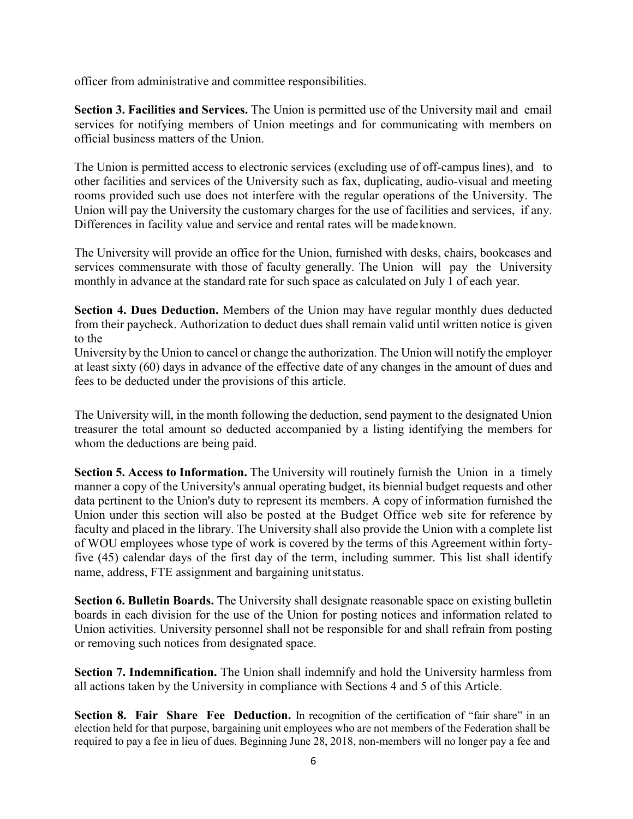officer from administrative and committee responsibilities.

**Section 3. Facilities and Services.** The Union is permitted use of the University mail and email services for notifying members of Union meetings and for communicating with members on official business matters of the Union.

The Union is permitted access to electronic services (excluding use of off-campus lines), and to other facilities and services of the University such as fax, duplicating, audio-visual and meeting rooms provided such use does not interfere with the regular operations of the University. The Union will pay the University the customary charges for the use of facilities and services, if any. Differences in facility value and service and rental rates will be madeknown.

The University will provide an office for the Union, furnished with desks, chairs, bookcases and services commensurate with those of faculty generally. The Union will pay the University monthly in advance at the standard rate for such space as calculated on July 1 of each year.

**Section 4. Dues Deduction.** Members of the Union may have regular monthly dues deducted from their paycheck. Authorization to deduct dues shall remain valid until written notice is given to the

University by the Union to cancel or change the authorization. The Union will notify the employer at least sixty (60) days in advance of the effective date of any changes in the amount of dues and fees to be deducted under the provisions of this article.

The University will, in the month following the deduction, send payment to the designated Union treasurer the total amount so deducted accompanied by a listing identifying the members for whom the deductions are being paid.

**Section 5. Access to Information.** The University will routinely furnish the Union in a timely manner a copy of the University's annual operating budget, its biennial budget requests and other data pertinent to the Union's duty to represent its members. A copy of information furnished the Union under this section will also be posted at the Budget Office web site for reference by faculty and placed in the library. The University shall also provide the Union with a complete list of WOU employees whose type of work is covered by the terms of this Agreement within fortyfive (45) calendar days of the first day of the term, including summer. This list shall identify name, address, FTE assignment and bargaining unitstatus.

**Section 6. Bulletin Boards.** The University shall designate reasonable space on existing bulletin boards in each division for the use of the Union for posting notices and information related to Union activities. University personnel shall not be responsible for and shall refrain from posting or removing such notices from designated space.

**Section 7. Indemnification.** The Union shall indemnify and hold the University harmless from all actions taken by the University in compliance with Sections 4 and 5 of this Article.

**Section 8. Fair Share Fee Deduction.** In recognition of the certification of "fair share" in an election held for that purpose, bargaining unit employees who are not members of the Federation shall be required to pay a fee in lieu of dues. Beginning June 28, 2018, non-members will no longer pay a fee and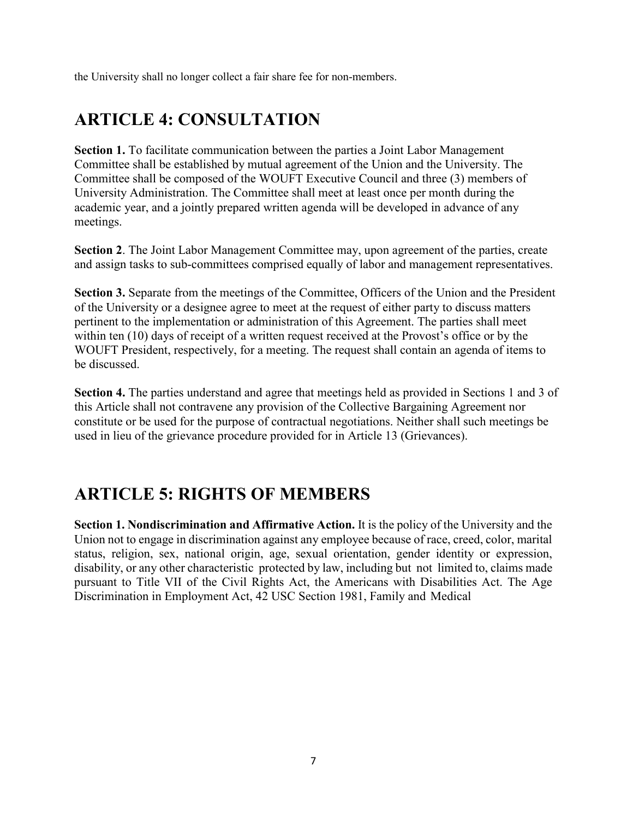the University shall no longer collect a fair share fee for non-members.

# <span id="page-7-0"></span>**ARTICLE 4: CONSULTATION**

**Section 1.** To facilitate communication between the parties a Joint Labor Management Committee shall be established by mutual agreement of the Union and the University. The Committee shall be composed of the WOUFT Executive Council and three (3) members of University Administration. The Committee shall meet at least once per month during the academic year, and a jointly prepared written agenda will be developed in advance of any meetings.

**Section 2**. The Joint Labor Management Committee may, upon agreement of the parties, create and assign tasks to sub-committees comprised equally of labor and management representatives.

**Section 3.** Separate from the meetings of the Committee, Officers of the Union and the President of the University or a designee agree to meet at the request of either party to discuss matters pertinent to the implementation or administration of this Agreement. The parties shall meet within ten (10) days of receipt of a written request received at the Provost's office or by the WOUFT President, respectively, for a meeting. The request shall contain an agenda of items to be discussed.

**Section 4.** The parties understand and agree that meetings held as provided in Sections 1 and 3 of this Article shall not contravene any provision of the Collective Bargaining Agreement nor constitute or be used for the purpose of contractual negotiations. Neither shall such meetings be used in lieu of the grievance procedure provided for in Article 13 (Grievances).

### <span id="page-7-1"></span>**ARTICLE 5: RIGHTS OF MEMBERS**

**Section 1. Nondiscrimination and Affirmative Action.** It is the policy of the University and the Union not to engage in discrimination against any employee because of race, creed, color, marital status, religion, sex, national origin, age, sexual orientation, gender identity or expression, disability, or any other characteristic protected by law, including but not limited to, claims made pursuant to Title VII of the Civil Rights Act, the Americans with Disabilities Act. The Age Discrimination in Employment Act, 42 USC Section 1981, Family and Medical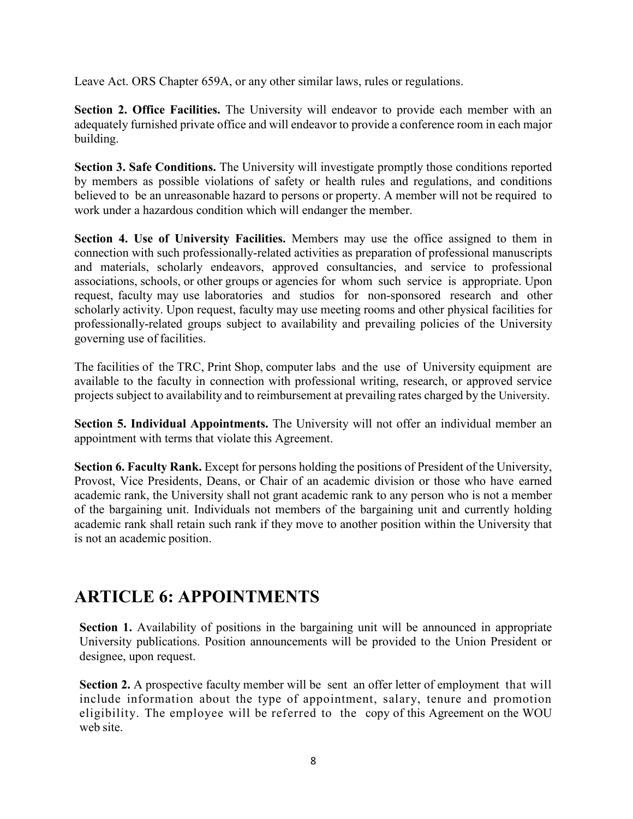Leave Act. ORS Chapter 659A, or any other similar laws, rules or regulations.

**Section 2. Office Facilities.** The University will endeavor to provide each member with an adequately furnished private office and will endeavor to provide a conference room in each major building.

**Section 3. Safe Conditions.** The University will investigate promptly those conditions reported by members as possible violations of safety or health rules and regulations, and conditions believed to be an unreasonable hazard to persons or property. A member will not be required to work under a hazardous condition which will endanger the member.

**Section 4. Use of University Facilities.** Members may use the office assigned to them in connection with such professionally-related activities as preparation of professional manuscripts and materials, scholarly endeavors, approved consultancies, and service to professional associations, schools, or other groups or agencies for whom such service is appropriate. Upon request, faculty may use laboratories and studios for non-sponsored research and other scholarly activity. Upon request, faculty may use meeting rooms and other physical facilities for professionally-related groups subject to availability and prevailing policies of the University governing use of facilities.

The facilities of the TRC, Print Shop, computer labs and the use of University equipment are available to the faculty in connection with professional writing, research, or approved service projects subject to availability and to reimbursement at prevailing rates charged by the University.

**Section 5. Individual Appointments.** The University will not offer an individual member an appointment with terms that violate this Agreement.

**Section 6. Faculty Rank.** Except for persons holding the positions of President of the University, Provost, Vice Presidents, Deans, or Chair of an academic division or those who have earned academic rank, the University shall not grant academic rank to any person who is not a member of the bargaining unit. Individuals not members of the bargaining unit and currently holding academic rank shall retain such rank if they move to another position within the University that is not an academic position.

## <span id="page-8-0"></span>**ARTICLE 6: APPOINTMENTS**

**Section 1.** Availability of positions in the bargaining unit will be announced in appropriate University publications. Position announcements will be provided to the Union President or designee, upon request.

**Section 2.** A prospective faculty member will be sent an offer letter of employment that will include information about the type of appointment, salary, tenure and promotion eligibility. The employee will be referred to the copy of this Agreement on the WOU web site.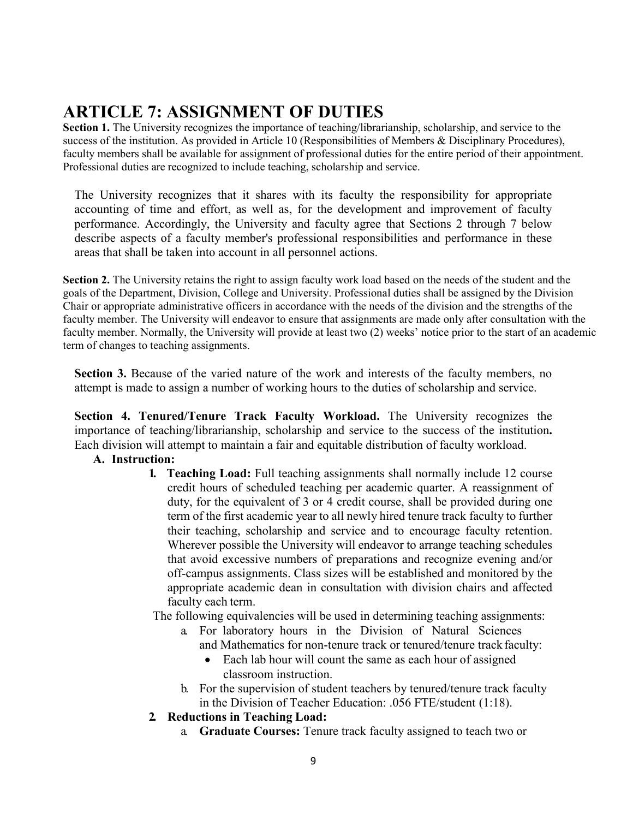# <span id="page-9-0"></span>**ARTICLE 7: ASSIGNMENT OF DUTIES**

**Section 1.** The University recognizes the importance of teaching/librarianship, scholarship, and service to the success of the institution. As provided in Article 10 (Responsibilities of Members & Disciplinary Procedures), faculty members shall be available for assignment of professional duties for the entire period of their appointment. Professional duties are recognized to include teaching, scholarship and service.

The University recognizes that it shares with its faculty the responsibility for appropriate accounting of time and effort, as well as, for the development and improvement of faculty performance. Accordingly, the University and faculty agree that Sections 2 through 7 below describe aspects of a faculty member's professional responsibilities and performance in these areas that shall be taken into account in all personnel actions.

**Section 2.** The University retains the right to assign faculty work load based on the needs of the student and the goals of the Department, Division, College and University. Professional duties shall be assigned by the Division Chair or appropriate administrative officers in accordance with the needs of the division and the strengths of the faculty member. The University will endeavor to ensure that assignments are made only after consultation with the faculty member. Normally, the University will provide at least two (2) weeks' notice prior to the start of an academic term of changes to teaching assignments.

**Section 3.** Because of the varied nature of the work and interests of the faculty members, no attempt is made to assign a number of working hours to the duties of scholarship and service.

**Section 4. Tenured/Tenure Track Faculty Workload.** The University recognizes the importance of teaching/librarianship, scholarship and service to the success of the institution**.**  Each division will attempt to maintain a fair and equitable distribution of faculty workload.

#### **A. Instruction:**

**1. Teaching Load:** Full teaching assignments shall normally include 12 course credit hours of scheduled teaching per academic quarter. A reassignment of duty, for the equivalent of 3 or 4 credit course, shall be provided during one term of the first academic year to all newly hired tenure track faculty to further their teaching, scholarship and service and to encourage faculty retention. Wherever possible the University will endeavor to arrange teaching schedules that avoid excessive numbers of preparations and recognize evening and/or off-campus assignments. Class sizes will be established and monitored by the appropriate academic dean in consultation with division chairs and affected faculty each term.

The following equivalencies will be used in determining teaching assignments:

- a. For laboratory hours in the Division of Natural Sciences and Mathematics for non-tenure track or tenured/tenure track faculty:
	- Each lab hour will count the same as each hour of assigned classroom instruction.
- b. For the supervision of student teachers by tenured/tenure track faculty in the Division of Teacher Education: .056 FTE/student (1:18).
- **2. Reductions in Teaching Load:**
	- a. **Graduate Courses:** Tenure track faculty assigned to teach two or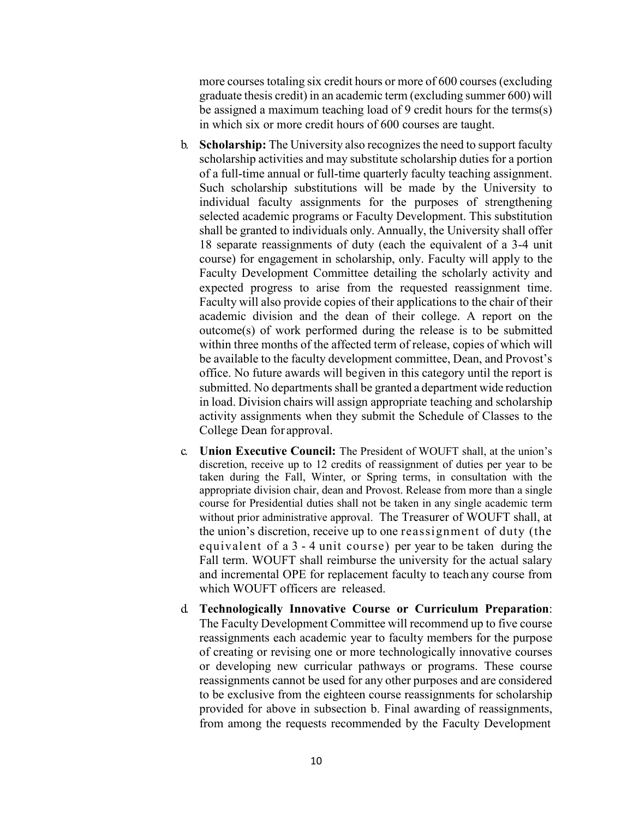more courses totaling six credit hours or more of 600 courses (excluding graduate thesis credit) in an academic term (excluding summer 600) will be assigned a maximum teaching load of 9 credit hours for the terms(s) in which six or more credit hours of 600 courses are taught.

- b. **Scholarship:** The University also recognizes the need to support faculty scholarship activities and may substitute scholarship duties for a portion of a full-time annual or full-time quarterly faculty teaching assignment. Such scholarship substitutions will be made by the University to individual faculty assignments for the purposes of strengthening selected academic programs or Faculty Development. This substitution shall be granted to individuals only. Annually, the University shall offer 18 separate reassignments of duty (each the equivalent of a 3-4 unit course) for engagement in scholarship, only. Faculty will apply to the Faculty Development Committee detailing the scholarly activity and expected progress to arise from the requested reassignment time. Faculty will also provide copies of their applications to the chair of their academic division and the dean of their college. A report on the outcome(s) of work performed during the release is to be submitted within three months of the affected term of release, copies of which will be available to the faculty development committee, Dean, and Provost's office. No future awards will begiven in this category until the report is submitted. No departments shall be granted a department wide reduction in load. Division chairs will assign appropriate teaching and scholarship activity assignments when they submit the Schedule of Classes to the College Dean for approval.
- c. **Union Executive Council:** The President of WOUFT shall, at the union's discretion, receive up to 12 credits of reassignment of duties per year to be taken during the Fall, Winter, or Spring terms, in consultation with the appropriate division chair, dean and Provost. Release from more than a single course for Presidential duties shall not be taken in any single academic term without prior administrative approval. The Treasurer of WOUFT shall, at the union's discretion, receive up to one reassignment of duty (the equivalent of a 3 - 4 unit course) per year to be taken during the Fall term. WOUFT shall reimburse the university for the actual salary and incremental OPE for replacement faculty to teach any course from which WOUFT officers are released.
- d. **Technologically Innovative Course or Curriculum Preparation**: The Faculty Development Committee will recommend up to five course reassignments each academic year to faculty members for the purpose of creating or revising one or more technologically innovative courses or developing new curricular pathways or programs. These course reassignments cannot be used for any other purposes and are considered to be exclusive from the eighteen course reassignments for scholarship provided for above in subsection b. Final awarding of reassignments, from among the requests recommended by the Faculty Development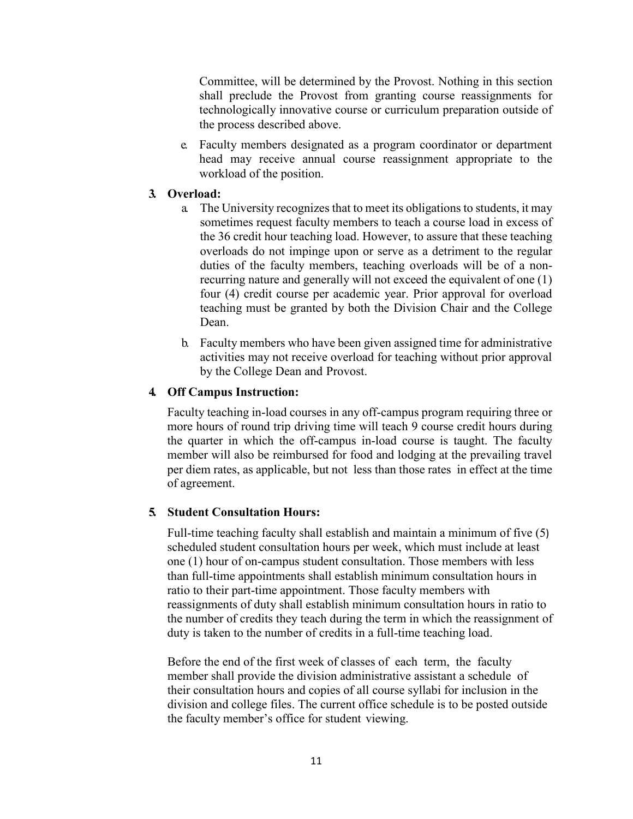Committee, will be determined by the Provost. Nothing in this section shall preclude the Provost from granting course reassignments for technologically innovative course or curriculum preparation outside of the process described above.

e. Faculty members designated as a program coordinator or department head may receive annual course reassignment appropriate to the workload of the position.

#### **3. Overload:**

- a. The University recognizes that to meet its obligations to students, it may sometimes request faculty members to teach a course load in excess of the 36 credit hour teaching load. However, to assure that these teaching overloads do not impinge upon or serve as a detriment to the regular duties of the faculty members, teaching overloads will be of a nonrecurring nature and generally will not exceed the equivalent of one (1) four (4) credit course per academic year. Prior approval for overload teaching must be granted by both the Division Chair and the College Dean.
- b. Faculty members who have been given assigned time for administrative activities may not receive overload for teaching without prior approval by the College Dean and Provost.

#### **4. Off Campus Instruction:**

Faculty teaching in-load courses in any off-campus program requiring three or more hours of round trip driving time will teach 9 course credit hours during the quarter in which the off-campus in-load course is taught. The faculty member will also be reimbursed for food and lodging at the prevailing travel per diem rates, as applicable, but not less than those rates in effect at the time of agreement.

#### **5. Student Consultation Hours:**

Full-time teaching faculty shall establish and maintain a minimum of five (5) scheduled student consultation hours per week, which must include at least one (1) hour of on-campus student consultation. Those members with less than full-time appointments shall establish minimum consultation hours in ratio to their part-time appointment. Those faculty members with reassignments of duty shall establish minimum consultation hours in ratio to the number of credits they teach during the term in which the reassignment of duty is taken to the number of credits in a full-time teaching load.

Before the end of the first week of classes of each term, the faculty member shall provide the division administrative assistant a schedule of their consultation hours and copies of all course syllabi for inclusion in the division and college files. The current office schedule is to be posted outside the faculty member's office for student viewing.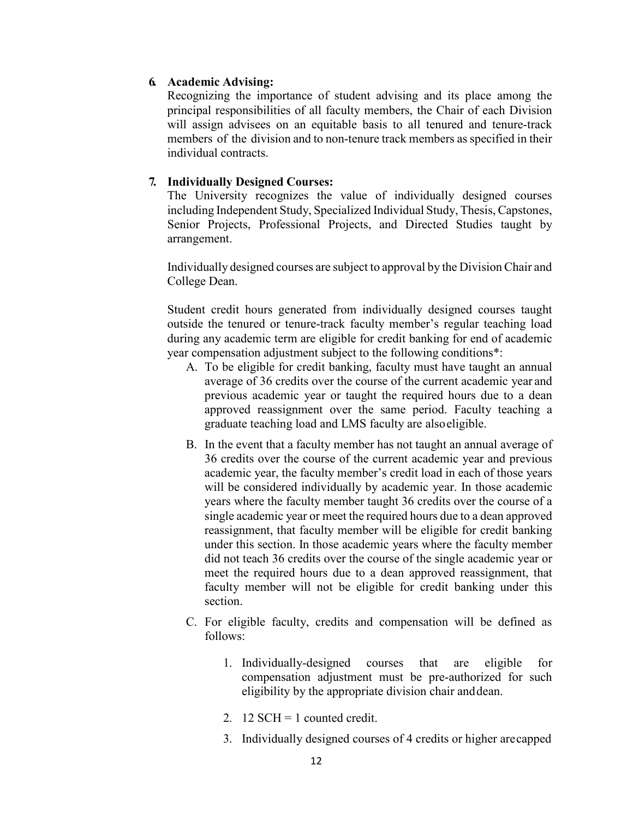#### **6. Academic Advising:**

Recognizing the importance of student advising and its place among the principal responsibilities of all faculty members, the Chair of each Division will assign advisees on an equitable basis to all tenured and tenure-track members of the division and to non-tenure track members as specified in their individual contracts.

#### **7. Individually Designed Courses:**

The University recognizes the value of individually designed courses including Independent Study, Specialized Individual Study, Thesis, Capstones, Senior Projects, Professional Projects, and Directed Studies taught by arrangement.

Individually designed courses are subject to approval by the Division Chair and College Dean.

Student credit hours generated from individually designed courses taught outside the tenured or tenure-track faculty member's regular teaching load during any academic term are eligible for credit banking for end of academic year compensation adjustment subject to the following conditions\*:

- A. To be eligible for credit banking, faculty must have taught an annual average of 36 credits over the course of the current academic year and previous academic year or taught the required hours due to a dean approved reassignment over the same period. Faculty teaching a graduate teaching load and LMS faculty are alsoeligible.
- B. In the event that a faculty member has not taught an annual average of 36 credits over the course of the current academic year and previous academic year, the faculty member's credit load in each of those years will be considered individually by academic year. In those academic years where the faculty member taught 36 credits over the course of a single academic year or meet the required hours due to a dean approved reassignment, that faculty member will be eligible for credit banking under this section. In those academic years where the faculty member did not teach 36 credits over the course of the single academic year or meet the required hours due to a dean approved reassignment, that faculty member will not be eligible for credit banking under this section.
- C. For eligible faculty, credits and compensation will be defined as follows:
	- 1. Individually-designed courses that are eligible for compensation adjustment must be pre-authorized for such eligibility by the appropriate division chair anddean.
	- 2. 12 SCH = 1 counted credit.
	- 3. Individually designed courses of 4 credits or higher arecapped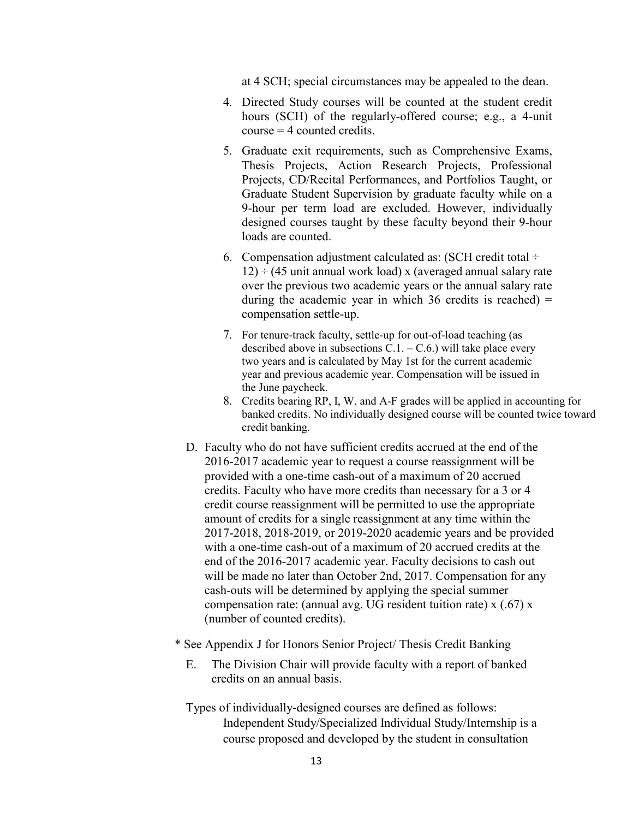at 4 SCH; special circumstances may be appealed to the dean.

- 4. Directed Study courses will be counted at the student credit hours (SCH) of the regularly-offered course; e.g., a 4-unit  $course = 4$  counted credits.
- 5. Graduate exit requirements, such as Comprehensive Exams, Thesis Projects, Action Research Projects, Professional Projects, CD/Recital Performances, and Portfolios Taught, or Graduate Student Supervision by graduate faculty while on a 9-hour per term load are excluded. However, individually designed courses taught by these faculty beyond their 9-hour loads are counted.
- 6. Compensation adjustment calculated as: (SCH credit total  $\div$  $12$ )  $\div$  (45 unit annual work load) x (averaged annual salary rate over the previous two academic years or the annual salary rate during the academic year in which 36 credits is reached)  $=$ compensation settle-up.
- 7. For tenure-track faculty, settle-up for out-of-load teaching (as described above in subsections  $\overline{C}$ .1. – C.6.) will take place every two years and is calculated by May 1st for the current academic year and previous academic year. Compensation will be issued in the June paycheck.
- 8. Credits bearing RP, I, W, and A-F grades will be applied in accounting for banked credits. No individually designed course will be counted twice toward credit banking.
- D. Faculty who do not have sufficient credits accrued at the end of the 2016-2017 academic year to request a course reassignment will be provided with a one-time cash-out of a maximum of 20 accrued credits. Faculty who have more credits than necessary for a 3 or 4 credit course reassignment will be permitted to use the appropriate amount of credits for a single reassignment at any time within the 2017-2018, 2018-2019, or 2019-2020 academic years and be provided with a one-time cash-out of a maximum of 20 accrued credits at the end of the 2016-2017 academic year. Faculty decisions to cash out will be made no later than October 2nd, 2017. Compensation for any cash-outs will be determined by applying the special summer compensation rate: (annual avg. UG resident tuition rate) x (.67) x (number of counted credits).
- \* See Appendix J for Honors Senior Project/ Thesis Credit Banking
	- E. The Division Chair will provide faculty with a report of banked credits on an annual basis.
	- Types of individually-designed courses are defined as follows: Independent Study/Specialized Individual Study/Internship is a course proposed and developed by the student in consultation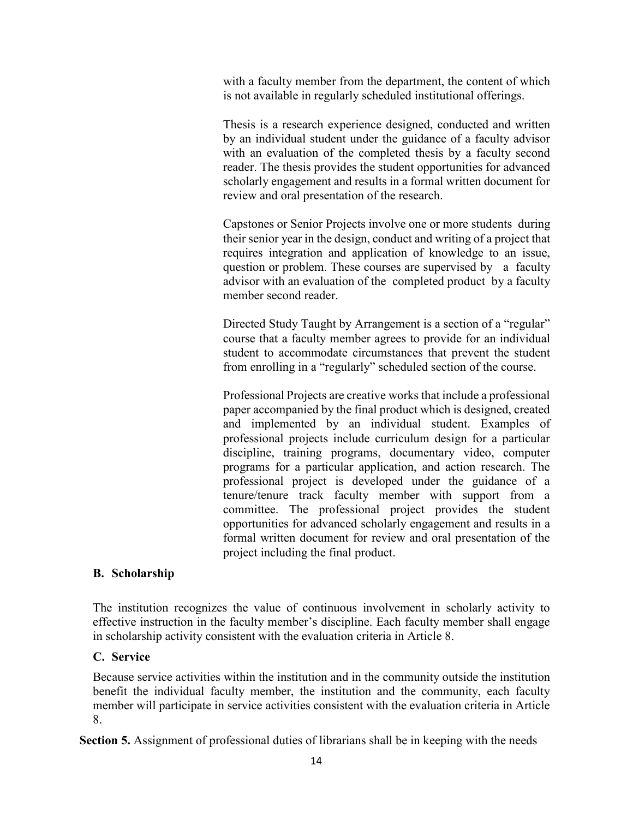with a faculty member from the department, the content of which is not available in regularly scheduled institutional offerings.

Thesis is a research experience designed, conducted and written by an individual student under the guidance of a faculty advisor with an evaluation of the completed thesis by a faculty second reader. The thesis provides the student opportunities for advanced scholarly engagement and results in a formal written document for review and oral presentation of the research.

Capstones or Senior Projects involve one or more students during their senior year in the design, conduct and writing of a project that requires integration and application of knowledge to an issue, question or problem. These courses are supervised by a faculty advisor with an evaluation of the completed product by a faculty member second reader.

Directed Study Taught by Arrangement is a section of a "regular" course that a faculty member agrees to provide for an individual student to accommodate circumstances that prevent the student from enrolling in a "regularly" scheduled section of the course.

Professional Projects are creative works that include a professional paper accompanied by the final product which is designed, created and implemented by an individual student. Examples of professional projects include curriculum design for a particular discipline, training programs, documentary video, computer programs for a particular application, and action research. The professional project is developed under the guidance of a tenure/tenure track faculty member with support from a committee. The professional project provides the student opportunities for advanced scholarly engagement and results in a formal written document for review and oral presentation of the project including the final product.

#### **B. Scholarship**

The institution recognizes the value of continuous involvement in scholarly activity to effective instruction in the faculty member's discipline. Each faculty member shall engage in scholarship activity consistent with the evaluation criteria in Article 8.

#### **C. Service**

Because service activities within the institution and in the community outside the institution benefit the individual faculty member, the institution and the community, each faculty member will participate in service activities consistent with the evaluation criteria in Article 8.

**Section 5.** Assignment of professional duties of librarians shall be in keeping with the needs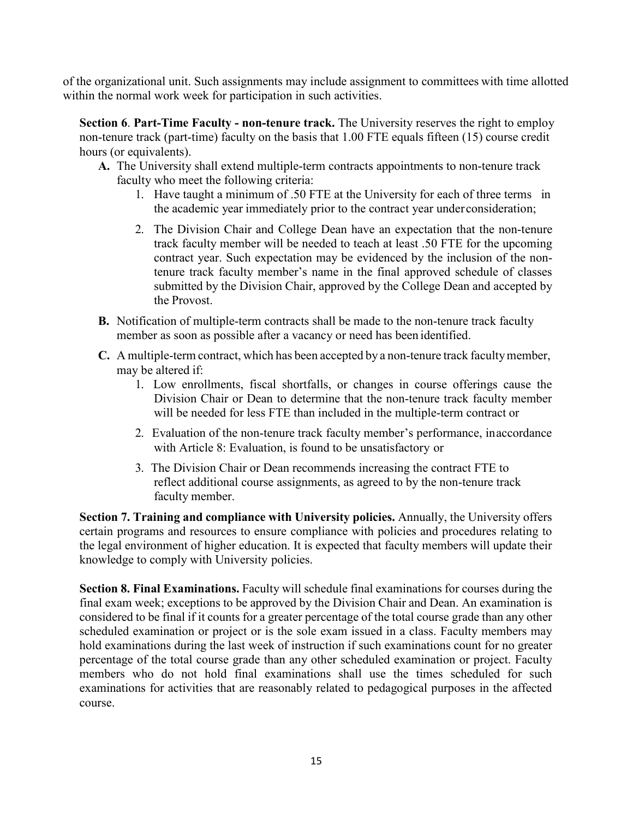of the organizational unit. Such assignments may include assignment to committees with time allotted within the normal work week for participation in such activities.

**Section 6**. **Part-Time Faculty - non-tenure track.** The University reserves the right to employ non-tenure track (part-time) faculty on the basis that 1.00 FTE equals fifteen (15) course credit hours (or equivalents).

- **A.** The University shall extend multiple-term contracts appointments to non-tenure track faculty who meet the following criteria:
	- 1. Have taught a minimum of .50 FTE at the University for each of three terms in the academic year immediately prior to the contract year underconsideration;
	- 2. The Division Chair and College Dean have an expectation that the non-tenure track faculty member will be needed to teach at least .50 FTE for the upcoming contract year. Such expectation may be evidenced by the inclusion of the nontenure track faculty member's name in the final approved schedule of classes submitted by the Division Chair, approved by the College Dean and accepted by the Provost.
- **B.** Notification of multiple-term contracts shall be made to the non-tenure track faculty member as soon as possible after a vacancy or need has been identified.
- **C.** A multiple-term contract, which has been accepted by a non-tenure track facultymember, may be altered if:
	- 1. Low enrollments, fiscal shortfalls, or changes in course offerings cause the Division Chair or Dean to determine that the non-tenure track faculty member will be needed for less FTE than included in the multiple-term contract or
	- 2. Evaluation of the non-tenure track faculty member's performance, inaccordance with Article 8: Evaluation, is found to be unsatisfactory or
	- 3. The Division Chair or Dean recommends increasing the contract FTE to reflect additional course assignments, as agreed to by the non-tenure track faculty member.

**Section 7. Training and compliance with University policies.** Annually, the University offers certain programs and resources to ensure compliance with policies and procedures relating to the legal environment of higher education. It is expected that faculty members will update their knowledge to comply with University policies.

**Section 8. Final Examinations.** Faculty will schedule final examinations for courses during the final exam week; exceptions to be approved by the Division Chair and Dean. An examination is considered to be final if it counts for a greater percentage of the total course grade than any other scheduled examination or project or is the sole exam issued in a class. Faculty members may hold examinations during the last week of instruction if such examinations count for no greater percentage of the total course grade than any other scheduled examination or project. Faculty members who do not hold final examinations shall use the times scheduled for such examinations for activities that are reasonably related to pedagogical purposes in the affected course.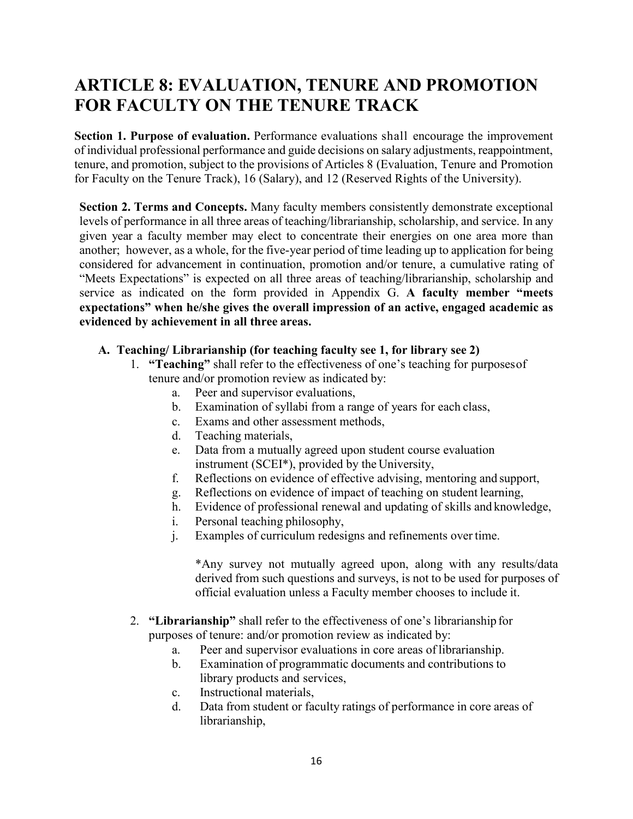# <span id="page-16-0"></span>**ARTICLE 8: EVALUATION, TENURE AND PROMOTION FOR FACULTY ON THE TENURE TRACK**

**Section 1. Purpose of evaluation.** Performance evaluations shall encourage the improvement of individual professional performance and guide decisions on salary adjustments, reappointment, tenure, and promotion, subject to the provisions of Articles 8 (Evaluation, Tenure and Promotion for Faculty on the Tenure Track), 16 (Salary), and 12 (Reserved Rights of the University).

**Section 2. Terms and Concepts.** Many faculty members consistently demonstrate exceptional levels of performance in all three areas of teaching/librarianship, scholarship, and service. In any given year a faculty member may elect to concentrate their energies on one area more than another; however, as a whole, for the five-year period of time leading up to application for being considered for advancement in continuation, promotion and/or tenure, a cumulative rating of "Meets Expectations" is expected on all three areas of teaching/librarianship, scholarship and service as indicated on the form provided in Appendix G. **A faculty member "meets expectations" when he/she gives the overall impression of an active, engaged academic as evidenced by achievement in all three areas.**

#### **A. Teaching/ Librarianship (for teaching faculty see 1, for library see 2)**

- 1. **"Teaching"** shall refer to the effectiveness of one's teaching for purposesof tenure and/or promotion review as indicated by:
	- a. Peer and supervisor evaluations,
	- b. Examination of syllabi from a range of years for each class,
	- c. Exams and other assessment methods,
	- d. Teaching materials,
	- e. Data from a mutually agreed upon student course evaluation instrument (SCEI\*), provided by the University,
	- f. Reflections on evidence of effective advising, mentoring and support,
	- g. Reflections on evidence of impact of teaching on student learning,
	- h. Evidence of professional renewal and updating of skills and knowledge,
	- i. Personal teaching philosophy,
	- j. Examples of curriculum redesigns and refinements over time.

\*Any survey not mutually agreed upon, along with any results/data derived from such questions and surveys, is not to be used for purposes of official evaluation unless a Faculty member chooses to include it.

- 2. **"Librarianship"** shall refer to the effectiveness of one's librarianship for purposes of tenure: and/or promotion review as indicated by:
	- a. Peer and supervisor evaluations in core areas of librarianship.
	- b. Examination of programmatic documents and contributions to library products and services,
	- c. Instructional materials,
	- d. Data from student or faculty ratings of performance in core areas of librarianship,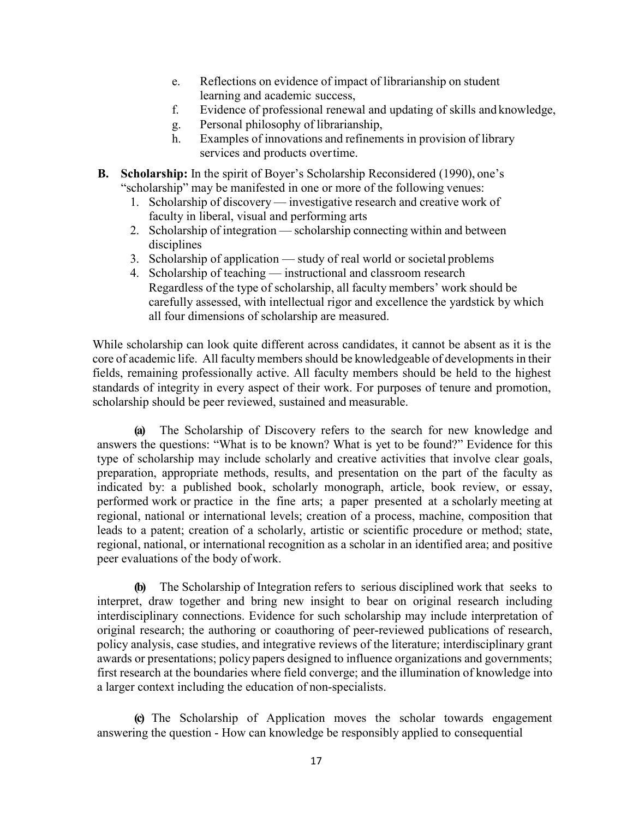- e. Reflections on evidence of impact of librarianship on student learning and academic success,
- f. Evidence of professional renewal and updating of skills and knowledge,
- g. Personal philosophy of librarianship,
- h. Examples of innovations and refinements in provision of library services and products overtime.
- **B. Scholarship:** In the spirit of Boyer's Scholarship Reconsidered (1990), one's "scholarship" may be manifested in one or more of the following venues:
	- 1. Scholarship of discovery investigative research and creative work of faculty in liberal, visual and performing arts
	- 2. Scholarship of integration scholarship connecting within and between disciplines
	- 3. Scholarship of application study of real world or societal problems
	- 4. Scholarship of teaching instructional and classroom research Regardless of the type of scholarship, all faculty members' work should be carefully assessed, with intellectual rigor and excellence the yardstick by which all four dimensions of scholarship are measured.

While scholarship can look quite different across candidates, it cannot be absent as it is the core of academic life. All faculty members should be knowledgeable of developments in their fields, remaining professionally active. All faculty members should be held to the highest standards of integrity in every aspect of their work. For purposes of tenure and promotion, scholarship should be peer reviewed, sustained and measurable.

**(a)** The Scholarship of Discovery refers to the search for new knowledge and answers the questions: "What is to be known? What is yet to be found?" Evidence for this type of scholarship may include scholarly and creative activities that involve clear goals, preparation, appropriate methods, results, and presentation on the part of the faculty as indicated by: a published book, scholarly monograph, article, book review, or essay, performed work or practice in the fine arts; a paper presented at a scholarly meeting at regional, national or international levels; creation of a process, machine, composition that leads to a patent; creation of a scholarly, artistic or scientific procedure or method; state, regional, national, or international recognition as a scholar in an identified area; and positive peer evaluations of the body of work.

**(b)** The Scholarship of Integration refers to serious disciplined work that seeks to interpret, draw together and bring new insight to bear on original research including interdisciplinary connections. Evidence for such scholarship may include interpretation of original research; the authoring or coauthoring of peer-reviewed publications of research, policy analysis, case studies, and integrative reviews of the literature; interdisciplinary grant awards or presentations; policy papers designed to influence organizations and governments; first research at the boundaries where field converge; and the illumination of knowledge into a larger context including the education of non-specialists.

**(c)** The Scholarship of Application moves the scholar towards engagement answering the question - How can knowledge be responsibly applied to consequential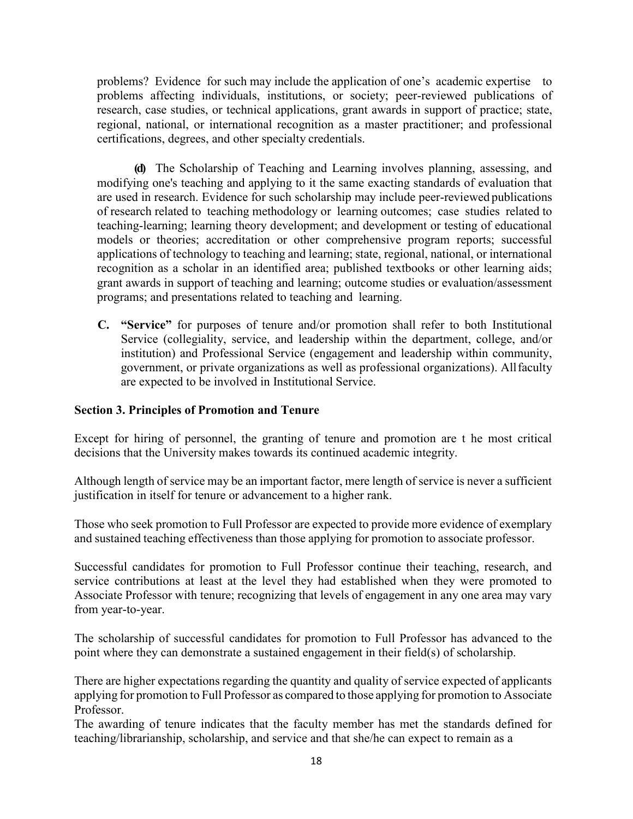problems? Evidence for such may include the application of one's academic expertise to problems affecting individuals, institutions, or society; peer-reviewed publications of research, case studies, or technical applications, grant awards in support of practice; state, regional, national, or international recognition as a master practitioner; and professional certifications, degrees, and other specialty credentials.

**(d)** The Scholarship of Teaching and Learning involves planning, assessing, and modifying one's teaching and applying to it the same exacting standards of evaluation that are used in research. Evidence for such scholarship may include peer-reviewed publications of research related to teaching methodology or learning outcomes; case studies related to teaching-learning; learning theory development; and development or testing of educational models or theories; accreditation or other comprehensive program reports; successful applications of technology to teaching and learning; state, regional, national, or international recognition as a scholar in an identified area; published textbooks or other learning aids; grant awards in support of teaching and learning; outcome studies or evaluation/assessment programs; and presentations related to teaching and learning.

**C. "Service"** for purposes of tenure and/or promotion shall refer to both Institutional Service (collegiality, service, and leadership within the department, college, and/or institution) and Professional Service (engagement and leadership within community, government, or private organizations as well as professional organizations). Allfaculty are expected to be involved in Institutional Service.

#### **Section 3. Principles of Promotion and Tenure**

Except for hiring of personnel, the granting of tenure and promotion are t he most critical decisions that the University makes towards its continued academic integrity.

Although length of service may be an important factor, mere length of service is never a sufficient justification in itself for tenure or advancement to a higher rank.

Those who seek promotion to Full Professor are expected to provide more evidence of exemplary and sustained teaching effectiveness than those applying for promotion to associate professor.

Successful candidates for promotion to Full Professor continue their teaching, research, and service contributions at least at the level they had established when they were promoted to Associate Professor with tenure; recognizing that levels of engagement in any one area may vary from year-to-year.

The scholarship of successful candidates for promotion to Full Professor has advanced to the point where they can demonstrate a sustained engagement in their field(s) of scholarship.

There are higher expectations regarding the quantity and quality of service expected of applicants applying for promotion to Full Professor as compared to those applying for promotion to Associate Professor.

The awarding of tenure indicates that the faculty member has met the standards defined for teaching/librarianship, scholarship, and service and that she/he can expect to remain as a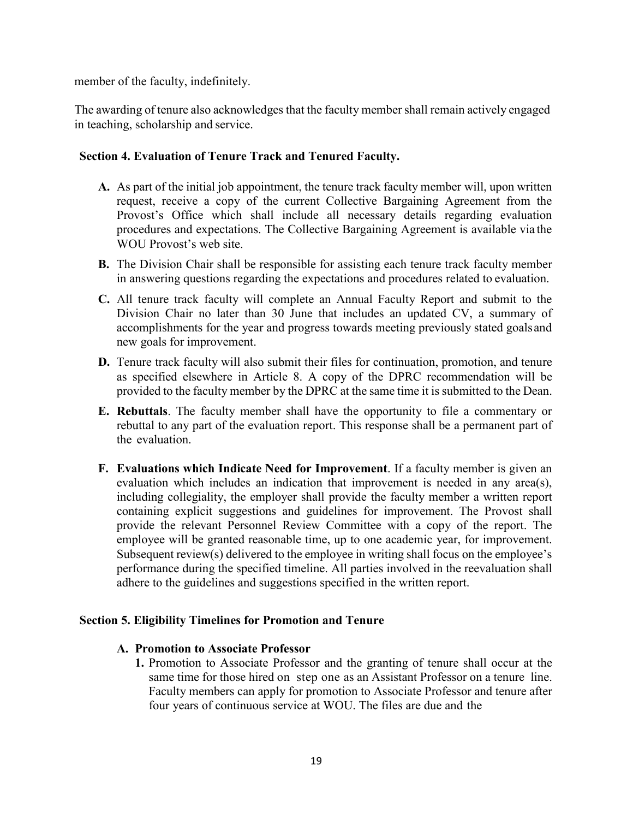member of the faculty, indefinitely.

The awarding of tenure also acknowledges that the faculty member shall remain actively engaged in teaching, scholarship and service.

#### **Section 4. Evaluation of Tenure Track and Tenured Faculty.**

- **A.** As part of the initial job appointment, the tenure track faculty member will, upon written request, receive a copy of the current Collective Bargaining Agreement from the Provost's Office which shall include all necessary details regarding evaluation procedures and expectations. The Collective Bargaining Agreement is available via the WOU Provost's web site.
- **B.** The Division Chair shall be responsible for assisting each tenure track faculty member in answering questions regarding the expectations and procedures related to evaluation.
- **C.** All tenure track faculty will complete an Annual Faculty Report and submit to the Division Chair no later than 30 June that includes an updated CV, a summary of accomplishments for the year and progress towards meeting previously stated goals and new goals for improvement.
- **D.** Tenure track faculty will also submit their files for continuation, promotion, and tenure as specified elsewhere in Article 8. A copy of the DPRC recommendation will be provided to the faculty member by the DPRC at the same time it is submitted to the Dean.
- **E. Rebuttals**. The faculty member shall have the opportunity to file a commentary or rebuttal to any part of the evaluation report. This response shall be a permanent part of the evaluation.
- **F. Evaluations which Indicate Need for Improvement**. If a faculty member is given an evaluation which includes an indication that improvement is needed in any area(s), including collegiality, the employer shall provide the faculty member a written report containing explicit suggestions and guidelines for improvement. The Provost shall provide the relevant Personnel Review Committee with a copy of the report. The employee will be granted reasonable time, up to one academic year, for improvement. Subsequent review(s) delivered to the employee in writing shall focus on the employee's performance during the specified timeline. All parties involved in the reevaluation shall adhere to the guidelines and suggestions specified in the written report.

#### **Section 5. Eligibility Timelines for Promotion and Tenure**

#### **A. Promotion to Associate Professor**

**1.** Promotion to Associate Professor and the granting of tenure shall occur at the same time for those hired on step one as an Assistant Professor on a tenure line. Faculty members can apply for promotion to Associate Professor and tenure after four years of continuous service at WOU. The files are due and the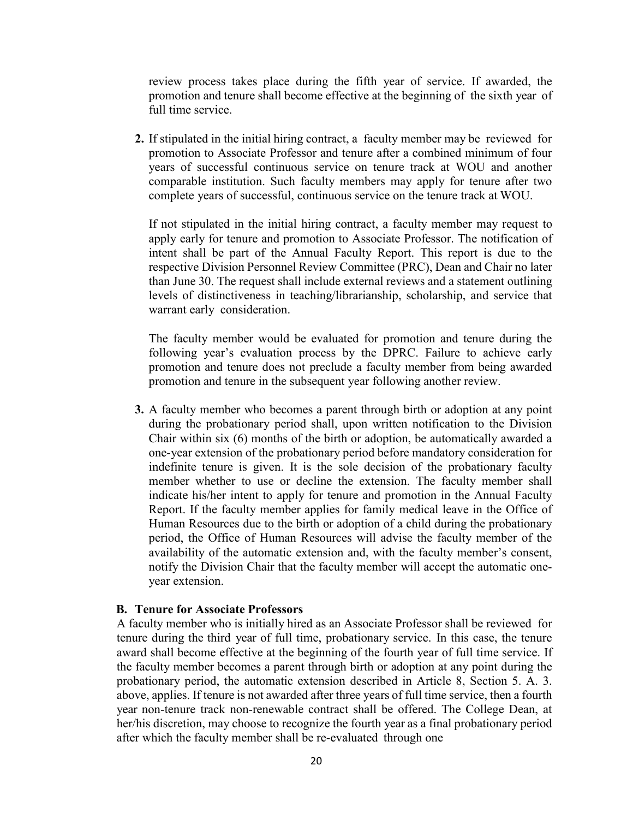review process takes place during the fifth year of service. If awarded, the promotion and tenure shall become effective at the beginning of the sixth year of full time service.

**2.** If stipulated in the initial hiring contract, a faculty member may be reviewed for promotion to Associate Professor and tenure after a combined minimum of four years of successful continuous service on tenure track at WOU and another comparable institution. Such faculty members may apply for tenure after two complete years of successful, continuous service on the tenure track at WOU.

If not stipulated in the initial hiring contract, a faculty member may request to apply early for tenure and promotion to Associate Professor. The notification of intent shall be part of the Annual Faculty Report. This report is due to the respective Division Personnel Review Committee (PRC), Dean and Chair no later than June 30. The request shall include external reviews and a statement outlining levels of distinctiveness in teaching/librarianship, scholarship, and service that warrant early consideration.

The faculty member would be evaluated for promotion and tenure during the following year's evaluation process by the DPRC. Failure to achieve early promotion and tenure does not preclude a faculty member from being awarded promotion and tenure in the subsequent year following another review.

**3.** A faculty member who becomes a parent through birth or adoption at any point during the probationary period shall, upon written notification to the Division Chair within six (6) months of the birth or adoption, be automatically awarded a one-year extension of the probationary period before mandatory consideration for indefinite tenure is given. It is the sole decision of the probationary faculty member whether to use or decline the extension. The faculty member shall indicate his/her intent to apply for tenure and promotion in the Annual Faculty Report. If the faculty member applies for family medical leave in the Office of Human Resources due to the birth or adoption of a child during the probationary period, the Office of Human Resources will advise the faculty member of the availability of the automatic extension and, with the faculty member's consent, notify the Division Chair that the faculty member will accept the automatic oneyear extension.

#### **B. Tenure for Associate Professors**

A faculty member who is initially hired as an Associate Professor shall be reviewed for tenure during the third year of full time, probationary service. In this case, the tenure award shall become effective at the beginning of the fourth year of full time service. If the faculty member becomes a parent through birth or adoption at any point during the probationary period, the automatic extension described in Article 8, Section 5. A. 3. above, applies. If tenure is not awarded after three years of full time service, then a fourth year non-tenure track non-renewable contract shall be offered. The College Dean, at her/his discretion, may choose to recognize the fourth year as a final probationary period after which the faculty member shall be re-evaluated through one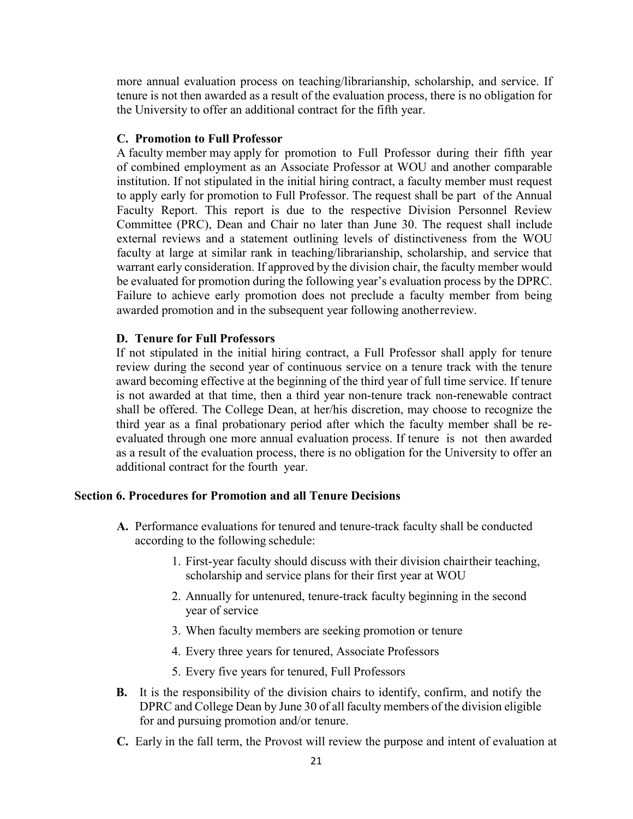more annual evaluation process on teaching/librarianship, scholarship, and service. If tenure is not then awarded as a result of the evaluation process, there is no obligation for the University to offer an additional contract for the fifth year.

#### **C. Promotion to Full Professor**

A faculty member may apply for promotion to Full Professor during their fifth year of combined employment as an Associate Professor at WOU and another comparable institution. If not stipulated in the initial hiring contract, a faculty member must request to apply early for promotion to Full Professor. The request shall be part of the Annual Faculty Report. This report is due to the respective Division Personnel Review Committee (PRC), Dean and Chair no later than June 30. The request shall include external reviews and a statement outlining levels of distinctiveness from the WOU faculty at large at similar rank in teaching/librarianship, scholarship, and service that warrant early consideration. If approved by the division chair, the faculty member would be evaluated for promotion during the following year's evaluation process by the DPRC. Failure to achieve early promotion does not preclude a faculty member from being awarded promotion and in the subsequent year following anotherreview.

#### **D. Tenure for Full Professors**

If not stipulated in the initial hiring contract, a Full Professor shall apply for tenure review during the second year of continuous service on a tenure track with the tenure award becoming effective at the beginning of the third year of full time service. If tenure is not awarded at that time, then a third year non-tenure track non-renewable contract shall be offered. The College Dean, at her/his discretion, may choose to recognize the third year as a final probationary period after which the faculty member shall be reevaluated through one more annual evaluation process. If tenure is not then awarded as a result of the evaluation process, there is no obligation for the University to offer an additional contract for the fourth year.

#### **Section 6. Procedures for Promotion and all Tenure Decisions**

- **A.** Performance evaluations for tenured and tenure-track faculty shall be conducted according to the following schedule:
	- 1. First-year faculty should discuss with their division chairtheir teaching, scholarship and service plans for their first year at WOU
	- 2. Annually for untenured, tenure-track faculty beginning in the second year of service
	- 3. When faculty members are seeking promotion or tenure
	- 4. Every three years for tenured, Associate Professors
	- 5. Every five years for tenured, Full Professors
- **B.** It is the responsibility of the division chairs to identify, confirm, and notify the DPRC and College Dean by June 30 of all faculty members of the division eligible for and pursuing promotion and/or tenure.
- **C.** Early in the fall term, the Provost will review the purpose and intent of evaluation at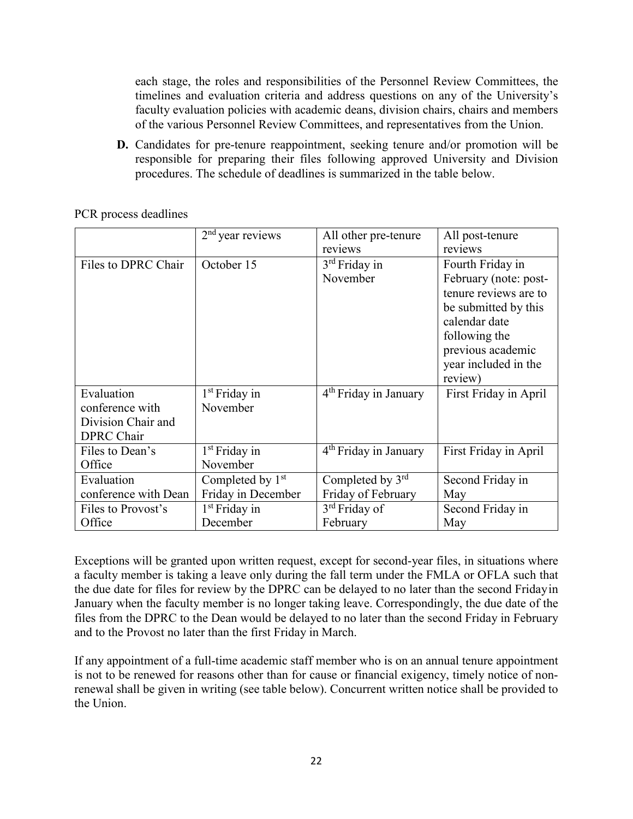each stage, the roles and responsibilities of the Personnel Review Committees, the timelines and evaluation criteria and address questions on any of the University's faculty evaluation policies with academic deans, division chairs, chairs and members of the various Personnel Review Committees, and representatives from the Union.

**D.** Candidates for pre-tenure reappointment, seeking tenure and/or promotion will be responsible for preparing their files following approved University and Division procedures. The schedule of deadlines is summarized in the table below.

| PCR process deadlines |  |  |  |  |
|-----------------------|--|--|--|--|
|-----------------------|--|--|--|--|

|                      | $2nd$ year reviews           | All other pre-tenure              | All post-tenure       |
|----------------------|------------------------------|-----------------------------------|-----------------------|
|                      |                              | reviews                           | reviews               |
| Files to DPRC Chair  | October 15                   | $3rd$ Friday in                   | Fourth Friday in      |
|                      |                              | November                          | February (note: post- |
|                      |                              |                                   | tenure reviews are to |
|                      |                              |                                   | be submitted by this  |
|                      |                              |                                   | calendar date         |
|                      |                              |                                   | following the         |
|                      |                              |                                   | previous academic     |
|                      |                              |                                   | year included in the  |
|                      |                              |                                   | review)               |
| Evaluation           | $1st$ Friday in              | 4 <sup>th</sup> Friday in January | First Friday in April |
| conference with      | November                     |                                   |                       |
| Division Chair and   |                              |                                   |                       |
| <b>DPRC</b> Chair    |                              |                                   |                       |
| Files to Dean's      | $1st$ Friday in              | $4th$ Friday in January           | First Friday in April |
| Office               | November                     |                                   |                       |
| Evaluation           | Completed by 1 <sup>st</sup> | Completed by 3rd                  | Second Friday in      |
| conference with Dean | Friday in December           | Friday of February                | May                   |
| Files to Provost's   | $1st$ Friday in              | 3 <sup>rd</sup> Friday of         | Second Friday in      |
| Office               | December                     | February                          | May                   |

Exceptions will be granted upon written request, except for second-year files, in situations where a faculty member is taking a leave only during the fall term under the FMLA or OFLA such that the due date for files for review by the DPRC can be delayed to no later than the second Fridayin January when the faculty member is no longer taking leave. Correspondingly, the due date of the files from the DPRC to the Dean would be delayed to no later than the second Friday in February and to the Provost no later than the first Friday in March.

If any appointment of a full-time academic staff member who is on an annual tenure appointment is not to be renewed for reasons other than for cause or financial exigency, timely notice of nonrenewal shall be given in writing (see table below). Concurrent written notice shall be provided to the Union.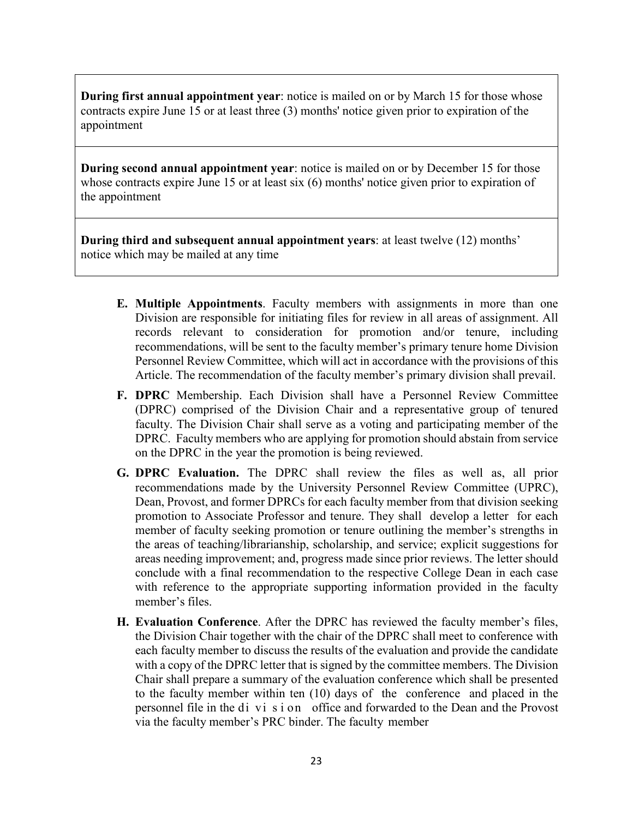**During first annual appointment year**: notice is mailed on or by March 15 for those whose contracts expire June 15 or at least three (3) months' notice given prior to expiration of the appointment

**During second annual appointment year**: notice is mailed on or by December 15 for those whose contracts expire June 15 or at least six (6) months' notice given prior to expiration of the appointment

**During third and subsequent annual appointment years**: at least twelve (12) months' notice which may be mailed at any time

- **E. Multiple Appointments**. Faculty members with assignments in more than one Division are responsible for initiating files for review in all areas of assignment. All records relevant to consideration for promotion and/or tenure, including recommendations, will be sent to the faculty member's primary tenure home Division Personnel Review Committee, which will act in accordance with the provisions of this Article. The recommendation of the faculty member's primary division shall prevail.
- **F. DPRC** Membership. Each Division shall have a Personnel Review Committee (DPRC) comprised of the Division Chair and a representative group of tenured faculty. The Division Chair shall serve as a voting and participating member of the DPRC. Faculty members who are applying for promotion should abstain from service on the DPRC in the year the promotion is being reviewed.
- **G. DPRC Evaluation.** The DPRC shall review the files as well as, all prior recommendations made by the University Personnel Review Committee (UPRC), Dean, Provost, and former DPRCs for each faculty member from that division seeking promotion to Associate Professor and tenure. They shall develop a letter for each member of faculty seeking promotion or tenure outlining the member's strengths in the areas of teaching/librarianship, scholarship, and service; explicit suggestions for areas needing improvement; and, progress made since prior reviews. The letter should conclude with a final recommendation to the respective College Dean in each case with reference to the appropriate supporting information provided in the faculty member's files.
- **H. Evaluation Conference**. After the DPRC has reviewed the faculty member's files, the Division Chair together with the chair of the DPRC shall meet to conference with each faculty member to discuss the results of the evaluation and provide the candidate with a copy of the DPRC letter that is signed by the committee members. The Division Chair shall prepare a summary of the evaluation conference which shall be presented to the faculty member within ten (10) days of the conference and placed in the personnel file in the di vi s i on office and forwarded to the Dean and the Provost via the faculty member's PRC binder. The faculty member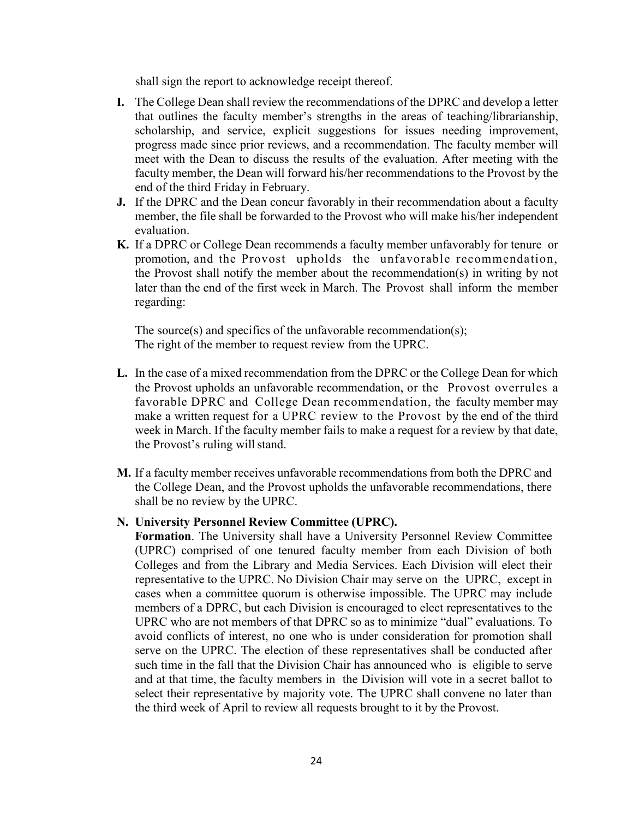shall sign the report to acknowledge receipt thereof.

- **I.** The College Dean shall review the recommendations of the DPRC and develop a letter that outlines the faculty member's strengths in the areas of teaching/librarianship, scholarship, and service, explicit suggestions for issues needing improvement, progress made since prior reviews, and a recommendation. The faculty member will meet with the Dean to discuss the results of the evaluation. After meeting with the faculty member, the Dean will forward his/her recommendations to the Provost by the end of the third Friday in February.
- **J.** If the DPRC and the Dean concur favorably in their recommendation about a faculty member, the file shall be forwarded to the Provost who will make his/her independent evaluation.
- **K.** If a DPRC or College Dean recommends a faculty member unfavorably for tenure or promotion, and the Provost upholds the unfavorable recommendation, the Provost shall notify the member about the recommendation(s) in writing by not later than the end of the first week in March. The Provost shall inform the member regarding:

The source(s) and specifics of the unfavorable recommendation(s); The right of the member to request review from the UPRC.

- **L.** In the case of a mixed recommendation from the DPRC or the College Dean for which the Provost upholds an unfavorable recommendation, or the Provost overrules a favorable DPRC and College Dean recommendation, the faculty member may make a written request for a UPRC review to the Provost by the end of the third week in March. If the faculty member fails to make a request for a review by that date, the Provost's ruling will stand.
- **M.** If a faculty member receives unfavorable recommendations from both the DPRC and the College Dean, and the Provost upholds the unfavorable recommendations, there shall be no review by the UPRC.

#### **N. University Personnel Review Committee (UPRC).**

**Formation**. The University shall have a University Personnel Review Committee (UPRC) comprised of one tenured faculty member from each Division of both Colleges and from the Library and Media Services. Each Division will elect their representative to the UPRC. No Division Chair may serve on the UPRC, except in cases when a committee quorum is otherwise impossible. The UPRC may include members of a DPRC, but each Division is encouraged to elect representatives to the UPRC who are not members of that DPRC so as to minimize "dual" evaluations. To avoid conflicts of interest, no one who is under consideration for promotion shall serve on the UPRC. The election of these representatives shall be conducted after such time in the fall that the Division Chair has announced who is eligible to serve and at that time, the faculty members in the Division will vote in a secret ballot to select their representative by majority vote. The UPRC shall convene no later than the third week of April to review all requests brought to it by the Provost.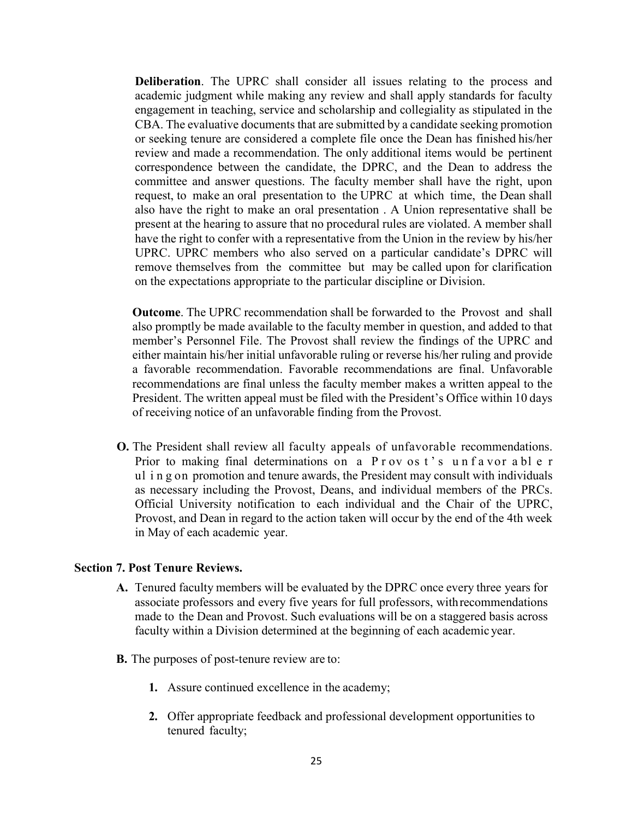**Deliberation**. The UPRC shall consider all issues relating to the process and academic judgment while making any review and shall apply standards for faculty engagement in teaching, service and scholarship and collegiality as stipulated in the CBA. The evaluative documents that are submitted by a candidate seeking promotion or seeking tenure are considered a complete file once the Dean has finished his/her review and made a recommendation. The only additional items would be pertinent correspondence between the candidate, the DPRC, and the Dean to address the committee and answer questions. The faculty member shall have the right, upon request, to make an oral presentation to the UPRC at which time, the Dean shall also have the right to make an oral presentation . A Union representative shall be present at the hearing to assure that no procedural rules are violated. A member shall have the right to confer with a representative from the Union in the review by his/her UPRC. UPRC members who also served on a particular candidate's DPRC will remove themselves from the committee but may be called upon for clarification on the expectations appropriate to the particular discipline or Division.

**Outcome**. The UPRC recommendation shall be forwarded to the Provost and shall also promptly be made available to the faculty member in question, and added to that member's Personnel File. The Provost shall review the findings of the UPRC and either maintain his/her initial unfavorable ruling or reverse his/her ruling and provide a favorable recommendation. Favorable recommendations are final. Unfavorable recommendations are final unless the faculty member makes a written appeal to the President. The written appeal must be filed with the President's Office within 10 days of receiving notice of an unfavorable finding from the Provost.

**O.** The President shall review all faculty appeals of unfavorable recommendations. Prior to making final determinations on a P r ov os t's un f a vor a bl e r ul i n g on promotion and tenure awards, the President may consult with individuals as necessary including the Provost, Deans, and individual members of the PRCs. Official University notification to each individual and the Chair of the UPRC, Provost, and Dean in regard to the action taken will occur by the end of the 4th week in May of each academic year.

#### **Section 7. Post Tenure Reviews.**

- **A.** Tenured faculty members will be evaluated by the DPRC once every three years for associate professors and every five years for full professors, withrecommendations made to the Dean and Provost. Such evaluations will be on a staggered basis across faculty within a Division determined at the beginning of each academic year.
- **B.** The purposes of post-tenure review are to:
	- **1.** Assure continued excellence in the academy;
	- **2.** Offer appropriate feedback and professional development opportunities to tenured faculty;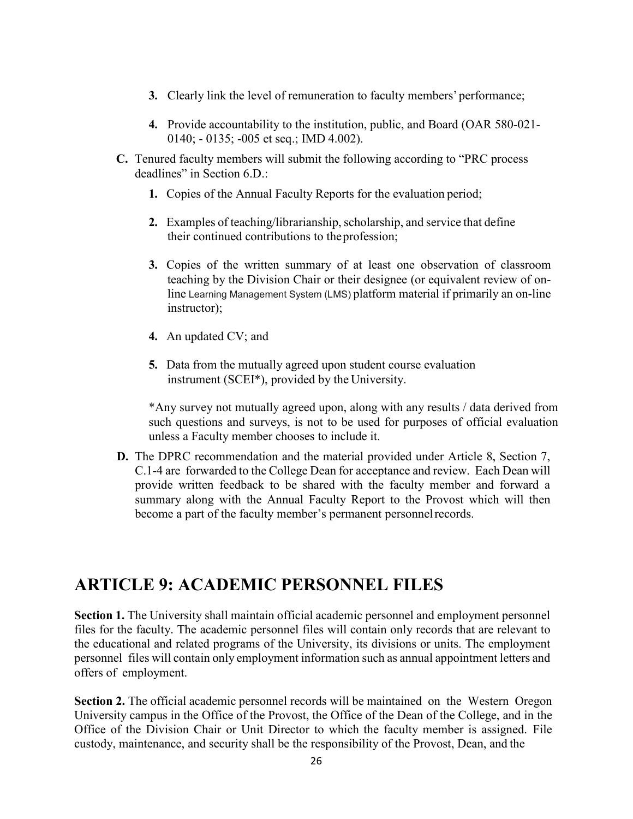- **3.** Clearly link the level of remuneration to faculty members' performance;
- **4.** Provide accountability to the institution, public, and Board (OAR 580-021- 0140; - 0135; -005 et seq.; IMD 4.002).
- **C.** Tenured faculty members will submit the following according to "PRC process deadlines" in Section 6.D.:
	- **1.** Copies of the Annual Faculty Reports for the evaluation period;
	- **2.** Examples of teaching/librarianship, scholarship, and service that define their continued contributions to theprofession;
	- **3.** Copies of the written summary of at least one observation of classroom teaching by the Division Chair or their designee (or equivalent review of online Learning Management System (LMS) platform material if primarily an on-line instructor);
	- **4.** An updated CV; and
	- **5.** Data from the mutually agreed upon student course evaluation instrument (SCEI\*), provided by the University.

\*Any survey not mutually agreed upon, along with any results / data derived from such questions and surveys, is not to be used for purposes of official evaluation unless a Faculty member chooses to include it.

**D.** The DPRC recommendation and the material provided under Article 8, Section 7, C.1-4 are forwarded to the College Dean for acceptance and review. Each Dean will provide written feedback to be shared with the faculty member and forward a summary along with the Annual Faculty Report to the Provost which will then become a part of the faculty member's permanent personnelrecords.

### <span id="page-26-0"></span>**ARTICLE 9: ACADEMIC PERSONNEL FILES**

**Section 1.** The University shall maintain official academic personnel and employment personnel files for the faculty. The academic personnel files will contain only records that are relevant to the educational and related programs of the University, its divisions or units. The employment personnel files will contain only employment information such as annual appointment letters and offers of employment.

**Section 2.** The official academic personnel records will be maintained on the Western Oregon University campus in the Office of the Provost, the Office of the Dean of the College, and in the Office of the Division Chair or Unit Director to which the faculty member is assigned. File custody, maintenance, and security shall be the responsibility of the Provost, Dean, and the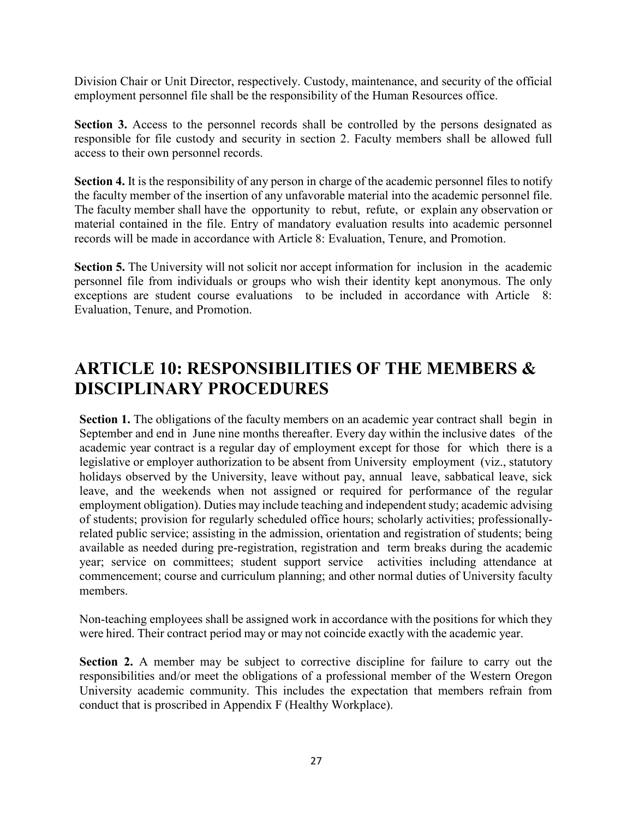Division Chair or Unit Director, respectively. Custody, maintenance, and security of the official employment personnel file shall be the responsibility of the Human Resources office.

**Section 3.** Access to the personnel records shall be controlled by the persons designated as responsible for file custody and security in section 2. Faculty members shall be allowed full access to their own personnel records.

**Section 4.** It is the responsibility of any person in charge of the academic personnel files to notify the faculty member of the insertion of any unfavorable material into the academic personnel file. The faculty member shall have the opportunity to rebut, refute, or explain any observation or material contained in the file. Entry of mandatory evaluation results into academic personnel records will be made in accordance with Article 8: Evaluation, Tenure, and Promotion.

**Section 5.** The University will not solicit nor accept information for inclusion in the academic personnel file from individuals or groups who wish their identity kept anonymous. The only exceptions are student course evaluations to be included in accordance with Article 8: Evaluation, Tenure, and Promotion.

## <span id="page-27-0"></span>**ARTICLE 10: RESPONSIBILITIES OF THE MEMBERS & DISCIPLINARY PROCEDURES**

**Section 1.** The obligations of the faculty members on an academic year contract shall begin in September and end in June nine months thereafter. Every day within the inclusive dates of the academic year contract is a regular day of employment except for those for which there is a legislative or employer authorization to be absent from University employment (viz., statutory holidays observed by the University, leave without pay, annual leave, sabbatical leave, sick leave, and the weekends when not assigned or required for performance of the regular employment obligation). Duties may include teaching and independent study; academic advising of students; provision for regularly scheduled office hours; scholarly activities; professionallyrelated public service; assisting in the admission, orientation and registration of students; being available as needed during pre-registration, registration and term breaks during the academic year; service on committees; student support service activities including attendance at commencement; course and curriculum planning; and other normal duties of University faculty members.

Non-teaching employees shall be assigned work in accordance with the positions for which they were hired. Their contract period may or may not coincide exactly with the academic year.

**Section 2.** A member may be subject to corrective discipline for failure to carry out the responsibilities and/or meet the obligations of a professional member of the Western Oregon University academic community. This includes the expectation that members refrain from conduct that is proscribed in Appendix F (Healthy Workplace).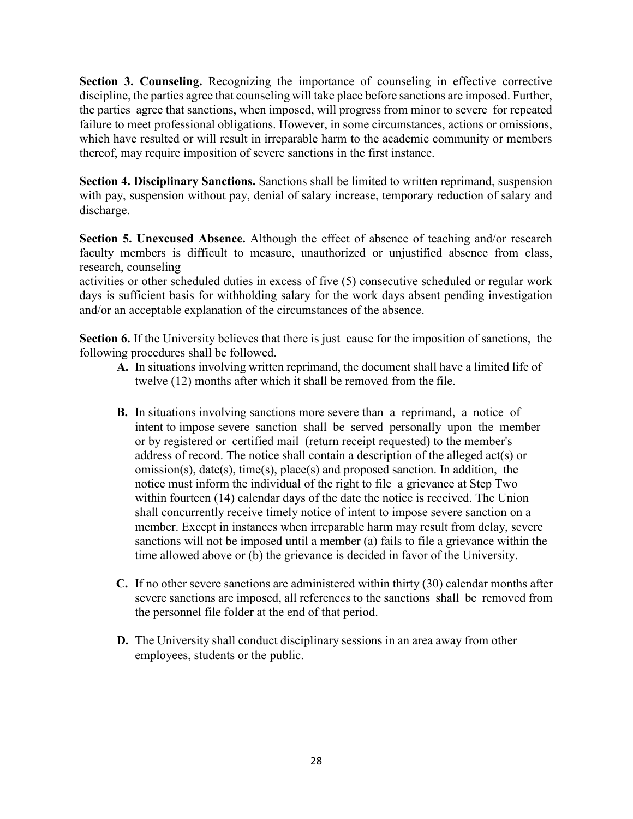**Section 3. Counseling.** Recognizing the importance of counseling in effective corrective discipline, the parties agree that counseling will take place before sanctions are imposed. Further, the parties agree that sanctions, when imposed, will progress from minor to severe for repeated failure to meet professional obligations. However, in some circumstances, actions or omissions, which have resulted or will result in irreparable harm to the academic community or members thereof, may require imposition of severe sanctions in the first instance.

**Section 4. Disciplinary Sanctions.** Sanctions shall be limited to written reprimand, suspension with pay, suspension without pay, denial of salary increase, temporary reduction of salary and discharge.

**Section 5. Unexcused Absence.** Although the effect of absence of teaching and/or research faculty members is difficult to measure, unauthorized or unjustified absence from class, research, counseling

activities or other scheduled duties in excess of five (5) consecutive scheduled or regular work days is sufficient basis for withholding salary for the work days absent pending investigation and/or an acceptable explanation of the circumstances of the absence.

**Section 6.** If the University believes that there is just cause for the imposition of sanctions, the following procedures shall be followed.

- **A.** In situations involving written reprimand, the document shall have a limited life of twelve (12) months after which it shall be removed from the file.
- **B.** In situations involving sanctions more severe than a reprimand, a notice of intent to impose severe sanction shall be served personally upon the member or by registered or certified mail (return receipt requested) to the member's address of record. The notice shall contain a description of the alleged act(s) or omission(s), date(s), time(s), place(s) and proposed sanction. In addition, the notice must inform the individual of the right to file a grievance at Step Two within fourteen (14) calendar days of the date the notice is received. The Union shall concurrently receive timely notice of intent to impose severe sanction on a member. Except in instances when irreparable harm may result from delay, severe sanctions will not be imposed until a member (a) fails to file a grievance within the time allowed above or (b) the grievance is decided in favor of the University.
- **C.** If no other severe sanctions are administered within thirty (30) calendar months after severe sanctions are imposed, all references to the sanctions shall be removed from the personnel file folder at the end of that period.
- **D.** The University shall conduct disciplinary sessions in an area away from other employees, students or the public.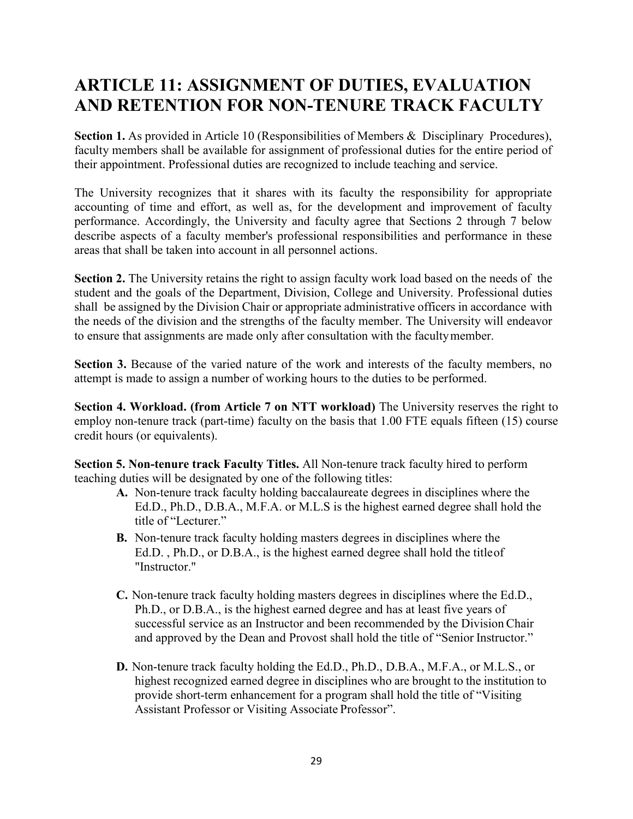## <span id="page-29-0"></span>**ARTICLE 11: ASSIGNMENT OF DUTIES, EVALUATION AND RETENTION FOR NON-TENURE TRACK FACULTY**

Section 1. As provided in Article 10 (Responsibilities of Members & Disciplinary Procedures), faculty members shall be available for assignment of professional duties for the entire period of their appointment. Professional duties are recognized to include teaching and service.

The University recognizes that it shares with its faculty the responsibility for appropriate accounting of time and effort, as well as, for the development and improvement of faculty performance. Accordingly, the University and faculty agree that Sections 2 through 7 below describe aspects of a faculty member's professional responsibilities and performance in these areas that shall be taken into account in all personnel actions.

**Section 2.** The University retains the right to assign faculty work load based on the needs of the student and the goals of the Department, Division, College and University. Professional duties shall be assigned by the Division Chair or appropriate administrative officers in accordance with the needs of the division and the strengths of the faculty member. The University will endeavor to ensure that assignments are made only after consultation with the facultymember.

**Section 3.** Because of the varied nature of the work and interests of the faculty members, no attempt is made to assign a number of working hours to the duties to be performed.

**Section 4. Workload. (from Article 7 on NTT workload)** The University reserves the right to employ non-tenure track (part-time) faculty on the basis that 1.00 FTE equals fifteen (15) course credit hours (or equivalents).

**Section 5. Non-tenure track Faculty Titles.** All Non-tenure track faculty hired to perform teaching duties will be designated by one of the following titles:

- **A.** Non-tenure track faculty holding baccalaureate degrees in disciplines where the Ed.D., Ph.D., D.B.A., M.F.A. or M.L.S is the highest earned degree shall hold the title of "Lecturer."
- **B.** Non-tenure track faculty holding masters degrees in disciplines where the Ed.D. , Ph.D., or D.B.A., is the highest earned degree shall hold the titleof "Instructor."
- **C.** Non-tenure track faculty holding masters degrees in disciplines where the Ed.D., Ph.D., or D.B.A., is the highest earned degree and has at least five years of successful service as an Instructor and been recommended by the Division Chair and approved by the Dean and Provost shall hold the title of "Senior Instructor."
- **D.** Non-tenure track faculty holding the Ed.D., Ph.D., D.B.A., M.F.A., or M.L.S., or highest recognized earned degree in disciplines who are brought to the institution to provide short-term enhancement for a program shall hold the title of "Visiting Assistant Professor or Visiting Associate Professor".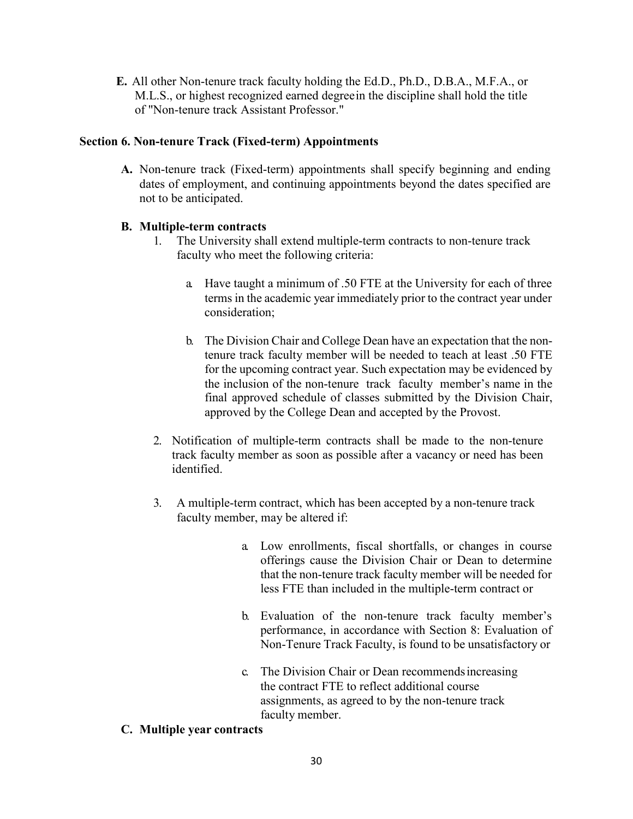**E.** All other Non-tenure track faculty holding the Ed.D., Ph.D., D.B.A., M.F.A., or M.L.S., or highest recognized earned degreein the discipline shall hold the title of "Non-tenure track Assistant Professor."

#### **Section 6. Non-tenure Track (Fixed-term) Appointments**

**A.** Non-tenure track (Fixed-term) appointments shall specify beginning and ending dates of employment, and continuing appointments beyond the dates specified are not to be anticipated.

#### **B. Multiple-term contracts**

- 1. The University shall extend multiple-term contracts to non-tenure track faculty who meet the following criteria:
	- a. Have taught a minimum of .50 FTE at the University for each of three terms in the academic year immediately prior to the contract year under consideration;
	- b. The Division Chair and College Dean have an expectation that the nontenure track faculty member will be needed to teach at least .50 FTE for the upcoming contract year. Such expectation may be evidenced by the inclusion of the non-tenure track faculty member's name in the final approved schedule of classes submitted by the Division Chair, approved by the College Dean and accepted by the Provost.
- 2. Notification of multiple-term contracts shall be made to the non-tenure track faculty member as soon as possible after a vacancy or need has been identified.
- 3. A multiple-term contract, which has been accepted by a non-tenure track faculty member, may be altered if:
	- a. Low enrollments, fiscal shortfalls, or changes in course offerings cause the Division Chair or Dean to determine that the non-tenure track faculty member will be needed for less FTE than included in the multiple-term contract or
	- b. Evaluation of the non-tenure track faculty member's performance, in accordance with Section 8: Evaluation of Non-Tenure Track Faculty, is found to be unsatisfactory or
	- c. The Division Chair or Dean recommendsincreasing the contract FTE to reflect additional course assignments, as agreed to by the non-tenure track faculty member.

#### **C. Multiple year contracts**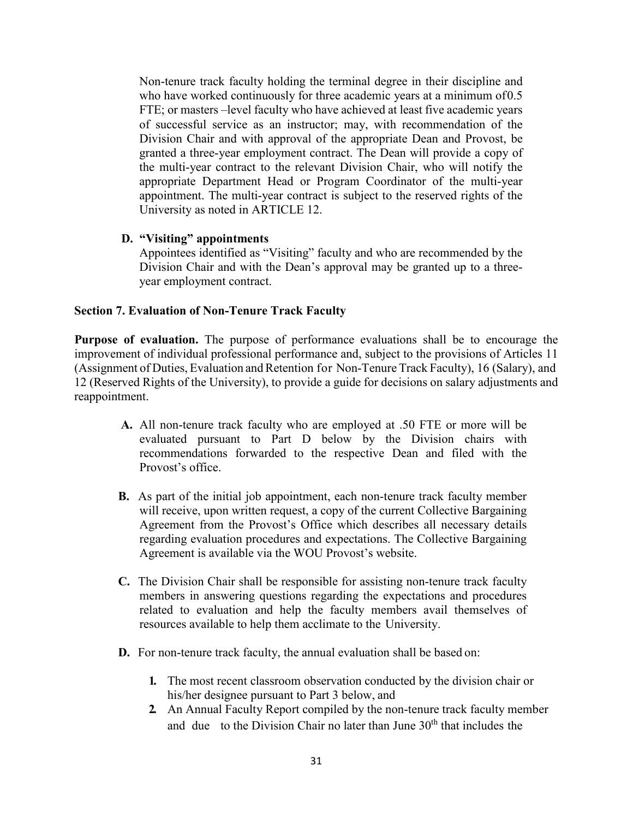Non-tenure track faculty holding the terminal degree in their discipline and who have worked continuously for three academic years at a minimum of0.5 FTE; or masters –level faculty who have achieved at least five academic years of successful service as an instructor; may, with recommendation of the Division Chair and with approval of the appropriate Dean and Provost, be granted a three-year employment contract. The Dean will provide a copy of the multi-year contract to the relevant Division Chair, who will notify the appropriate Department Head or Program Coordinator of the multi-year appointment. The multi-year contract is subject to the reserved rights of the University as noted in ARTICLE 12.

#### **D. "Visiting" appointments**

Appointees identified as "Visiting" faculty and who are recommended by the Division Chair and with the Dean's approval may be granted up to a threeyear employment contract.

#### **Section 7. Evaluation of Non-Tenure Track Faculty**

**Purpose of evaluation.** The purpose of performance evaluations shall be to encourage the improvement of individual professional performance and, subject to the provisions of Articles 11 (Assignment of Duties, Evaluation and Retention for Non-Tenure Track Faculty), 16 (Salary), and 12 (Reserved Rights of the University), to provide a guide for decisions on salary adjustments and reappointment.

- **A.** All non-tenure track faculty who are employed at .50 FTE or more will be evaluated pursuant to Part D below by the Division chairs with recommendations forwarded to the respective Dean and filed with the Provost's office.
- **B.** As part of the initial job appointment, each non-tenure track faculty member will receive, upon written request, a copy of the current Collective Bargaining Agreement from the Provost's Office which describes all necessary details regarding evaluation procedures and expectations. The Collective Bargaining Agreement is available via the WOU Provost's website.
- **C.** The Division Chair shall be responsible for assisting non-tenure track faculty members in answering questions regarding the expectations and procedures related to evaluation and help the faculty members avail themselves of resources available to help them acclimate to the University.
- **D.** For non-tenure track faculty, the annual evaluation shall be based on:
	- **1.** The most recent classroom observation conducted by the division chair or his/her designee pursuant to Part 3 below, and
	- **2.** An Annual Faculty Report compiled by the non-tenure track faculty member and due to the Division Chair no later than June  $30<sup>th</sup>$  that includes the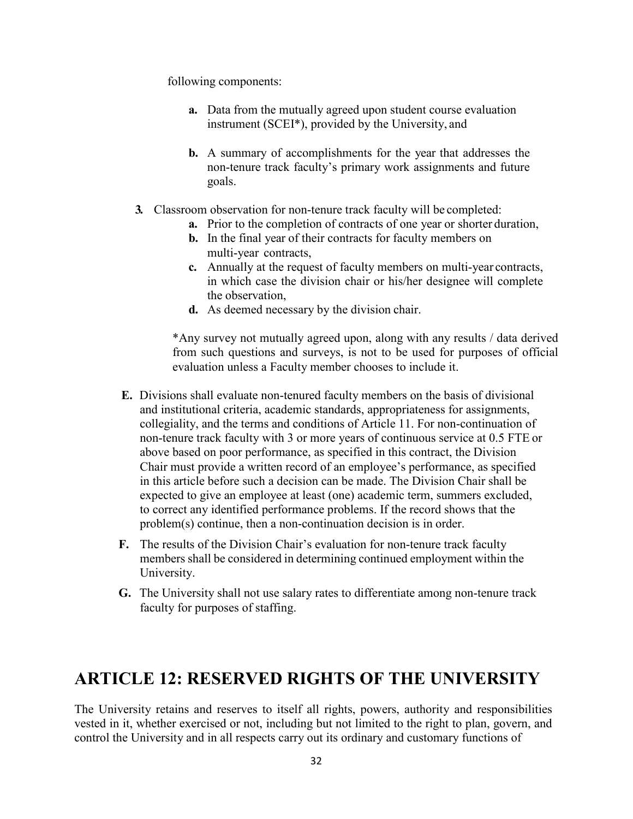following components:

- **a.** Data from the mutually agreed upon student course evaluation instrument (SCEI\*), provided by the University, and
- **b.** A summary of accomplishments for the year that addresses the non-tenure track faculty's primary work assignments and future goals.
- **3.** Classroom observation for non-tenure track faculty will be completed:
	- **a.** Prior to the completion of contracts of one year or shorter duration,
	- **b.** In the final year of their contracts for faculty members on multi-year contracts,
	- **c.** Annually at the request of faculty members on multi-year contracts, in which case the division chair or his/her designee will complete the observation,
	- **d.** As deemed necessary by the division chair.

\*Any survey not mutually agreed upon, along with any results / data derived from such questions and surveys, is not to be used for purposes of official evaluation unless a Faculty member chooses to include it.

- **E.** Divisions shall evaluate non-tenured faculty members on the basis of divisional and institutional criteria, academic standards, appropriateness for assignments, collegiality, and the terms and conditions of Article 11. For non-continuation of non-tenure track faculty with 3 or more years of continuous service at 0.5 FTE or above based on poor performance, as specified in this contract, the Division Chair must provide a written record of an employee's performance, as specified in this article before such a decision can be made. The Division Chair shall be expected to give an employee at least (one) academic term, summers excluded, to correct any identified performance problems. If the record shows that the problem(s) continue, then a non-continuation decision is in order.
- **F.** The results of the Division Chair's evaluation for non-tenure track faculty members shall be considered in determining continued employment within the University.
- **G.** The University shall not use salary rates to differentiate among non-tenure track faculty for purposes of staffing.

### <span id="page-32-0"></span>**ARTICLE 12: RESERVED RIGHTS OF THE UNIVERSITY**

The University retains and reserves to itself all rights, powers, authority and responsibilities vested in it, whether exercised or not, including but not limited to the right to plan, govern, and control the University and in all respects carry out its ordinary and customary functions of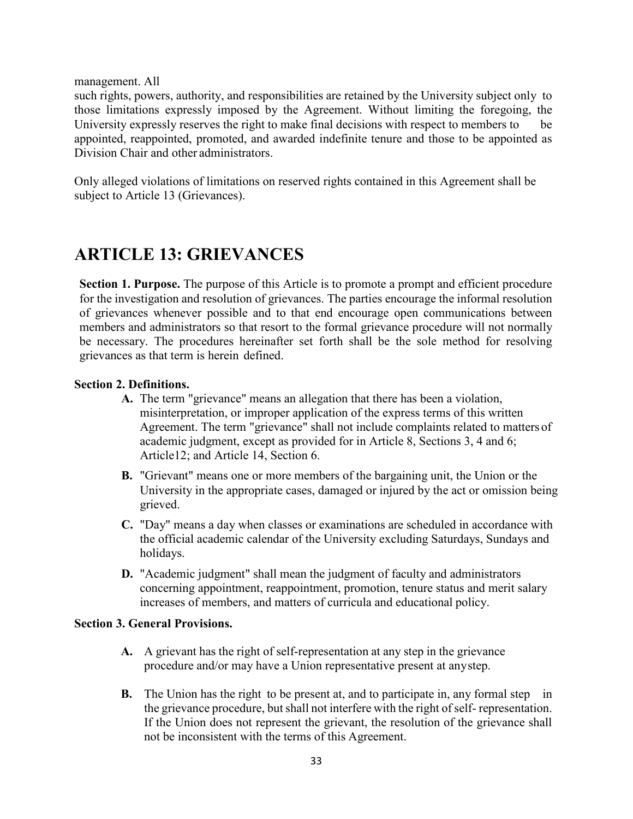management. All

such rights, powers, authority, and responsibilities are retained by the University subject only to those limitations expressly imposed by the Agreement. Without limiting the foregoing, the University expressly reserves the right to make final decisions with respect to members to be appointed, reappointed, promoted, and awarded indefinite tenure and those to be appointed as Division Chair and other administrators.

Only alleged violations of limitations on reserved rights contained in this Agreement shall be subject to Article 13 (Grievances).

## <span id="page-33-0"></span>**ARTICLE 13: GRIEVANCES**

**Section 1. Purpose.** The purpose of this Article is to promote a prompt and efficient procedure for the investigation and resolution of grievances. The parties encourage the informal resolution of grievances whenever possible and to that end encourage open communications between members and administrators so that resort to the formal grievance procedure will not normally be necessary. The procedures hereinafter set forth shall be the sole method for resolving grievances as that term is herein defined.

#### **Section 2. Definitions.**

- **A.** The term "grievance" means an allegation that there has been a violation, misinterpretation, or improper application of the express terms of this written Agreement. The term "grievance" shall not include complaints related to matters of academic judgment, except as provided for in Article 8, Sections 3, 4 and 6; Article12; and Article 14, Section 6.
- **B.** "Grievant" means one or more members of the bargaining unit, the Union or the University in the appropriate cases, damaged or injured by the act or omission being grieved.
- **C.** "Day" means a day when classes or examinations are scheduled in accordance with the official academic calendar of the University excluding Saturdays, Sundays and holidays.
- **D.** "Academic judgment" shall mean the judgment of faculty and administrators concerning appointment, reappointment, promotion, tenure status and merit salary increases of members, and matters of curricula and educational policy.

#### **Section 3. General Provisions.**

- **A.** A grievant has the right of self-representation at any step in the grievance procedure and/or may have a Union representative present at anystep.
- **B.** The Union has the right to be present at, and to participate in, any formal step in the grievance procedure, but shall not interfere with the right of self- representation. If the Union does not represent the grievant, the resolution of the grievance shall not be inconsistent with the terms of this Agreement.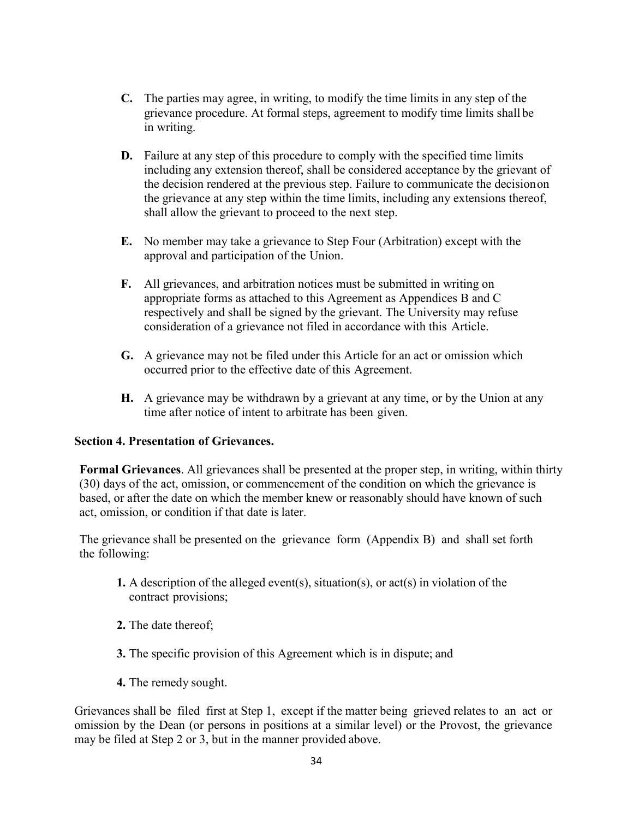- **C.** The parties may agree, in writing, to modify the time limits in any step of the grievance procedure. At formal steps, agreement to modify time limits shall be in writing.
- **D.** Failure at any step of this procedure to comply with the specified time limits including any extension thereof, shall be considered acceptance by the grievant of the decision rendered at the previous step. Failure to communicate the decisionon the grievance at any step within the time limits, including any extensions thereof, shall allow the grievant to proceed to the next step.
- **E.** No member may take a grievance to Step Four (Arbitration) except with the approval and participation of the Union.
- **F.** All grievances, and arbitration notices must be submitted in writing on appropriate forms as attached to this Agreement as Appendices B and C respectively and shall be signed by the grievant. The University may refuse consideration of a grievance not filed in accordance with this Article.
- **G.** A grievance may not be filed under this Article for an act or omission which occurred prior to the effective date of this Agreement.
- **H.** A grievance may be withdrawn by a grievant at any time, or by the Union at any time after notice of intent to arbitrate has been given.

#### **Section 4. Presentation of Grievances.**

**Formal Grievances**. All grievances shall be presented at the proper step, in writing, within thirty (30) days of the act, omission, or commencement of the condition on which the grievance is based, or after the date on which the member knew or reasonably should have known of such act, omission, or condition if that date is later.

The grievance shall be presented on the grievance form (Appendix B) and shall set forth the following:

- **1.** A description of the alleged event(s), situation(s), or act(s) in violation of the contract provisions;
- **2.** The date thereof;
- **3.** The specific provision of this Agreement which is in dispute; and
- **4.** The remedy sought.

Grievances shall be filed first at Step 1, except if the matter being grieved relates to an act or omission by the Dean (or persons in positions at a similar level) or the Provost, the grievance may be filed at Step 2 or 3, but in the manner provided above.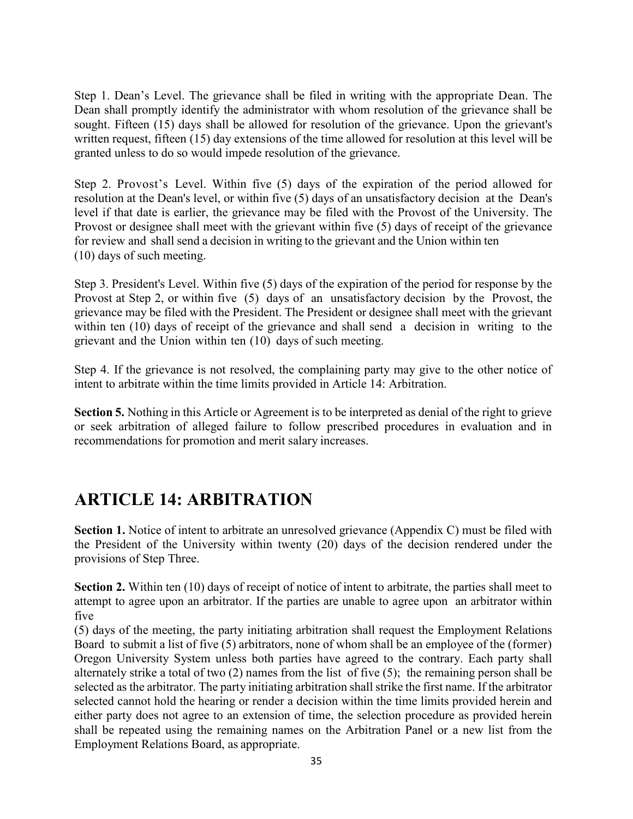Step 1. Dean's Level. The grievance shall be filed in writing with the appropriate Dean. The Dean shall promptly identify the administrator with whom resolution of the grievance shall be sought. Fifteen (15) days shall be allowed for resolution of the grievance. Upon the grievant's written request, fifteen (15) day extensions of the time allowed for resolution at this level will be granted unless to do so would impede resolution of the grievance.

Step 2. Provost's Level. Within five (5) days of the expiration of the period allowed for resolution at the Dean's level, or within five (5) days of an unsatisfactory decision at the Dean's level if that date is earlier, the grievance may be filed with the Provost of the University. The Provost or designee shall meet with the grievant within five (5) days of receipt of the grievance for review and shall send a decision in writing to the grievant and the Union within ten (10) days of such meeting.

Step 3. President's Level. Within five (5) days of the expiration of the period for response by the Provost at Step 2, or within five (5) days of an unsatisfactory decision by the Provost, the grievance may be filed with the President. The President or designee shall meet with the grievant within ten (10) days of receipt of the grievance and shall send a decision in writing to the grievant and the Union within ten (10) days of such meeting.

Step 4. If the grievance is not resolved, the complaining party may give to the other notice of intent to arbitrate within the time limits provided in Article 14: Arbitration.

**Section 5.** Nothing in this Article or Agreement is to be interpreted as denial of the right to grieve or seek arbitration of alleged failure to follow prescribed procedures in evaluation and in recommendations for promotion and merit salary increases.

### <span id="page-35-0"></span>**ARTICLE 14: ARBITRATION**

**Section 1.** Notice of intent to arbitrate an unresolved grievance (Appendix C) must be filed with the President of the University within twenty (20) days of the decision rendered under the provisions of Step Three.

**Section 2.** Within ten (10) days of receipt of notice of intent to arbitrate, the parties shall meet to attempt to agree upon an arbitrator. If the parties are unable to agree upon an arbitrator within five

(5) days of the meeting, the party initiating arbitration shall request the Employment Relations Board to submit a list of five (5) arbitrators, none of whom shall be an employee of the (former) Oregon University System unless both parties have agreed to the contrary. Each party shall alternately strike a total of two (2) names from the list of five (5); the remaining person shall be selected as the arbitrator. The party initiating arbitration shall strike the first name. If the arbitrator selected cannot hold the hearing or render a decision within the time limits provided herein and either party does not agree to an extension of time, the selection procedure as provided herein shall be repeated using the remaining names on the Arbitration Panel or a new list from the Employment Relations Board, as appropriate.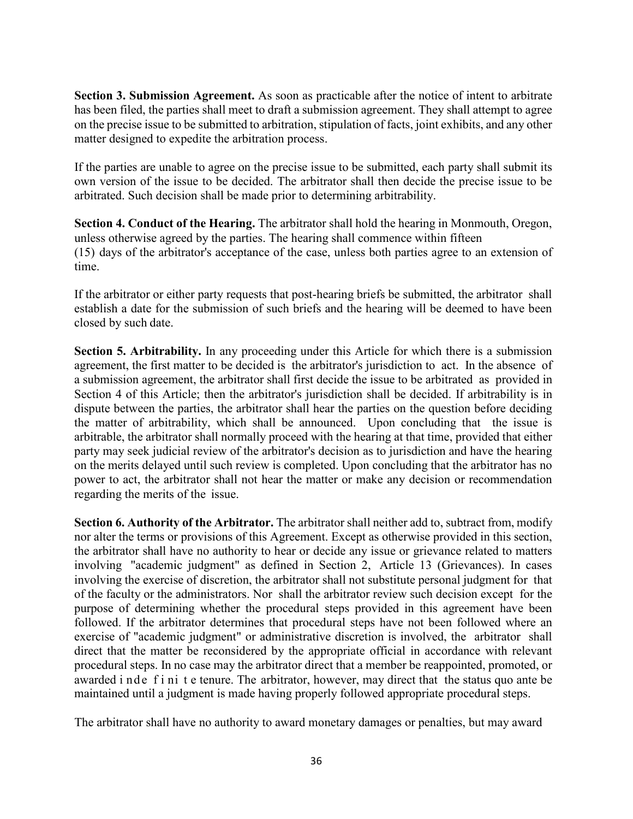**Section 3. Submission Agreement.** As soon as practicable after the notice of intent to arbitrate has been filed, the parties shall meet to draft a submission agreement. They shall attempt to agree on the precise issue to be submitted to arbitration, stipulation of facts, joint exhibits, and any other matter designed to expedite the arbitration process.

If the parties are unable to agree on the precise issue to be submitted, each party shall submit its own version of the issue to be decided. The arbitrator shall then decide the precise issue to be arbitrated. Such decision shall be made prior to determining arbitrability.

**Section 4. Conduct of the Hearing.** The arbitrator shall hold the hearing in Monmouth, Oregon, unless otherwise agreed by the parties. The hearing shall commence within fifteen (15) days of the arbitrator's acceptance of the case, unless both parties agree to an extension of time.

If the arbitrator or either party requests that post-hearing briefs be submitted, the arbitrator shall establish a date for the submission of such briefs and the hearing will be deemed to have been closed by such date.

**Section 5. Arbitrability.** In any proceeding under this Article for which there is a submission agreement, the first matter to be decided is the arbitrator's jurisdiction to act. In the absence of a submission agreement, the arbitrator shall first decide the issue to be arbitrated as provided in Section 4 of this Article; then the arbitrator's jurisdiction shall be decided. If arbitrability is in dispute between the parties, the arbitrator shall hear the parties on the question before deciding the matter of arbitrability, which shall be announced. Upon concluding that the issue is arbitrable, the arbitrator shall normally proceed with the hearing at that time, provided that either party may seek judicial review of the arbitrator's decision as to jurisdiction and have the hearing on the merits delayed until such review is completed. Upon concluding that the arbitrator has no power to act, the arbitrator shall not hear the matter or make any decision or recommendation regarding the merits of the issue.

**Section 6. Authority of the Arbitrator.** The arbitrator shall neither add to, subtract from, modify nor alter the terms or provisions of this Agreement. Except as otherwise provided in this section, the arbitrator shall have no authority to hear or decide any issue or grievance related to matters involving "academic judgment" as defined in Section 2, Article 13 (Grievances). In cases involving the exercise of discretion, the arbitrator shall not substitute personal judgment for that of the faculty or the administrators. Nor shall the arbitrator review such decision except for the purpose of determining whether the procedural steps provided in this agreement have been followed. If the arbitrator determines that procedural steps have not been followed where an exercise of "academic judgment" or administrative discretion is involved, the arbitrator shall direct that the matter be reconsidered by the appropriate official in accordance with relevant procedural steps. In no case may the arbitrator direct that a member be reappointed, promoted, or awarded i nde f i ni t e tenure. The arbitrator, however, may direct that the status quo ante be maintained until a judgment is made having properly followed appropriate procedural steps.

The arbitrator shall have no authority to award monetary damages or penalties, but may award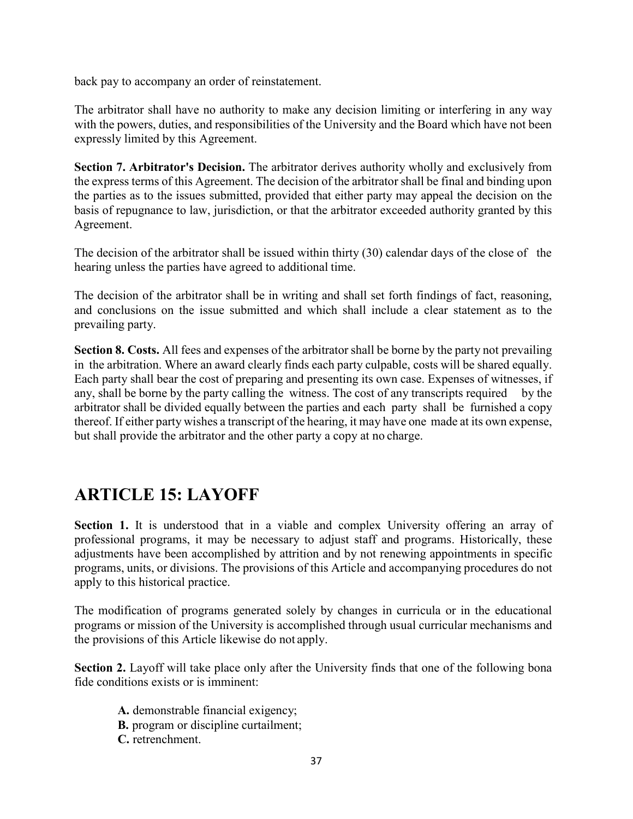back pay to accompany an order of reinstatement.

The arbitrator shall have no authority to make any decision limiting or interfering in any way with the powers, duties, and responsibilities of the University and the Board which have not been expressly limited by this Agreement.

**Section 7. Arbitrator's Decision.** The arbitrator derives authority wholly and exclusively from the express terms of this Agreement. The decision of the arbitrator shall be final and binding upon the parties as to the issues submitted, provided that either party may appeal the decision on the basis of repugnance to law, jurisdiction, or that the arbitrator exceeded authority granted by this Agreement.

The decision of the arbitrator shall be issued within thirty (30) calendar days of the close of the hearing unless the parties have agreed to additional time.

The decision of the arbitrator shall be in writing and shall set forth findings of fact, reasoning, and conclusions on the issue submitted and which shall include a clear statement as to the prevailing party.

**Section 8. Costs.** All fees and expenses of the arbitrator shall be borne by the party not prevailing in the arbitration. Where an award clearly finds each party culpable, costs will be shared equally. Each party shall bear the cost of preparing and presenting its own case. Expenses of witnesses, if any, shall be borne by the party calling the witness. The cost of any transcripts required by the arbitrator shall be divided equally between the parties and each party shall be furnished a copy thereof. If either party wishes a transcript of the hearing, it may have one made at its own expense, but shall provide the arbitrator and the other party a copy at no charge.

# **ARTICLE 15: LAYOFF**

Section 1. It is understood that in a viable and complex University offering an array of professional programs, it may be necessary to adjust staff and programs. Historically, these adjustments have been accomplished by attrition and by not renewing appointments in specific programs, units, or divisions. The provisions of this Article and accompanying procedures do not apply to this historical practice.

The modification of programs generated solely by changes in curricula or in the educational programs or mission of the University is accomplished through usual curricular mechanisms and the provisions of this Article likewise do not apply.

**Section 2.** Layoff will take place only after the University finds that one of the following bona fide conditions exists or is imminent:

- **A.** demonstrable financial exigency;
- **B.** program or discipline curtailment;
- **C.** retrenchment.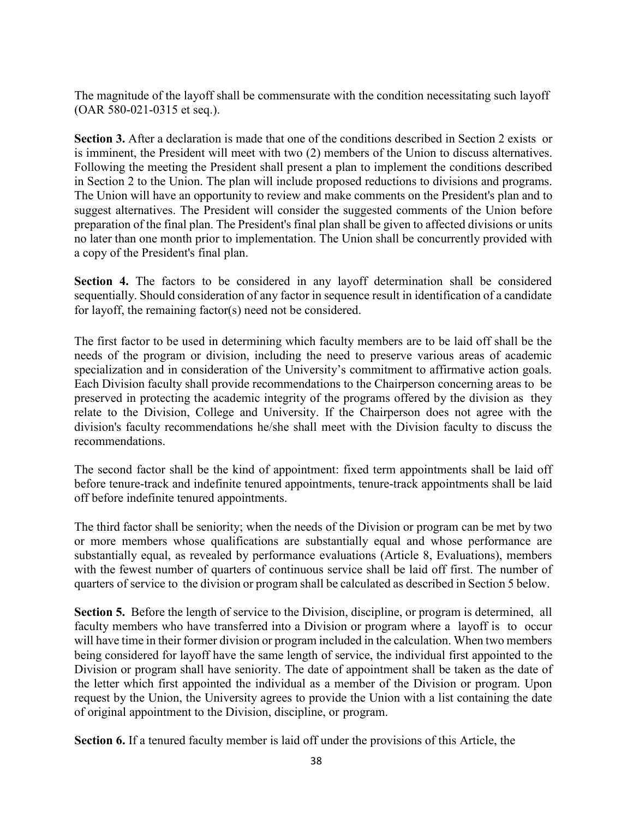The magnitude of the layoff shall be commensurate with the condition necessitating such layoff (OAR 580-021-0315 et seq.).

**Section 3.** After a declaration is made that one of the conditions described in Section 2 exists or is imminent, the President will meet with two (2) members of the Union to discuss alternatives. Following the meeting the President shall present a plan to implement the conditions described in Section 2 to the Union. The plan will include proposed reductions to divisions and programs. The Union will have an opportunity to review and make comments on the President's plan and to suggest alternatives. The President will consider the suggested comments of the Union before preparation of the final plan. The President's final plan shall be given to affected divisions or units no later than one month prior to implementation. The Union shall be concurrently provided with a copy of the President's final plan.

**Section 4.** The factors to be considered in any layoff determination shall be considered sequentially. Should consideration of any factor in sequence result in identification of a candidate for layoff, the remaining factor(s) need not be considered.

The first factor to be used in determining which faculty members are to be laid off shall be the needs of the program or division, including the need to preserve various areas of academic specialization and in consideration of the University's commitment to affirmative action goals. Each Division faculty shall provide recommendations to the Chairperson concerning areas to be preserved in protecting the academic integrity of the programs offered by the division as they relate to the Division, College and University. If the Chairperson does not agree with the division's faculty recommendations he/she shall meet with the Division faculty to discuss the recommendations.

The second factor shall be the kind of appointment: fixed term appointments shall be laid off before tenure-track and indefinite tenured appointments, tenure-track appointments shall be laid off before indefinite tenured appointments.

The third factor shall be seniority; when the needs of the Division or program can be met by two or more members whose qualifications are substantially equal and whose performance are substantially equal, as revealed by performance evaluations (Article 8, Evaluations), members with the fewest number of quarters of continuous service shall be laid off first. The number of quarters of service to the division or program shall be calculated as described in Section 5 below.

**Section 5.** Before the length of service to the Division, discipline, or program is determined, all faculty members who have transferred into a Division or program where a layoff is to occur will have time in their former division or program included in the calculation. When two members being considered for layoff have the same length of service, the individual first appointed to the Division or program shall have seniority. The date of appointment shall be taken as the date of the letter which first appointed the individual as a member of the Division or program. Upon request by the Union, the University agrees to provide the Union with a list containing the date of original appointment to the Division, discipline, or program.

**Section 6.** If a tenured faculty member is laid off under the provisions of this Article, the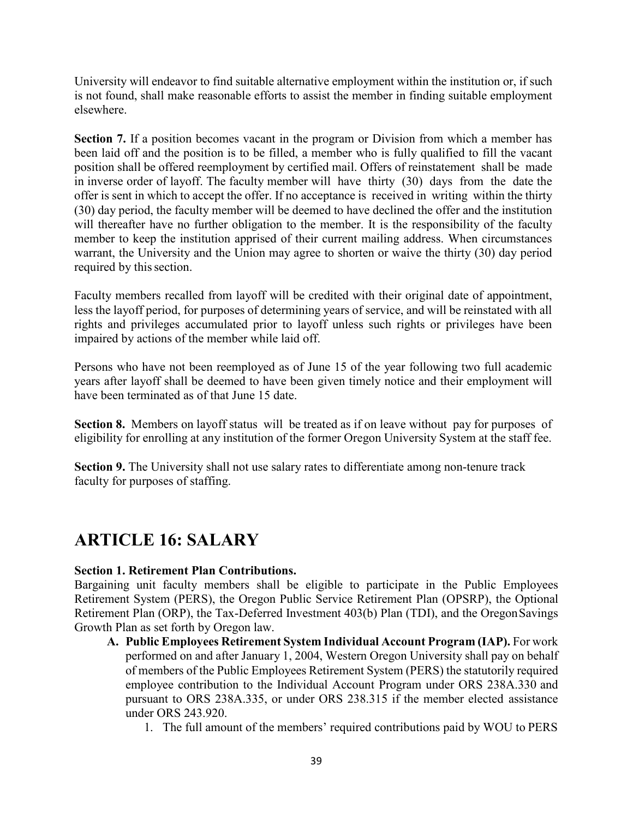University will endeavor to find suitable alternative employment within the institution or, if such is not found, shall make reasonable efforts to assist the member in finding suitable employment elsewhere.

**Section 7.** If a position becomes vacant in the program or Division from which a member has been laid off and the position is to be filled, a member who is fully qualified to fill the vacant position shall be offered reemployment by certified mail. Offers of reinstatement shall be made in inverse order of layoff. The faculty member will have thirty (30) days from the date the offer is sent in which to accept the offer. If no acceptance is received in writing within the thirty (30) day period, the faculty member will be deemed to have declined the offer and the institution will thereafter have no further obligation to the member. It is the responsibility of the faculty member to keep the institution apprised of their current mailing address. When circumstances warrant, the University and the Union may agree to shorten or waive the thirty (30) day period required by this section.

Faculty members recalled from layoff will be credited with their original date of appointment, less the layoff period, for purposes of determining years of service, and will be reinstated with all rights and privileges accumulated prior to layoff unless such rights or privileges have been impaired by actions of the member while laid off.

Persons who have not been reemployed as of June 15 of the year following two full academic years after layoff shall be deemed to have been given timely notice and their employment will have been terminated as of that June 15 date.

**Section 8.** Members on layoff status will be treated as if on leave without pay for purposes of eligibility for enrolling at any institution of the former Oregon University System at the staff fee.

**Section 9.** The University shall not use salary rates to differentiate among non-tenure track faculty for purposes of staffing.

# **ARTICLE 16: SALARY**

### **Section 1. Retirement Plan Contributions.**

Bargaining unit faculty members shall be eligible to participate in the Public Employees Retirement System (PERS), the Oregon Public Service Retirement Plan (OPSRP), the Optional Retirement Plan (ORP), the Tax-Deferred Investment 403(b) Plan (TDI), and the OregonSavings Growth Plan as set forth by Oregon law.

- **A. Public Employees Retirement System Individual Account Program (IAP).** For work performed on and after January 1, 2004, Western Oregon University shall pay on behalf of members of the Public Employees Retirement System (PERS) the statutorily required employee contribution to the Individual Account Program under ORS 238A.330 and pursuant to ORS 238A.335, or under ORS 238.315 if the member elected assistance under ORS 243.920.
	- 1. The full amount of the members' required contributions paid by WOU to PERS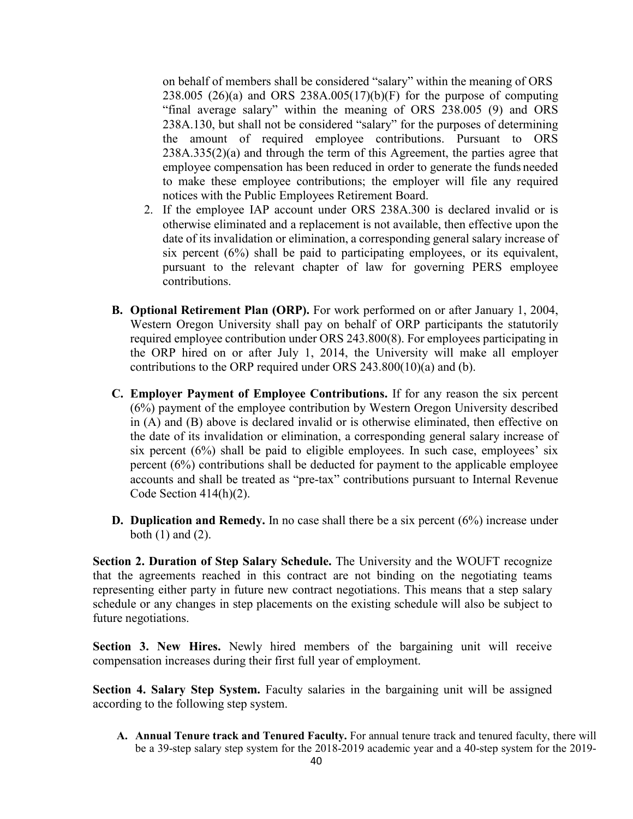on behalf of members shall be considered "salary" within the meaning of ORS 238.005 (26)(a) and ORS 238A.005(17)(b)(F) for the purpose of computing "final average salary" within the meaning of ORS 238.005 (9) and ORS 238A.130, but shall not be considered "salary" for the purposes of determining the amount of required employee contributions. Pursuant to ORS 238A.335(2)(a) and through the term of this Agreement, the parties agree that employee compensation has been reduced in order to generate the funds needed to make these employee contributions; the employer will file any required notices with the Public Employees Retirement Board.

- 2. If the employee IAP account under ORS 238A.300 is declared invalid or is otherwise eliminated and a replacement is not available, then effective upon the date of its invalidation or elimination, a corresponding general salary increase of six percent (6%) shall be paid to participating employees, or its equivalent, pursuant to the relevant chapter of law for governing PERS employee contributions.
- **B. Optional Retirement Plan (ORP).** For work performed on or after January 1, 2004, Western Oregon University shall pay on behalf of ORP participants the statutorily required employee contribution under ORS 243.800(8). For employees participating in the ORP hired on or after July 1, 2014, the University will make all employer contributions to the ORP required under ORS 243.800(10)(a) and (b).
- **C. Employer Payment of Employee Contributions.** If for any reason the six percent (6%) payment of the employee contribution by Western Oregon University described in (A) and (B) above is declared invalid or is otherwise eliminated, then effective on the date of its invalidation or elimination, a corresponding general salary increase of six percent  $(6\%)$  shall be paid to eligible employees. In such case, employees' six percent (6%) contributions shall be deducted for payment to the applicable employee accounts and shall be treated as "pre-tax" contributions pursuant to Internal Revenue Code Section 414(h)(2).
- **D. Duplication and Remedy.** In no case shall there be a six percent (6%) increase under both  $(1)$  and  $(2)$ .

**Section 2. Duration of Step Salary Schedule.** The University and the WOUFT recognize that the agreements reached in this contract are not binding on the negotiating teams representing either party in future new contract negotiations. This means that a step salary schedule or any changes in step placements on the existing schedule will also be subject to future negotiations.

**Section 3. New Hires.** Newly hired members of the bargaining unit will receive compensation increases during their first full year of employment.

Section 4. Salary Step System. Faculty salaries in the bargaining unit will be assigned according to the following step system.

**A. Annual Tenure track and Tenured Faculty.** For annual tenure track and tenured faculty, there will be a 39-step salary step system for the 2018-2019 academic year and a 40-step system for the 2019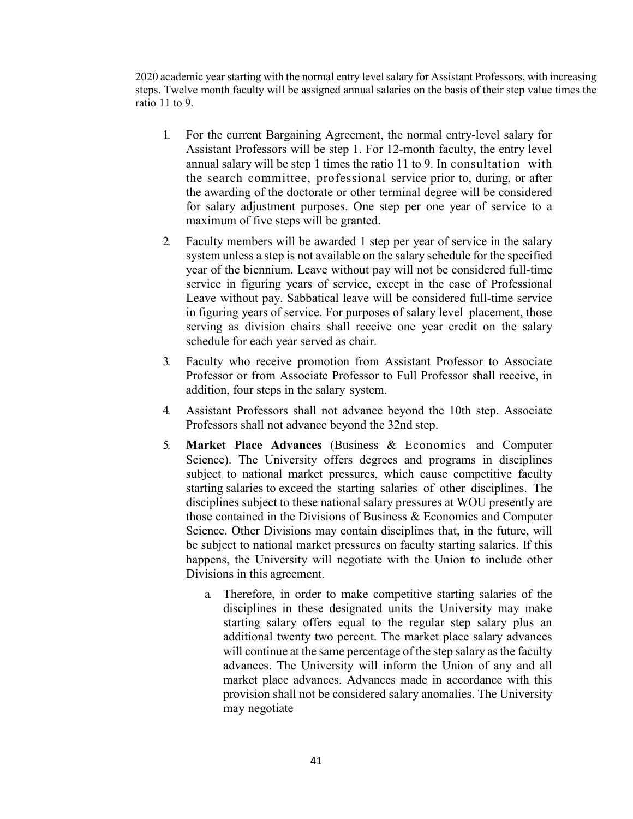2020 academic yearstarting with the normal entry level salary for Assistant Professors, with increasing steps. Twelve month faculty will be assigned annual salaries on the basis of their step value times the ratio 11 to 9.

- 1. For the current Bargaining Agreement, the normal entry-level salary for Assistant Professors will be step 1. For 12-month faculty, the entry level annual salary will be step 1 times the ratio 11 to 9. In consultation with the search committee, professional service prior to, during, or after the awarding of the doctorate or other terminal degree will be considered for salary adjustment purposes. One step per one year of service to a maximum of five steps will be granted.
- 2. Faculty members will be awarded 1 step per year of service in the salary system unless a step is not available on the salary schedule for the specified year of the biennium. Leave without pay will not be considered full-time service in figuring years of service, except in the case of Professional Leave without pay. Sabbatical leave will be considered full-time service in figuring years of service. For purposes of salary level placement, those serving as division chairs shall receive one year credit on the salary schedule for each year served as chair.
- 3. Faculty who receive promotion from Assistant Professor to Associate Professor or from Associate Professor to Full Professor shall receive, in addition, four steps in the salary system.
- 4. Assistant Professors shall not advance beyond the 10th step. Associate Professors shall not advance beyond the 32nd step.
- 5. **Market Place Advances** (Business & Economics and Computer Science). The University offers degrees and programs in disciplines subject to national market pressures, which cause competitive faculty starting salaries to exceed the starting salaries of other disciplines. The disciplines subject to these national salary pressures at WOU presently are those contained in the Divisions of Business & Economics and Computer Science. Other Divisions may contain disciplines that, in the future, will be subject to national market pressures on faculty starting salaries. If this happens, the University will negotiate with the Union to include other Divisions in this agreement.
	- a. Therefore, in order to make competitive starting salaries of the disciplines in these designated units the University may make starting salary offers equal to the regular step salary plus an additional twenty two percent. The market place salary advances will continue at the same percentage of the step salary as the faculty advances. The University will inform the Union of any and all market place advances. Advances made in accordance with this provision shall not be considered salary anomalies. The University may negotiate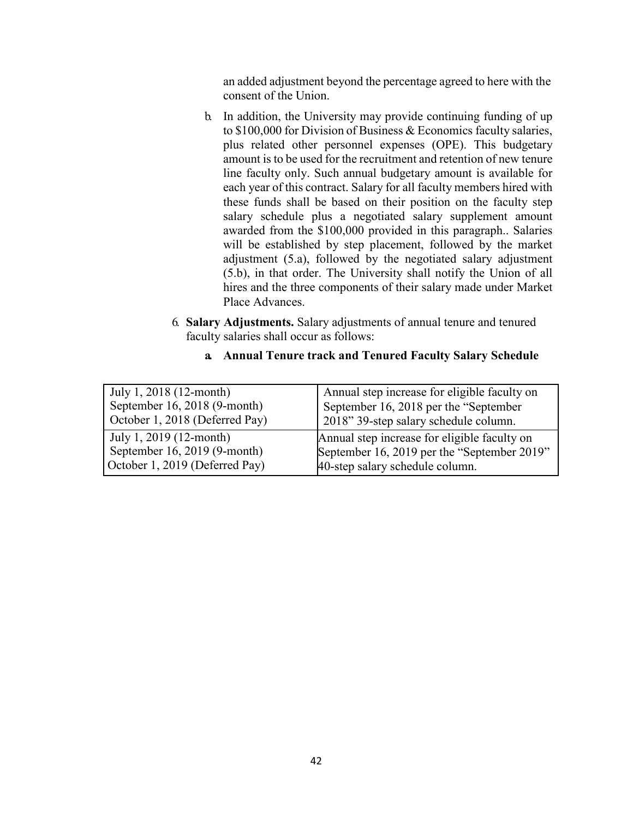an added adjustment beyond the percentage agreed to here with the consent of the Union.

- b. In addition, the University may provide continuing funding of up to \$100,000 for Division of Business & Economics faculty salaries, plus related other personnel expenses (OPE). This budgetary amount is to be used for the recruitment and retention of new tenure line faculty only. Such annual budgetary amount is available for each year of this contract. Salary for all faculty members hired with these funds shall be based on their position on the faculty step salary schedule plus a negotiated salary supplement amount awarded from the \$100,000 provided in this paragraph.. Salaries will be established by step placement, followed by the market adjustment (5.a), followed by the negotiated salary adjustment (5.b), in that order. The University shall notify the Union of all hires and the three components of their salary made under Market Place Advances.
- 6. **Salary Adjustments.** Salary adjustments of annual tenure and tenured faculty salaries shall occur as follows:

| July 1, 2018 (12-month)         | Annual step increase for eligible faculty on |
|---------------------------------|----------------------------------------------|
| September 16, 2018 $(9$ -month) | September 16, 2018 per the "September"       |
| October 1, 2018 (Deferred Pay)  | 2018" 39-step salary schedule column.        |
| July 1, 2019 (12-month)         | Annual step increase for eligible faculty on |
| September 16, 2019 (9-month)    | September 16, 2019 per the "September 2019"  |
| October 1, 2019 (Deferred Pay)  | 40-step salary schedule column.              |

#### **a. Annual Tenure track and Tenured Faculty Salary Schedule**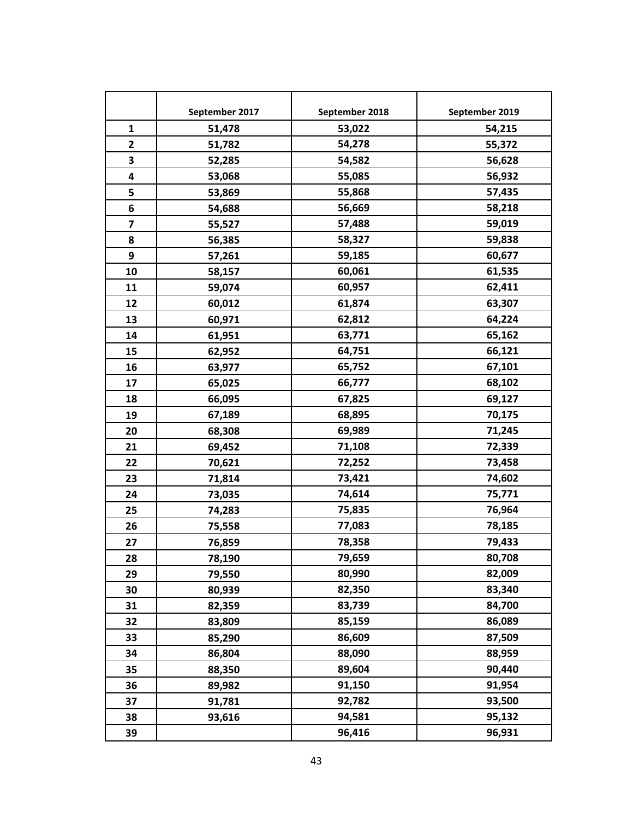|              | September 2017 | September 2018 | September 2019 |
|--------------|----------------|----------------|----------------|
| $\mathbf{1}$ | 51,478         | 53,022         | 54,215         |
| $\mathbf{2}$ | 51,782         | 54,278         | 55,372         |
| 3            | 52,285         | 54,582         | 56,628         |
| 4            | 53,068         | 55,085         | 56,932         |
| 5            | 53,869         | 55,868         | 57,435         |
| 6            | 54,688         | 56,669         | 58,218         |
| 7            | 55,527         | 57,488         | 59,019         |
| 8            | 56,385         | 58,327         | 59,838         |
| 9            | 57,261         | 59,185         | 60,677         |
| 10           | 58,157         | 60,061         | 61,535         |
| 11           | 59,074         | 60,957         | 62,411         |
| 12           | 60,012         | 61,874         | 63,307         |
| 13           | 60,971         | 62,812         | 64,224         |
| 14           | 61,951         | 63,771         | 65,162         |
| 15           | 62,952         | 64,751         | 66,121         |
| 16           | 63,977         | 65,752         | 67,101         |
| 17           | 65,025         | 66,777         | 68,102         |
| 18           | 66,095         | 67,825         | 69,127         |
| 19           | 67,189         | 68,895         | 70,175         |
| 20           | 68,308         | 69,989         | 71,245         |
| 21           | 69,452         | 71,108         | 72,339         |
| 22           | 70,621         | 72,252         | 73,458         |
| 23           | 71,814         | 73,421         | 74,602         |
| 24           | 73,035         | 74,614         | 75,771         |
| 25           | 74,283         | 75,835         | 76,964         |
| 26           | 75,558         | 77,083         | 78,185         |
| 27           | 76,859         | 78,358         | 79,433         |
| 28           | 78,190         | 79,659         | 80,708         |
| 29           | 79,550         | 80,990         | 82,009         |
| 30           | 80,939         | 82,350         | 83,340         |
| 31           | 82,359         | 83,739         | 84,700         |
| 32           | 83,809         | 85,159         | 86,089         |
| 33           | 85,290         | 86,609         | 87,509         |
| 34           | 86,804         | 88,090         | 88,959         |
| 35           | 88,350         | 89,604         | 90,440         |
| 36           | 89,982         | 91,150         | 91,954         |
| 37           | 91,781         | 92,782         | 93,500         |
| 38           | 93,616         | 94,581         | 95,132         |
| 39           |                | 96,416         | 96,931         |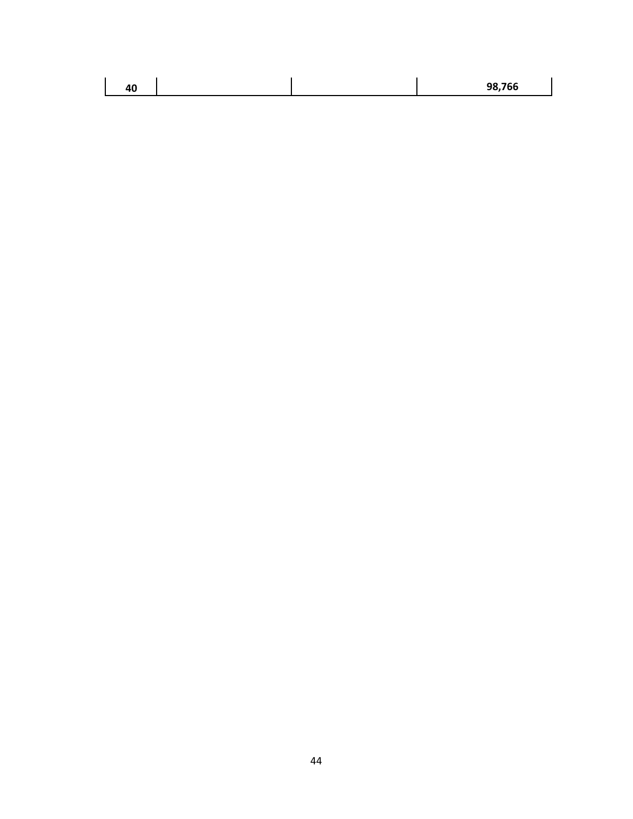|--|

 $\overline{\phantom{a}}$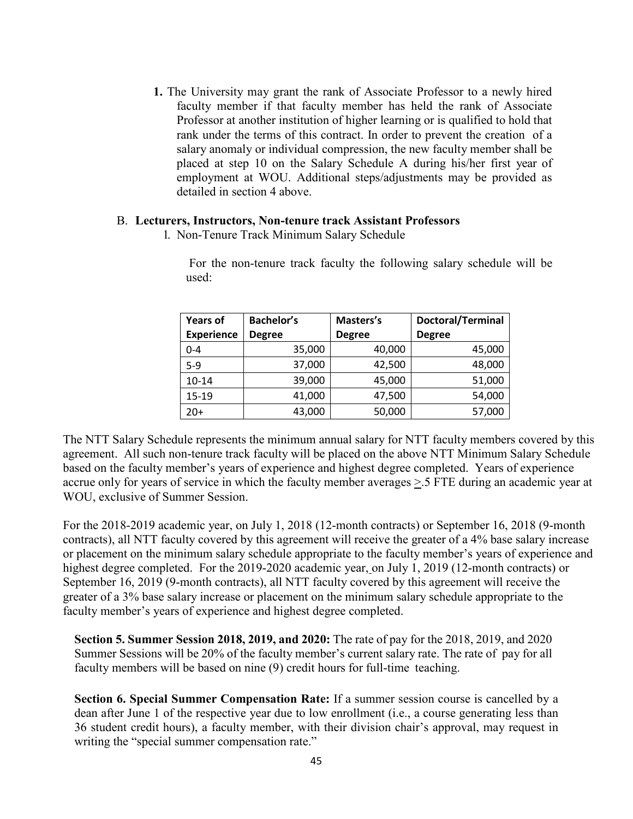**1.** The University may grant the rank of Associate Professor to a newly hired faculty member if that faculty member has held the rank of Associate Professor at another institution of higher learning or is qualified to hold that rank under the terms of this contract. In order to prevent the creation of a salary anomaly or individual compression, the new faculty member shall be placed at step 10 on the Salary Schedule A during his/her first year of employment at WOU. Additional steps/adjustments may be provided as detailed in section 4 above.

#### B. **Lecturers, Instructors, Non-tenure track Assistant Professors**

1. Non-Tenure Track Minimum Salary Schedule

For the non-tenure track faculty the following salary schedule will be used:

| <b>Years of</b>   | <b>Bachelor's</b> | Masters's     | Doctoral/Terminal |
|-------------------|-------------------|---------------|-------------------|
| <b>Experience</b> | <b>Degree</b>     | <b>Degree</b> | <b>Degree</b>     |
| $0 - 4$           | 35,000            | 40,000        | 45,000            |
| $5 - 9$           | 37,000            | 42,500        | 48,000            |
| $10 - 14$         | 39,000            | 45,000        | 51,000            |
| $15 - 19$         | 41,000            | 47,500        | 54,000            |
| $20+$             | 43,000            | 50,000        | 57,000            |

The NTT Salary Schedule represents the minimum annual salary for NTT faculty members covered by this agreement. All such non-tenure track faculty will be placed on the above NTT Minimum Salary Schedule based on the faculty member's years of experience and highest degree completed. Years of experience accrue only for years of service in which the faculty member averages >.5 FTE during an academic year at WOU, exclusive of Summer Session.

For the 2018-2019 academic year, on July 1, 2018 (12-month contracts) or September 16, 2018 (9-month contracts), all NTT faculty covered by this agreement will receive the greater of a 4% base salary increase or placement on the minimum salary schedule appropriate to the faculty member's years of experience and highest degree completed. For the 2019-2020 academic year, on July 1, 2019 (12-month contracts) or September 16, 2019 (9-month contracts), all NTT faculty covered by this agreement will receive the greater of a 3% base salary increase or placement on the minimum salary schedule appropriate to the faculty member's years of experience and highest degree completed.

**Section 5. Summer Session 2018, 2019, and 2020:** The rate of pay for the 2018, 2019, and 2020 Summer Sessions will be 20% of the faculty member's current salary rate. The rate of pay for all faculty members will be based on nine (9) credit hours for full-time teaching.

**Section 6. Special Summer Compensation Rate:** If a summer session course is cancelled by a dean after June 1 of the respective year due to low enrollment (i.e., a course generating less than 36 student credit hours), a faculty member, with their division chair's approval, may request in writing the "special summer compensation rate."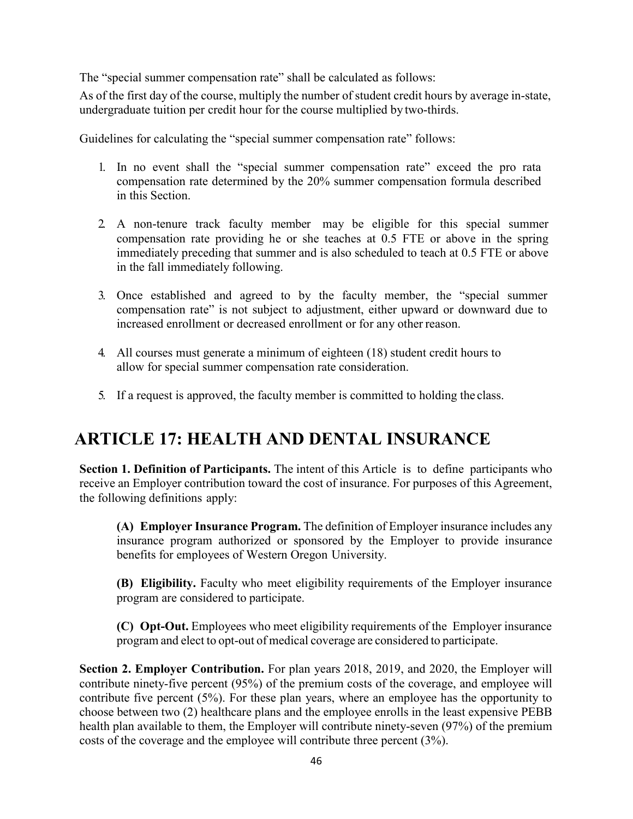The "special summer compensation rate" shall be calculated as follows:

As of the first day of the course, multiply the number of student credit hours by average in-state, undergraduate tuition per credit hour for the course multiplied by two-thirds.

Guidelines for calculating the "special summer compensation rate" follows:

- 1. In no event shall the "special summer compensation rate" exceed the pro rata compensation rate determined by the 20% summer compensation formula described in this Section.
- 2. A non-tenure track faculty member may be eligible for this special summer compensation rate providing he or she teaches at 0.5 FTE or above in the spring immediately preceding that summer and is also scheduled to teach at 0.5 FTE or above in the fall immediately following.
- 3. Once established and agreed to by the faculty member, the "special summer compensation rate" is not subject to adjustment, either upward or downward due to increased enrollment or decreased enrollment or for any other reason.
- 4. All courses must generate a minimum of eighteen (18) student credit hours to allow for special summer compensation rate consideration.
- 5. If a request is approved, the faculty member is committed to holding the class.

# **ARTICLE 17: HEALTH AND DENTAL INSURANCE**

**Section 1. Definition of Participants.** The intent of this Article is to define participants who receive an Employer contribution toward the cost of insurance. For purposes of this Agreement, the following definitions apply:

**(A) Employer Insurance Program.** The definition of Employer insurance includes any insurance program authorized or sponsored by the Employer to provide insurance benefits for employees of Western Oregon University.

**(B) Eligibility.** Faculty who meet eligibility requirements of the Employer insurance program are considered to participate.

**(C) Opt-Out.** Employees who meet eligibility requirements of the Employer insurance program and elect to opt-out of medical coverage are considered to participate.

**Section 2. Employer Contribution.** For plan years 2018, 2019, and 2020, the Employer will contribute ninety-five percent (95%) of the premium costs of the coverage, and employee will contribute five percent (5%). For these plan years, where an employee has the opportunity to choose between two (2) healthcare plans and the employee enrolls in the least expensive PEBB health plan available to them, the Employer will contribute ninety-seven (97%) of the premium costs of the coverage and the employee will contribute three percent (3%).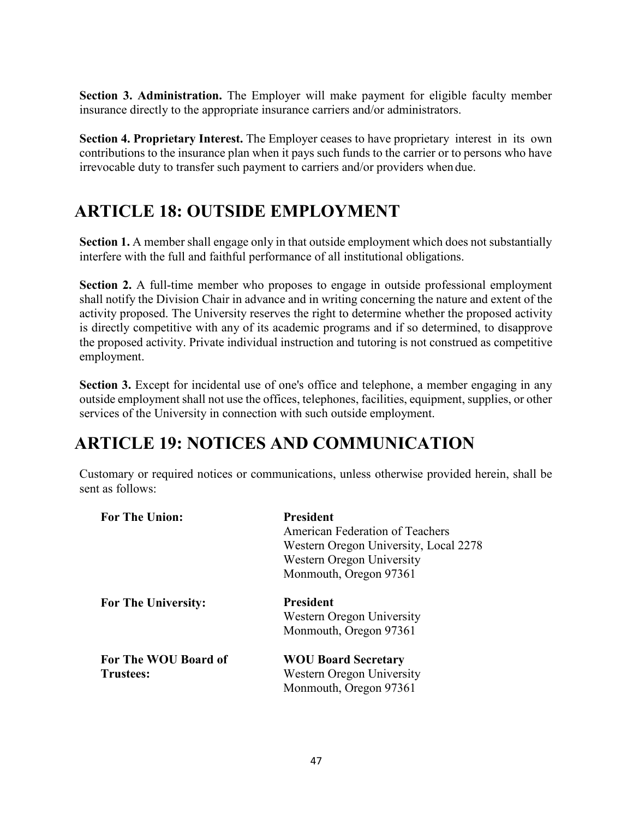**Section 3. Administration.** The Employer will make payment for eligible faculty member insurance directly to the appropriate insurance carriers and/or administrators.

**Section 4. Proprietary Interest.** The Employer ceases to have proprietary interest in its own contributions to the insurance plan when it pays such funds to the carrier or to persons who have irrevocable duty to transfer such payment to carriers and/or providers when due.

# **ARTICLE 18: OUTSIDE EMPLOYMENT**

**Section 1.** A member shall engage only in that outside employment which does not substantially interfere with the full and faithful performance of all institutional obligations.

**Section 2.** A full-time member who proposes to engage in outside professional employment shall notify the Division Chair in advance and in writing concerning the nature and extent of the activity proposed. The University reserves the right to determine whether the proposed activity is directly competitive with any of its academic programs and if so determined, to disapprove the proposed activity. Private individual instruction and tutoring is not construed as competitive employment.

**Section 3.** Except for incidental use of one's office and telephone, a member engaging in any outside employment shall not use the offices, telephones, facilities, equipment, supplies, or other services of the University in connection with such outside employment.

# **ARTICLE 19: NOTICES AND COMMUNICATION**

Customary or required notices or communications, unless otherwise provided herein, shall be sent as follows:

| <b>President</b>                      |
|---------------------------------------|
| American Federation of Teachers       |
| Western Oregon University, Local 2278 |
| Western Oregon University             |
| Monmouth, Oregon 97361                |
| <b>President</b>                      |
| Western Oregon University             |
| Monmouth, Oregon 97361                |
| <b>WOU Board Secretary</b>            |
| Western Oregon University             |
| Monmouth, Oregon 97361                |
|                                       |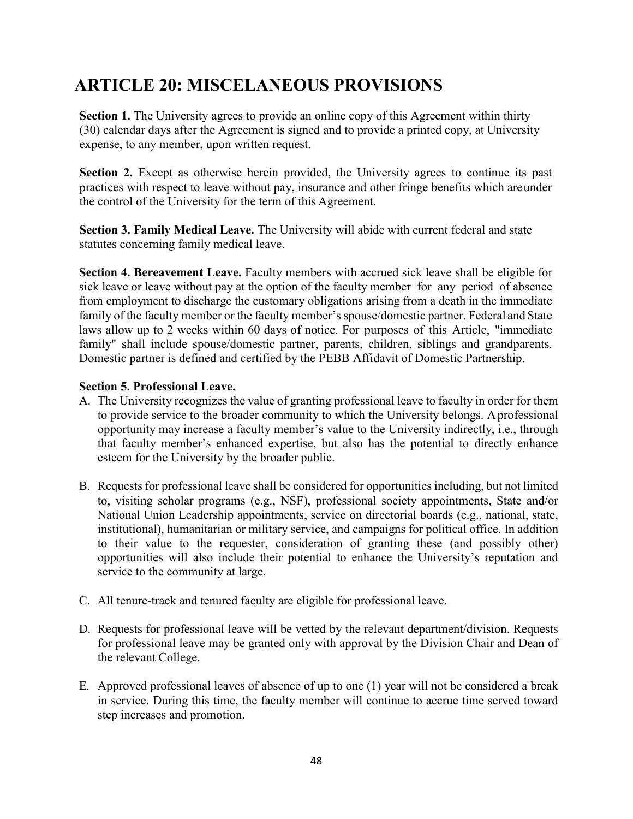# **ARTICLE 20: MISCELANEOUS PROVISIONS**

**Section 1.** The University agrees to provide an online copy of this Agreement within thirty (30) calendar days after the Agreement is signed and to provide a printed copy, at University expense, to any member, upon written request.

**Section 2.** Except as otherwise herein provided, the University agrees to continue its past practices with respect to leave without pay, insurance and other fringe benefits which areunder the control of the University for the term of this Agreement.

**Section 3. Family Medical Leave.** The University will abide with current federal and state statutes concerning family medical leave.

**Section 4. Bereavement Leave.** Faculty members with accrued sick leave shall be eligible for sick leave or leave without pay at the option of the faculty member for any period of absence from employment to discharge the customary obligations arising from a death in the immediate family of the faculty member or the faculty member's spouse/domestic partner. Federal and State laws allow up to 2 weeks within 60 days of notice. For purposes of this Article, "immediate family" shall include spouse/domestic partner, parents, children, siblings and grandparents. Domestic partner is defined and certified by the PEBB Affidavit of Domestic Partnership.

### **Section 5. Professional Leave.**

- A. The University recognizes the value of granting professional leave to faculty in order for them to provide service to the broader community to which the University belongs. Aprofessional opportunity may increase a faculty member's value to the University indirectly, i.e., through that faculty member's enhanced expertise, but also has the potential to directly enhance esteem for the University by the broader public.
- B. Requests for professional leave shall be considered for opportunities including, but not limited to, visiting scholar programs (e.g., NSF), professional society appointments, State and/or National Union Leadership appointments, service on directorial boards (e.g., national, state, institutional), humanitarian or military service, and campaigns for political office. In addition to their value to the requester, consideration of granting these (and possibly other) opportunities will also include their potential to enhance the University's reputation and service to the community at large.
- C. All tenure-track and tenured faculty are eligible for professional leave.
- D. Requests for professional leave will be vetted by the relevant department/division. Requests for professional leave may be granted only with approval by the Division Chair and Dean of the relevant College.
- E. Approved professional leaves of absence of up to one (1) year will not be considered a break in service. During this time, the faculty member will continue to accrue time served toward step increases and promotion.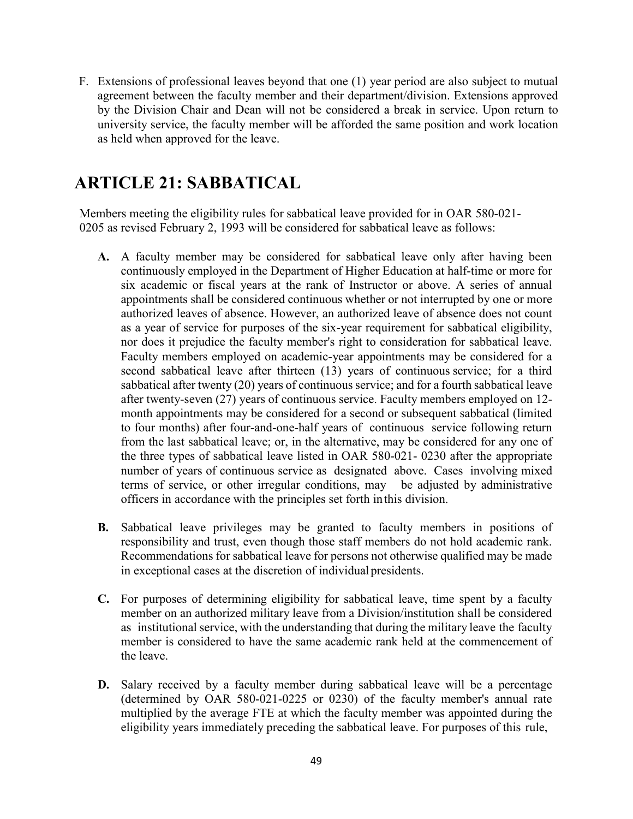F. Extensions of professional leaves beyond that one (1) year period are also subject to mutual agreement between the faculty member and their department/division. Extensions approved by the Division Chair and Dean will not be considered a break in service. Upon return to university service, the faculty member will be afforded the same position and work location as held when approved for the leave.

# **ARTICLE 21: SABBATICAL**

Members meeting the eligibility rules for sabbatical leave provided for in OAR 580-021- 0205 as revised February 2, 1993 will be considered for sabbatical leave as follows:

- **A.** A faculty member may be considered for sabbatical leave only after having been continuously employed in the Department of Higher Education at half-time or more for six academic or fiscal years at the rank of Instructor or above. A series of annual appointments shall be considered continuous whether or not interrupted by one or more authorized leaves of absence. However, an authorized leave of absence does not count as a year of service for purposes of the six-year requirement for sabbatical eligibility, nor does it prejudice the faculty member's right to consideration for sabbatical leave. Faculty members employed on academic-year appointments may be considered for a second sabbatical leave after thirteen (13) years of continuous service; for a third sabbatical after twenty (20) years of continuous service; and for a fourth sabbatical leave after twenty-seven (27) years of continuous service. Faculty members employed on 12 month appointments may be considered for a second or subsequent sabbatical (limited to four months) after four-and-one-half years of continuous service following return from the last sabbatical leave; or, in the alternative, may be considered for any one of the three types of sabbatical leave listed in OAR 580-021- 0230 after the appropriate number of years of continuous service as designated above. Cases involving mixed terms of service, or other irregular conditions, may be adjusted by administrative officers in accordance with the principles set forth inthis division.
- **B.** Sabbatical leave privileges may be granted to faculty members in positions of responsibility and trust, even though those staff members do not hold academic rank. Recommendations for sabbatical leave for persons not otherwise qualified may be made in exceptional cases at the discretion of individualpresidents.
- **C.** For purposes of determining eligibility for sabbatical leave, time spent by a faculty member on an authorized military leave from a Division/institution shall be considered as institutional service, with the understanding that during the military leave the faculty member is considered to have the same academic rank held at the commencement of the leave.
- **D.** Salary received by a faculty member during sabbatical leave will be a percentage (determined by OAR 580-021-0225 or 0230) of the faculty member's annual rate multiplied by the average FTE at which the faculty member was appointed during the eligibility years immediately preceding the sabbatical leave. For purposes of this rule,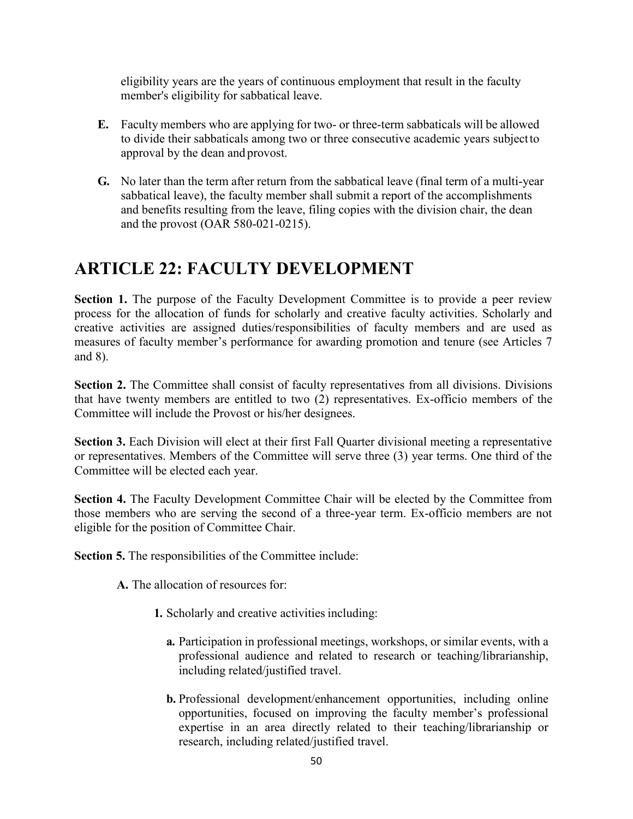eligibility years are the years of continuous employment that result in the faculty member's eligibility for sabbatical leave.

- **E.** Faculty members who are applying for two- or three-term sabbaticals will be allowed to divide their sabbaticals among two or three consecutive academic years subjectto approval by the dean and provost.
- **G.** No later than the term after return from the sabbatical leave (final term of a multi-year sabbatical leave), the faculty member shall submit a report of the accomplishments and benefits resulting from the leave, filing copies with the division chair, the dean and the provost (OAR 580-021-0215).

## **ARTICLE 22: FACULTY DEVELOPMENT**

**Section 1.** The purpose of the Faculty Development Committee is to provide a peer review process for the allocation of funds for scholarly and creative faculty activities. Scholarly and creative activities are assigned duties/responsibilities of faculty members and are used as measures of faculty member's performance for awarding promotion and tenure (see Articles 7 and 8).

**Section 2.** The Committee shall consist of faculty representatives from all divisions. Divisions that have twenty members are entitled to two (2) representatives. Ex-officio members of the Committee will include the Provost or his/her designees.

**Section 3.** Each Division will elect at their first Fall Quarter divisional meeting a representative or representatives. Members of the Committee will serve three (3) year terms. One third of the Committee will be elected each year.

**Section 4.** The Faculty Development Committee Chair will be elected by the Committee from those members who are serving the second of a three-year term. Ex-officio members are not eligible for the position of Committee Chair.

**Section 5.** The responsibilities of the Committee include:

- **A.** The allocation of resources for:
	- **1.** Scholarly and creative activities including:
		- **a.** Participation in professional meetings, workshops, or similar events, with a professional audience and related to research or teaching/librarianship, including related/justified travel.
		- **b.** Professional development/enhancement opportunities, including online opportunities, focused on improving the faculty member's professional expertise in an area directly related to their teaching/librarianship or research, including related/justified travel.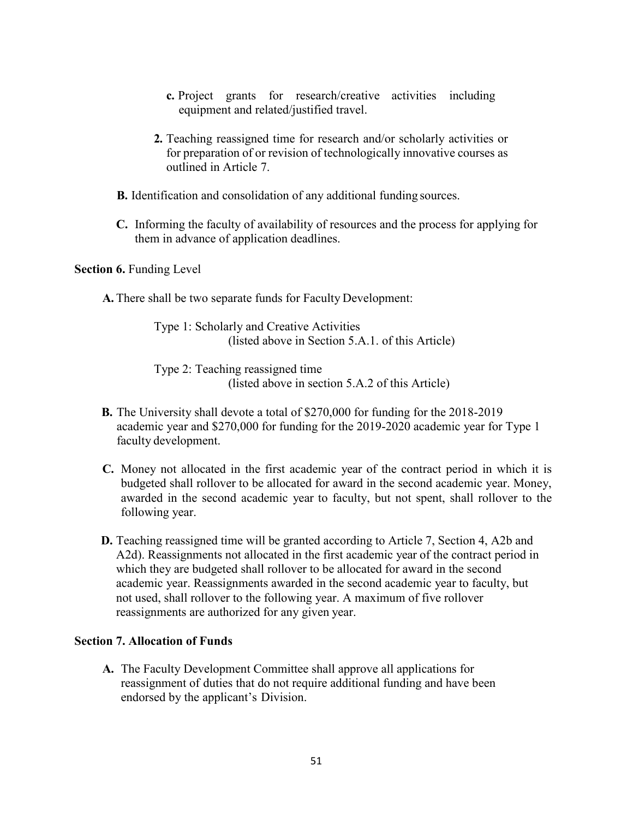- **c.** Project grants for research/creative activities including equipment and related/justified travel.
- **2.** Teaching reassigned time for research and/or scholarly activities or for preparation of or revision of technologically innovative courses as outlined in Article 7.
- **B.** Identification and consolidation of any additional funding sources.
- **C.** Informing the faculty of availability of resources and the process for applying for them in advance of application deadlines.

#### **Section 6. Funding Level**

**A.** There shall be two separate funds for Faculty Development:

Type 1: Scholarly and Creative Activities (listed above in Section 5.A.1. of this Article)

Type 2: Teaching reassigned time (listed above in section 5.A.2 of this Article)

- **B.** The University shall devote a total of \$270,000 for funding for the 2018-2019 academic year and \$270,000 for funding for the 2019-2020 academic year for Type 1 faculty development.
- **C.** Money not allocated in the first academic year of the contract period in which it is budgeted shall rollover to be allocated for award in the second academic year. Money, awarded in the second academic year to faculty, but not spent, shall rollover to the following year.
- **D.** Teaching reassigned time will be granted according to Article 7, Section 4, A2b and A2d). Reassignments not allocated in the first academic year of the contract period in which they are budgeted shall rollover to be allocated for award in the second academic year. Reassignments awarded in the second academic year to faculty, but not used, shall rollover to the following year. A maximum of five rollover reassignments are authorized for any given year.

#### **Section 7. Allocation of Funds**

**A.** The Faculty Development Committee shall approve all applications for reassignment of duties that do not require additional funding and have been endorsed by the applicant's Division.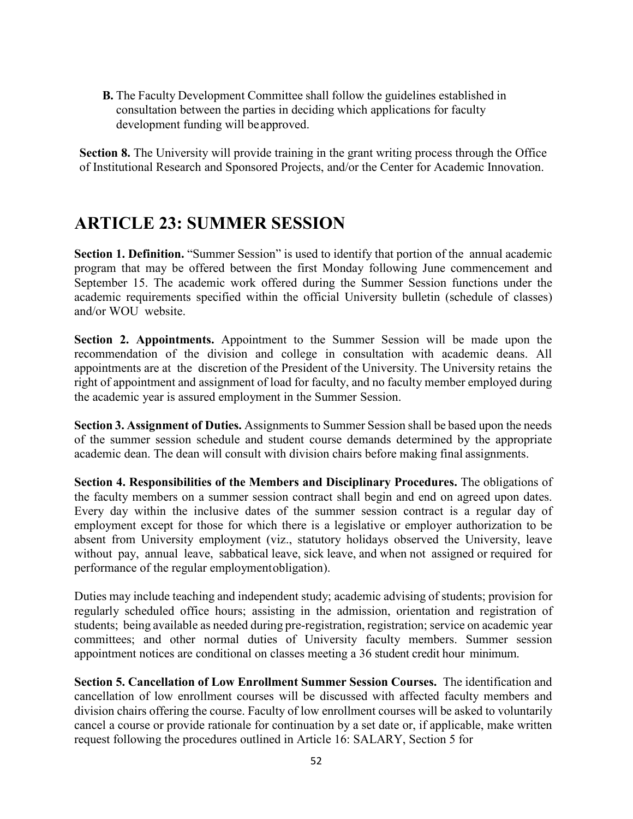**B.** The Faculty Development Committee shall follow the guidelines established in consultation between the parties in deciding which applications for faculty development funding will beapproved.

**Section 8.** The University will provide training in the grant writing process through the Office of Institutional Research and Sponsored Projects, and/or the Center for Academic Innovation.

## **ARTICLE 23: SUMMER SESSION**

**Section 1. Definition.** "Summer Session" is used to identify that portion of the annual academic program that may be offered between the first Monday following June commencement and September 15. The academic work offered during the Summer Session functions under the academic requirements specified within the official University bulletin (schedule of classes) and/or WOU website.

**Section 2. Appointments.** Appointment to the Summer Session will be made upon the recommendation of the division and college in consultation with academic deans. All appointments are at the discretion of the President of the University. The University retains the right of appointment and assignment of load for faculty, and no faculty member employed during the academic year is assured employment in the Summer Session.

**Section 3. Assignment of Duties.** Assignments to Summer Session shall be based upon the needs of the summer session schedule and student course demands determined by the appropriate academic dean. The dean will consult with division chairs before making final assignments.

**Section 4. Responsibilities of the Members and Disciplinary Procedures.** The obligations of the faculty members on a summer session contract shall begin and end on agreed upon dates. Every day within the inclusive dates of the summer session contract is a regular day of employment except for those for which there is a legislative or employer authorization to be absent from University employment (viz., statutory holidays observed the University, leave without pay, annual leave, sabbatical leave, sick leave, and when not assigned or required for performance of the regular employmentobligation).

Duties may include teaching and independent study; academic advising of students; provision for regularly scheduled office hours; assisting in the admission, orientation and registration of students; being available as needed during pre-registration, registration; service on academic year committees; and other normal duties of University faculty members. Summer session appointment notices are conditional on classes meeting a 36 student credit hour minimum.

**Section 5. Cancellation of Low Enrollment Summer Session Courses.** The identification and cancellation of low enrollment courses will be discussed with affected faculty members and division chairs offering the course. Faculty of low enrollment courses will be asked to voluntarily cancel a course or provide rationale for continuation by a set date or, if applicable, make written request following the procedures outlined in Article 16: SALARY, Section 5 for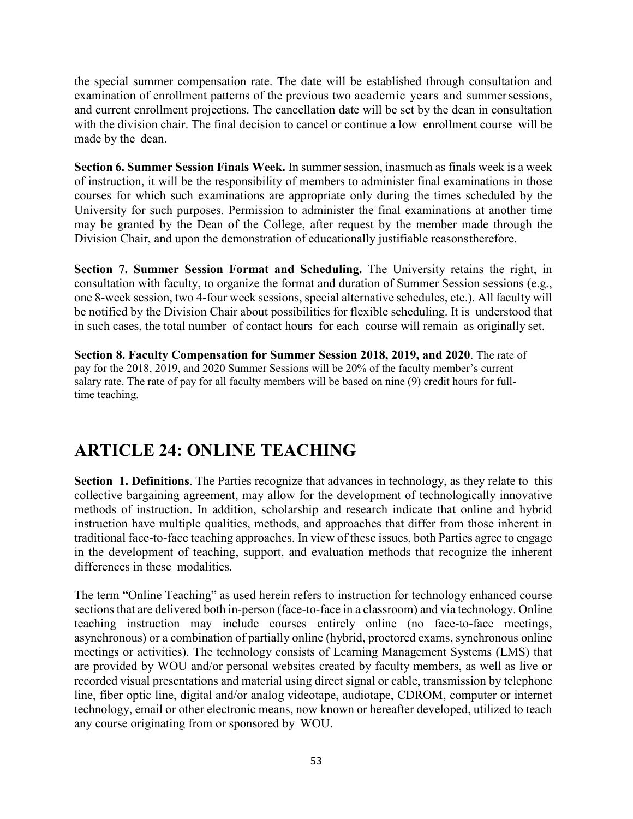the special summer compensation rate. The date will be established through consultation and examination of enrollment patterns of the previous two academic years and summer sessions, and current enrollment projections. The cancellation date will be set by the dean in consultation with the division chair. The final decision to cancel or continue a low enrollment course will be made by the dean.

**Section 6. Summer Session Finals Week.** In summer session, inasmuch as finals week is a week of instruction, it will be the responsibility of members to administer final examinations in those courses for which such examinations are appropriate only during the times scheduled by the University for such purposes. Permission to administer the final examinations at another time may be granted by the Dean of the College, after request by the member made through the Division Chair, and upon the demonstration of educationally justifiable reasonstherefore.

**Section 7. Summer Session Format and Scheduling.** The University retains the right, in consultation with faculty, to organize the format and duration of Summer Session sessions (e.g., one 8-week session, two 4-four week sessions, special alternative schedules, etc.). All faculty will be notified by the Division Chair about possibilities for flexible scheduling. It is understood that in such cases, the total number of contact hours for each course will remain as originally set.

**Section 8. Faculty Compensation for Summer Session 2018, 2019, and 2020**. The rate of pay for the 2018, 2019, and 2020 Summer Sessions will be 20% of the faculty member's current salary rate. The rate of pay for all faculty members will be based on nine (9) credit hours for fulltime teaching.

# **ARTICLE 24: ONLINE TEACHING**

**Section 1. Definitions**. The Parties recognize that advances in technology, as they relate to this collective bargaining agreement, may allow for the development of technologically innovative methods of instruction. In addition, scholarship and research indicate that online and hybrid instruction have multiple qualities, methods, and approaches that differ from those inherent in traditional face-to-face teaching approaches. In view of these issues, both Parties agree to engage in the development of teaching, support, and evaluation methods that recognize the inherent differences in these modalities.

The term "Online Teaching" as used herein refers to instruction for technology enhanced course sections that are delivered both in-person (face-to-face in a classroom) and via technology. Online teaching instruction may include courses entirely online (no face-to-face meetings, asynchronous) or a combination of partially online (hybrid, proctored exams, synchronous online meetings or activities). The technology consists of Learning Management Systems (LMS) that are provided by WOU and/or personal websites created by faculty members, as well as live or recorded visual presentations and material using direct signal or cable, transmission by telephone line, fiber optic line, digital and/or analog videotape, audiotape, CDROM, computer or internet technology, email or other electronic means, now known or hereafter developed, utilized to teach any course originating from or sponsored by WOU.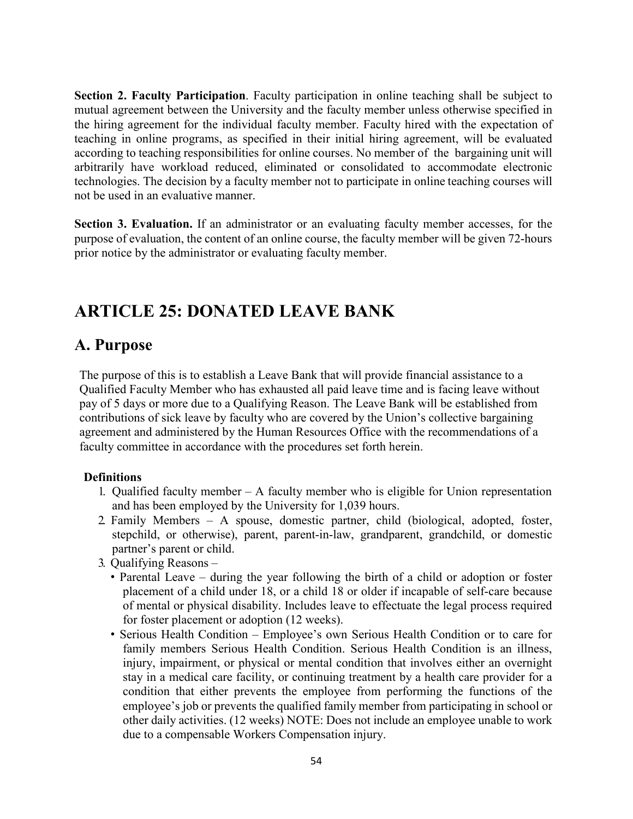**Section 2. Faculty Participation**. Faculty participation in online teaching shall be subject to mutual agreement between the University and the faculty member unless otherwise specified in the hiring agreement for the individual faculty member. Faculty hired with the expectation of teaching in online programs, as specified in their initial hiring agreement, will be evaluated according to teaching responsibilities for online courses. No member of the bargaining unit will arbitrarily have workload reduced, eliminated or consolidated to accommodate electronic technologies. The decision by a faculty member not to participate in online teaching courses will not be used in an evaluative manner.

**Section 3. Evaluation.** If an administrator or an evaluating faculty member accesses, for the purpose of evaluation, the content of an online course, the faculty member will be given 72-hours prior notice by the administrator or evaluating faculty member.

## **ARTICLE 25: DONATED LEAVE BANK**

## **A. Purpose**

The purpose of this is to establish a Leave Bank that will provide financial assistance to a Qualified Faculty Member who has exhausted all paid leave time and is facing leave without pay of 5 days or more due to a Qualifying Reason. The Leave Bank will be established from contributions of sick leave by faculty who are covered by the Union's collective bargaining agreement and administered by the Human Resources Office with the recommendations of a faculty committee in accordance with the procedures set forth herein.

### **Definitions**

- 1. Qualified faculty member A faculty member who is eligible for Union representation and has been employed by the University for 1,039 hours.
- 2. Family Members A spouse, domestic partner, child (biological, adopted, foster, stepchild, or otherwise), parent, parent-in-law, grandparent, grandchild, or domestic partner's parent or child.
- 3. Qualifying Reasons
	- Parental Leave during the year following the birth of a child or adoption or foster placement of a child under 18, or a child 18 or older if incapable of self-care because of mental or physical disability. Includes leave to effectuate the legal process required for foster placement or adoption (12 weeks).
	- Serious Health Condition Employee's own Serious Health Condition or to care for family members Serious Health Condition. Serious Health Condition is an illness, injury, impairment, or physical or mental condition that involves either an overnight stay in a medical care facility, or continuing treatment by a health care provider for a condition that either prevents the employee from performing the functions of the employee's job or prevents the qualified family member from participating in school or other daily activities. (12 weeks) NOTE: Does not include an employee unable to work due to a compensable Workers Compensation injury.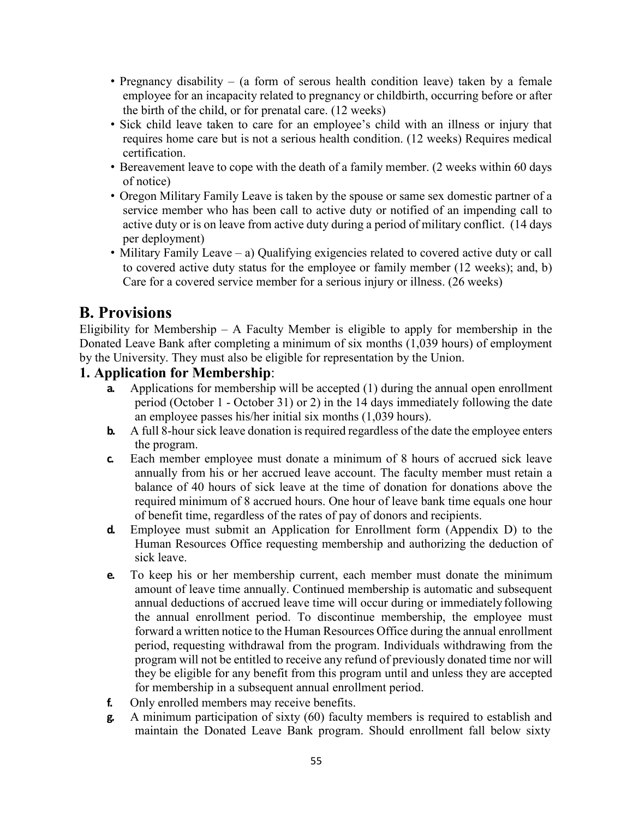- Pregnancy disability (a form of serous health condition leave) taken by a female employee for an incapacity related to pregnancy or childbirth, occurring before or after the birth of the child, or for prenatal care. (12 weeks)
- Sick child leave taken to care for an employee's child with an illness or injury that requires home care but is not a serious health condition. (12 weeks) Requires medical certification.
- Bereavement leave to cope with the death of a family member. (2 weeks within 60 days of notice)
- Oregon Military Family Leave is taken by the spouse or same sex domestic partner of a service member who has been call to active duty or notified of an impending call to active duty or is on leave from active duty during a period of military conflict. (14 days per deployment)
- Military Family Leave a) Qualifying exigencies related to covered active duty or call to covered active duty status for the employee or family member (12 weeks); and, b) Care for a covered service member for a serious injury or illness. (26 weeks)

## **B. Provisions**

Eligibility for Membership  $-$  A Faculty Member is eligible to apply for membership in the Donated Leave Bank after completing a minimum of six months (1,039 hours) of employment by the University. They must also be eligible for representation by the Union.

### **1. Application for Membership**:

- **a.** Applications for membership will be accepted (1) during the annual open enrollment period (October 1 - October 31) or 2) in the 14 days immediately following the date an employee passes his/her initial six months (1,039 hours).
- **b.** A full 8-hour sick leave donation is required regardless of the date the employee enters the program.
- **c.** Each member employee must donate a minimum of 8 hours of accrued sick leave annually from his or her accrued leave account. The faculty member must retain a balance of 40 hours of sick leave at the time of donation for donations above the required minimum of 8 accrued hours. One hour of leave bank time equals one hour of benefit time, regardless of the rates of pay of donors and recipients.
- **d.** Employee must submit an Application for Enrollment form (Appendix D) to the Human Resources Office requesting membership and authorizing the deduction of sick leave.
- **e.** To keep his or her membership current, each member must donate the minimum amount of leave time annually. Continued membership is automatic and subsequent annual deductions of accrued leave time will occur during or immediately following the annual enrollment period. To discontinue membership, the employee must forward a written notice to the Human Resources Office during the annual enrollment period, requesting withdrawal from the program. Individuals withdrawing from the program will not be entitled to receive any refund of previously donated time nor will they be eligible for any benefit from this program until and unless they are accepted for membership in a subsequent annual enrollment period.
- **f.** Only enrolled members may receive benefits.
- **g.** A minimum participation of sixty (60) faculty members is required to establish and maintain the Donated Leave Bank program. Should enrollment fall below sixty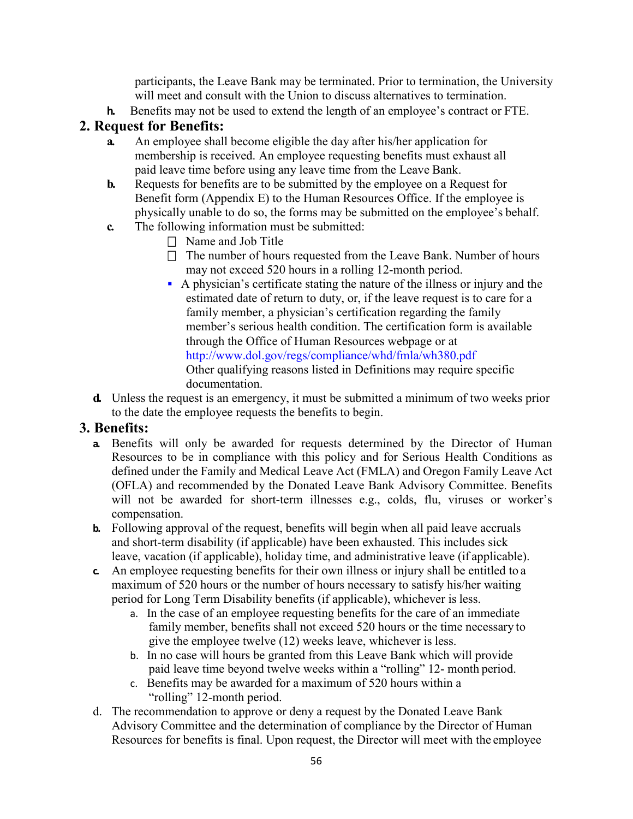participants, the Leave Bank may be terminated. Prior to termination, the University will meet and consult with the Union to discuss alternatives to termination.

**h.** Benefits may not be used to extend the length of an employee's contract or FTE.

### **2. Request for Benefits:**

- **a.** An employee shall become eligible the day after his/her application for membership is received. An employee requesting benefits must exhaust all paid leave time before using any leave time from the Leave Bank.
- **b.** Requests for benefits are to be submitted by the employee on a Request for Benefit form (Appendix E) to the Human Resources Office. If the employee is physically unable to do so, the forms may be submitted on the employee's behalf.
- **c.** The following information must be submitted:
	- $\Box$  Name and Job Title
	- $\Box$  The number of hours requested from the Leave Bank. Number of hours may not exceed 520 hours in a rolling 12-month period.
	- A physician's certificate stating the nature of the illness or injury and the estimated date of return to duty, or, if the leave request is to care for a family member, a physician's certification regarding the family member's serious health condition. The certification form is available through the Office of Human Resources webpage or at <http://www.dol.gov/regs/compliance/whd/fmla/wh380.pdf> Other qualifying reasons listed in Definitions may require specific documentation.
- **d.** Unless the request is an emergency, it must be submitted a minimum of two weeks prior to the date the employee requests the benefits to begin.

### **3. Benefits:**

- **a.** Benefits will only be awarded for requests determined by the Director of Human Resources to be in compliance with this policy and for Serious Health Conditions as defined under the Family and Medical Leave Act (FMLA) and Oregon Family Leave Act (OFLA) and recommended by the Donated Leave Bank Advisory Committee. Benefits will not be awarded for short-term illnesses e.g., colds, flu, viruses or worker's compensation.
- **b.** Following approval of the request, benefits will begin when all paid leave accruals and short-term disability (if applicable) have been exhausted. This includes sick leave, vacation (if applicable), holiday time, and administrative leave (if applicable).
- **c.** An employee requesting benefits for their own illness or injury shall be entitled to a maximum of 520 hours or the number of hours necessary to satisfy his/her waiting period for Long Term Disability benefits (if applicable), whichever is less.
	- a. In the case of an employee requesting benefits for the care of an immediate family member, benefits shall not exceed 520 hours or the time necessary to give the employee twelve (12) weeks leave, whichever is less.
	- b. In no case will hours be granted from this Leave Bank which will provide paid leave time beyond twelve weeks within a "rolling" 12- month period.
	- c. Benefits may be awarded for a maximum of 520 hours within a "rolling" 12-month period.
- d. The recommendation to approve or deny a request by the Donated Leave Bank Advisory Committee and the determination of compliance by the Director of Human Resources for benefits is final. Upon request, the Director will meet with the employee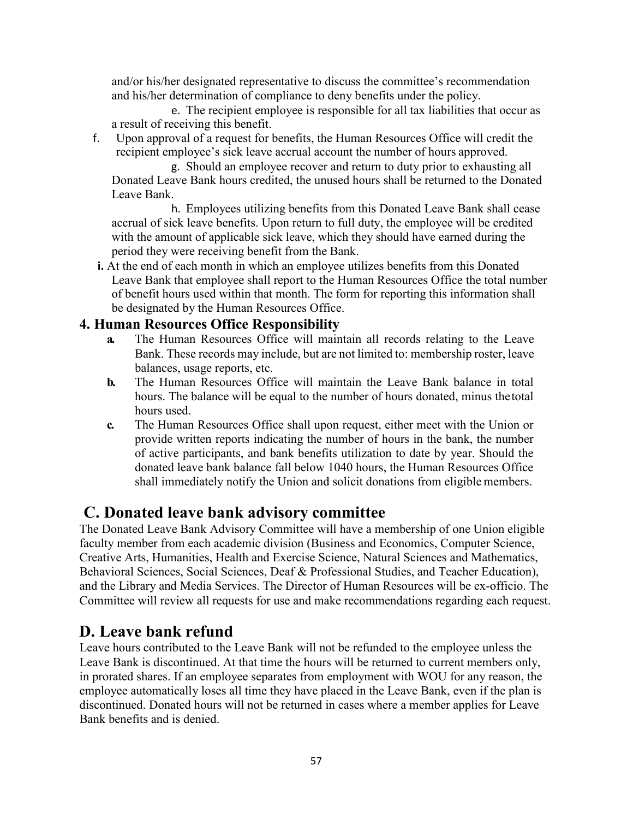and/or his/her designated representative to discuss the committee's recommendation and his/her determination of compliance to deny benefits under the policy.

e. The recipient employee is responsible for all tax liabilities that occur as a result of receiving this benefit.

f. Upon approval of a request for benefits, the Human Resources Office will credit the recipient employee's sick leave accrual account the number of hours approved.

g. Should an employee recover and return to duty prior to exhausting all Donated Leave Bank hours credited, the unused hours shall be returned to the Donated Leave Bank.

h. Employees utilizing benefits from this Donated Leave Bank shall cease accrual of sick leave benefits. Upon return to full duty, the employee will be credited with the amount of applicable sick leave, which they should have earned during the period they were receiving benefit from the Bank.

**i.** At the end of each month in which an employee utilizes benefits from this Donated Leave Bank that employee shall report to the Human Resources Office the total number of benefit hours used within that month. The form for reporting this information shall be designated by the Human Resources Office.

### **4. Human Resources Office Responsibility**

- **a.** The Human Resources Office will maintain all records relating to the Leave Bank. These records may include, but are not limited to: membership roster, leave balances, usage reports, etc.
- **b.** The Human Resources Office will maintain the Leave Bank balance in total hours. The balance will be equal to the number of hours donated, minus thetotal hours used.
- **c.** The Human Resources Office shall upon request, either meet with the Union or provide written reports indicating the number of hours in the bank, the number of active participants, and bank benefits utilization to date by year. Should the donated leave bank balance fall below 1040 hours, the Human Resources Office shall immediately notify the Union and solicit donations from eligible members.

## **C. Donated leave bank advisory committee**

The Donated Leave Bank Advisory Committee will have a membership of one Union eligible faculty member from each academic division (Business and Economics, Computer Science, Creative Arts, Humanities, Health and Exercise Science, Natural Sciences and Mathematics, Behavioral Sciences, Social Sciences, Deaf & Professional Studies, and Teacher Education), and the Library and Media Services. The Director of Human Resources will be ex-officio. The Committee will review all requests for use and make recommendations regarding each request.

## **D. Leave bank refund**

Leave hours contributed to the Leave Bank will not be refunded to the employee unless the Leave Bank is discontinued. At that time the hours will be returned to current members only, in prorated shares. If an employee separates from employment with WOU for any reason, the employee automatically loses all time they have placed in the Leave Bank, even if the plan is discontinued. Donated hours will not be returned in cases where a member applies for Leave Bank benefits and is denied.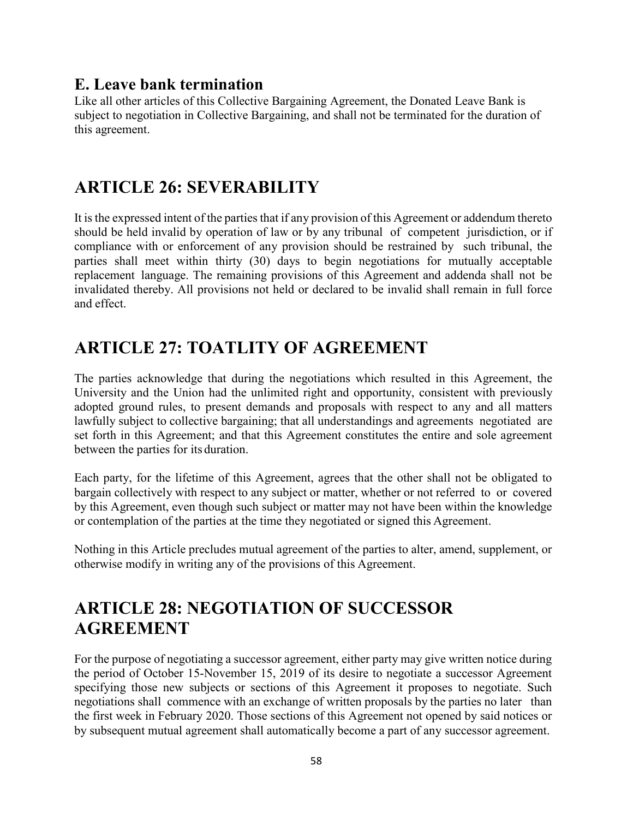## **E. Leave bank termination**

Like all other articles of this Collective Bargaining Agreement, the Donated Leave Bank is subject to negotiation in Collective Bargaining, and shall not be terminated for the duration of this agreement.

# **ARTICLE 26: SEVERABILITY**

It is the expressed intent of the parties that if any provision of this Agreement or addendum thereto should be held invalid by operation of law or by any tribunal of competent jurisdiction, or if compliance with or enforcement of any provision should be restrained by such tribunal, the parties shall meet within thirty (30) days to begin negotiations for mutually acceptable replacement language. The remaining provisions of this Agreement and addenda shall not be invalidated thereby. All provisions not held or declared to be invalid shall remain in full force and effect.

# **ARTICLE 27: TOATLITY OF AGREEMENT**

The parties acknowledge that during the negotiations which resulted in this Agreement, the University and the Union had the unlimited right and opportunity, consistent with previously adopted ground rules, to present demands and proposals with respect to any and all matters lawfully subject to collective bargaining; that all understandings and agreements negotiated are set forth in this Agreement; and that this Agreement constitutes the entire and sole agreement between the parties for its duration.

Each party, for the lifetime of this Agreement, agrees that the other shall not be obligated to bargain collectively with respect to any subject or matter, whether or not referred to or covered by this Agreement, even though such subject or matter may not have been within the knowledge or contemplation of the parties at the time they negotiated or signed this Agreement.

Nothing in this Article precludes mutual agreement of the parties to alter, amend, supplement, or otherwise modify in writing any of the provisions of this Agreement.

# **ARTICLE 28: NEGOTIATION OF SUCCESSOR AGREEMENT**

For the purpose of negotiating a successor agreement, either party may give written notice during the period of October 15-November 15, 2019 of its desire to negotiate a successor Agreement specifying those new subjects or sections of this Agreement it proposes to negotiate. Such negotiations shall commence with an exchange of written proposals by the parties no later than the first week in February 2020. Those sections of this Agreement not opened by said notices or by subsequent mutual agreement shall automatically become a part of any successor agreement.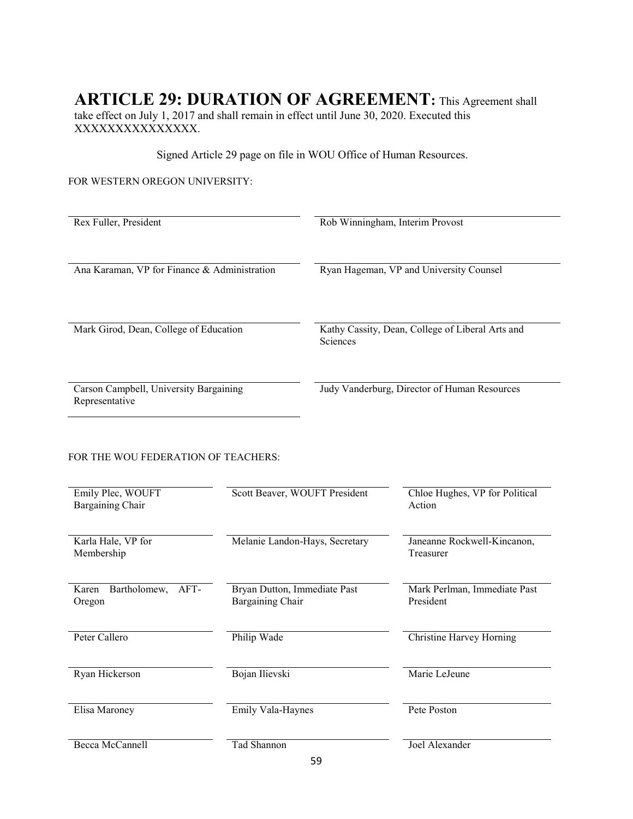# **ARTICLE 29: DURATION OF AGREEMENT:** This Agreement shall

take effect on July 1, 2017 and shall remain in effect until June 30, 2020. Executed this XXXXXXXXXXXXXXX.

Signed Article 29 page on file in WOU Office of Human Resources.

#### FOR WESTERN OREGON UNIVERSITY:

| Rex Fuller, President                        | Rob Winningham, Interim Provost                                     |
|----------------------------------------------|---------------------------------------------------------------------|
|                                              |                                                                     |
|                                              |                                                                     |
| Ana Karaman, VP for Finance & Administration | Ryan Hageman, VP and University Counsel                             |
|                                              |                                                                     |
|                                              |                                                                     |
|                                              |                                                                     |
| Mark Girod, Dean, College of Education       | Kathy Cassity, Dean, College of Liberal Arts and<br><b>Sciences</b> |
|                                              |                                                                     |
|                                              |                                                                     |
|                                              |                                                                     |
| Carson Campbell, University Bargaining       | Judy Vanderburg, Director of Human Resources                        |
| Representative                               |                                                                     |

#### FOR THE WOU FEDERATION OF TEACHERS:

| Emily Plec, WOUFT<br>Bargaining Chair   | Scott Beaver, WOUFT President                    | Chloe Hughes, VP for Political<br>Action  |
|-----------------------------------------|--------------------------------------------------|-------------------------------------------|
| Karla Hale, VP for<br>Membership        | Melanie Landon-Hays, Secretary                   | Janeanne Rockwell-Kincanon,<br>Treasurer  |
| Bartholomew,<br>AFT-<br>Karen<br>Oregon | Bryan Dutton, Immediate Past<br>Bargaining Chair | Mark Perlman, Immediate Past<br>President |
| Peter Callero                           | Philip Wade                                      | <b>Christine Harvey Horning</b>           |
| Ryan Hickerson                          | Bojan Ilievski                                   | Marie LeJeune                             |
| Elisa Maroney                           | Emily Vala-Haynes                                | Pete Poston                               |
| <b>Becca McCannell</b>                  | Tad Shannon                                      | Joel Alexander                            |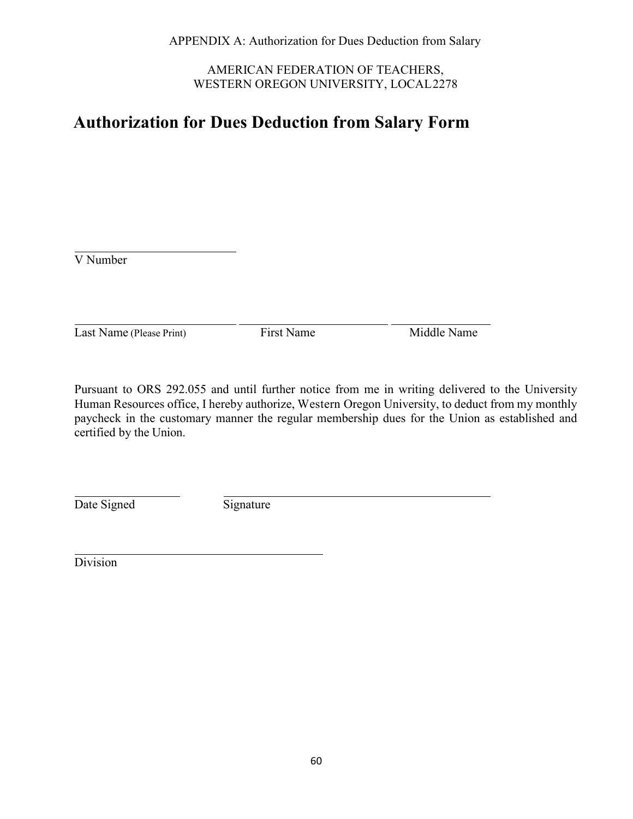AMERICAN FEDERATION OF TEACHERS, WESTERN OREGON UNIVERSITY, LOCAL2278

## **Authorization for Dues Deduction from Salary Form**

V Number

Last Name (Please Print) First Name Middle Name

Pursuant to ORS 292.055 and until further notice from me in writing delivered to the University Human Resources office, I hereby authorize, Western Oregon University, to deduct from my monthly paycheck in the customary manner the regular membership dues for the Union as established and certified by the Union.

Date Signed Signature

Division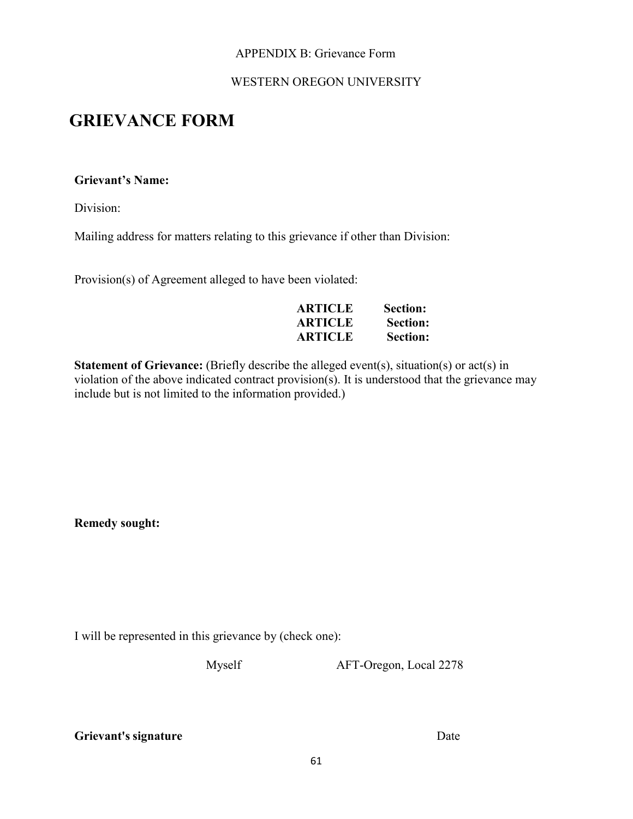### APPENDIX B: Grievance Form

### WESTERN OREGON UNIVERSITY

## **GRIEVANCE FORM**

#### **Grievant's Name:**

Division:

Mailing address for matters relating to this grievance if other than Division:

Provision(s) of Agreement alleged to have been violated:

| <b>ARTICLE</b> | Section:        |
|----------------|-----------------|
| <b>ARTICLE</b> | <b>Section:</b> |
| <b>ARTICLE</b> | <b>Section:</b> |

**Statement of Grievance:** (Briefly describe the alleged event(s), situation(s) or act(s) in violation of the above indicated contract provision(s). It is understood that the grievance may include but is not limited to the information provided.)

**Remedy sought:**

I will be represented in this grievance by (check one):

Myself AFT-Oregon, Local 2278

**Grievant's signature** Date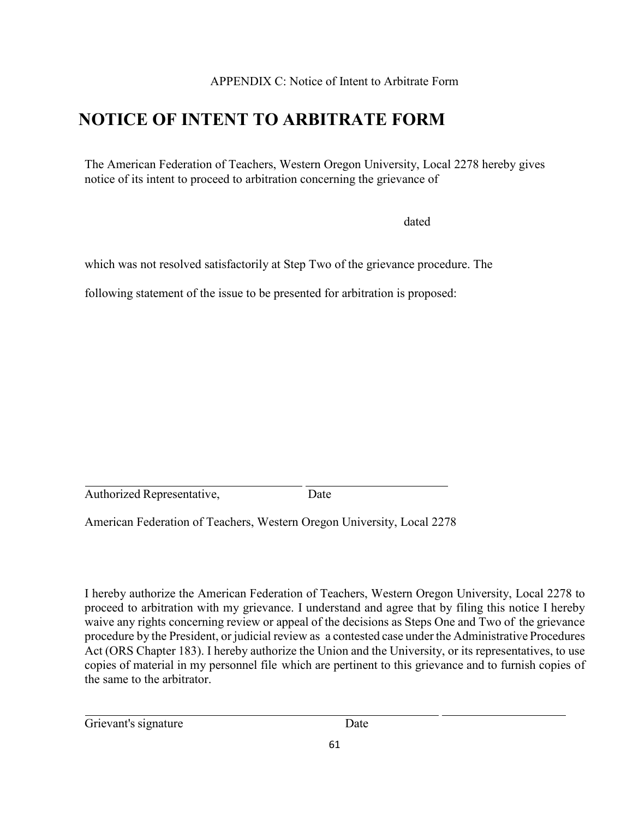APPENDIX C: Notice of Intent to Arbitrate Form

## **NOTICE OF INTENT TO ARBITRATE FORM**

The American Federation of Teachers, Western Oregon University, Local 2278 hereby gives notice of its intent to proceed to arbitration concerning the grievance of

dated

which was not resolved satisfactorily at Step Two of the grievance procedure. The

following statement of the issue to be presented for arbitration is proposed:

Authorized Representative, Date

American Federation of Teachers, Western Oregon University, Local 2278

I hereby authorize the American Federation of Teachers, Western Oregon University, Local 2278 to proceed to arbitration with my grievance. I understand and agree that by filing this notice I hereby waive any rights concerning review or appeal of the decisions as Steps One and Two of the grievance procedure by the President, or judicial review as a contested case under the Administrative Procedures Act (ORS Chapter 183). I hereby authorize the Union and the University, or its representatives, to use copies of material in my personnel file which are pertinent to this grievance and to furnish copies of the same to the arbitrator.

Grievant's signature Date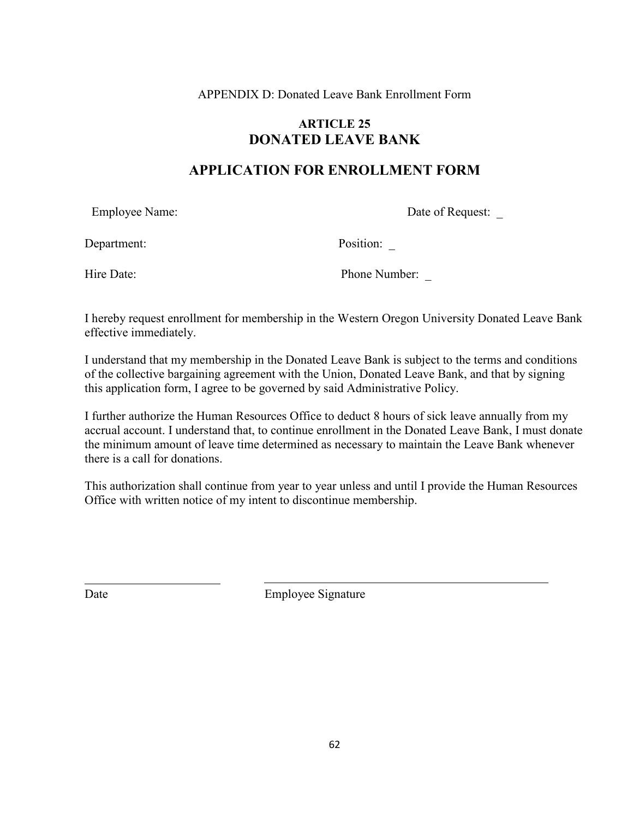APPENDIX D: Donated Leave Bank Enrollment Form

### **ARTICLE 25 DONATED LEAVE BANK**

### **APPLICATION FOR ENROLLMENT FORM**

Employee Name: Date of Request:

Department: Position:

Hire Date: Phone Number:

I hereby request enrollment for membership in the Western Oregon University Donated Leave Bank effective immediately.

I understand that my membership in the Donated Leave Bank is subject to the terms and conditions of the collective bargaining agreement with the Union, Donated Leave Bank, and that by signing this application form, I agree to be governed by said Administrative Policy.

I further authorize the Human Resources Office to deduct 8 hours of sick leave annually from my accrual account. I understand that, to continue enrollment in the Donated Leave Bank, I must donate the minimum amount of leave time determined as necessary to maintain the Leave Bank whenever there is a call for donations.

This authorization shall continue from year to year unless and until I provide the Human Resources Office with written notice of my intent to discontinue membership.

Date Employee Signature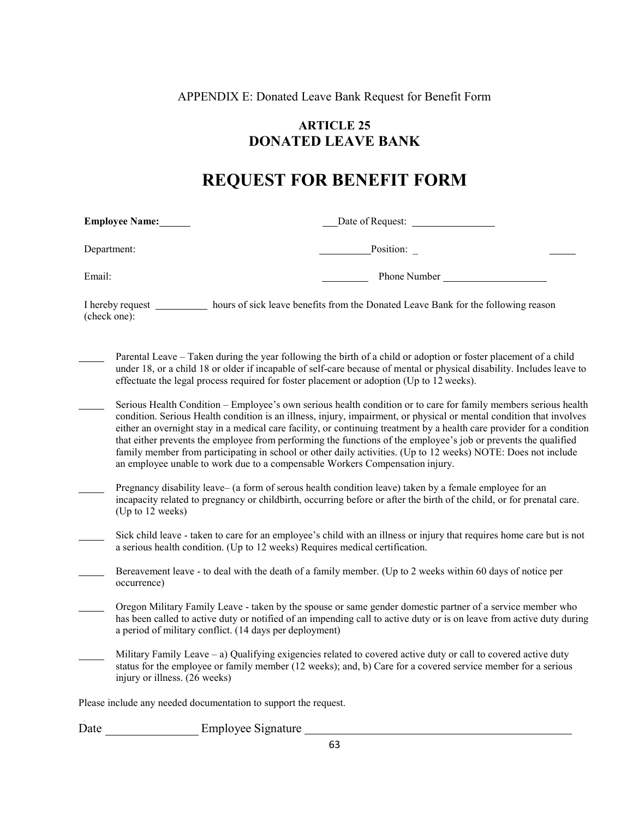APPENDIX E: Donated Leave Bank Request for Benefit Form

### **ARTICLE 25 DONATED LEAVE BANK**

## **REQUEST FOR BENEFIT FORM**

**Employee Name:** <u>Date of Request:</u>

Department: Position:

Email: Phone Number

I hereby request \_\_\_\_\_\_\_\_\_\_\_ hours of sick leave benefits from the Donated Leave Bank for the following reason (check one):

Parental Leave – Taken during the year following the birth of a child or adoption or foster placement of a child under 18, or a child 18 or older if incapable of self-care because of mental or physical disability. Includes leave to effectuate the legal process required for foster placement or adoption (Up to 12 weeks).

Serious Health Condition – Employee's own serious health condition or to care for family members serious health condition. Serious Health condition is an illness, injury, impairment, or physical or mental condition that involves either an overnight stay in a medical care facility, or continuing treatment by a health care provider for a condition that either prevents the employee from performing the functions of the employee's job or prevents the qualified family member from participating in school or other daily activities. (Up to 12 weeks) NOTE: Does not include an employee unable to work due to a compensable Workers Compensation injury.

- Pregnancy disability leave– (a form of serous health condition leave) taken by a female employee for an incapacity related to pregnancy or childbirth, occurring before or after the birth of the child, or for prenatal care. (Up to 12 weeks)
- Sick child leave taken to care for an employee's child with an illness or injury that requires home care but is not a serious health condition. (Up to 12 weeks) Requires medical certification.

Bereavement leave - to deal with the death of a family member. (Up to 2 weeks within 60 days of notice per occurrence)

- Oregon Military Family Leave taken by the spouse or same gender domestic partner of a service member who has been called to active duty or notified of an impending call to active duty or is on leave from active duty during a period of military conflict. (14 days per deployment)
- Military Family Leave  $-$  a) Qualifying exigencies related to covered active duty or call to covered active duty status for the employee or family member (12 weeks); and, b) Care for a covered service member for a serious injury or illness. (26 weeks)

Please include any needed documentation to support the request.

Date Employee Signature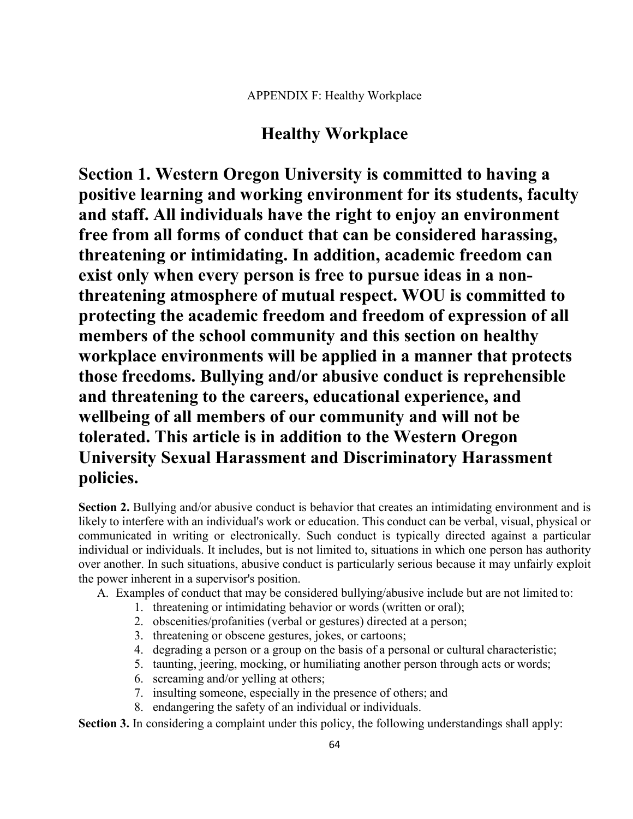## **Healthy Workplace**

**Section 1. Western Oregon University is committed to having a positive learning and working environment for its students, faculty and staff. All individuals have the right to enjoy an environment free from all forms of conduct that can be considered harassing, threatening or intimidating. In addition, academic freedom can exist only when every person is free to pursue ideas in a nonthreatening atmosphere of mutual respect. WOU is committed to protecting the academic freedom and freedom of expression of all members of the school community and this section on healthy workplace environments will be applied in a manner that protects those freedoms. Bullying and/or abusive conduct is reprehensible and threatening to the careers, educational experience, and wellbeing of all members of our community and will not be tolerated. This article is in addition to the Western Oregon University Sexual Harassment and Discriminatory Harassment policies.**

**Section 2.** Bullying and/or abusive conduct is behavior that creates an intimidating environment and is likely to interfere with an individual's work or education. This conduct can be verbal, visual, physical or communicated in writing or electronically. Such conduct is typically directed against a particular individual or individuals. It includes, but is not limited to, situations in which one person has authority over another. In such situations, abusive conduct is particularly serious because it may unfairly exploit the power inherent in a supervisor's position.

A. Examples of conduct that may be considered bullying/abusive include but are not limited to:

- 1. threatening or intimidating behavior or words (written or oral);
- 2. obscenities/profanities (verbal or gestures) directed at a person;
- 3. threatening or obscene gestures, jokes, or cartoons;
- 4. degrading a person or a group on the basis of a personal or cultural characteristic;
- 5. taunting, jeering, mocking, or humiliating another person through acts or words;
- 6. screaming and/or yelling at others;
- 7. insulting someone, especially in the presence of others; and
- 8. endangering the safety of an individual or individuals.

**Section 3.** In considering a complaint under this policy, the following understandings shall apply: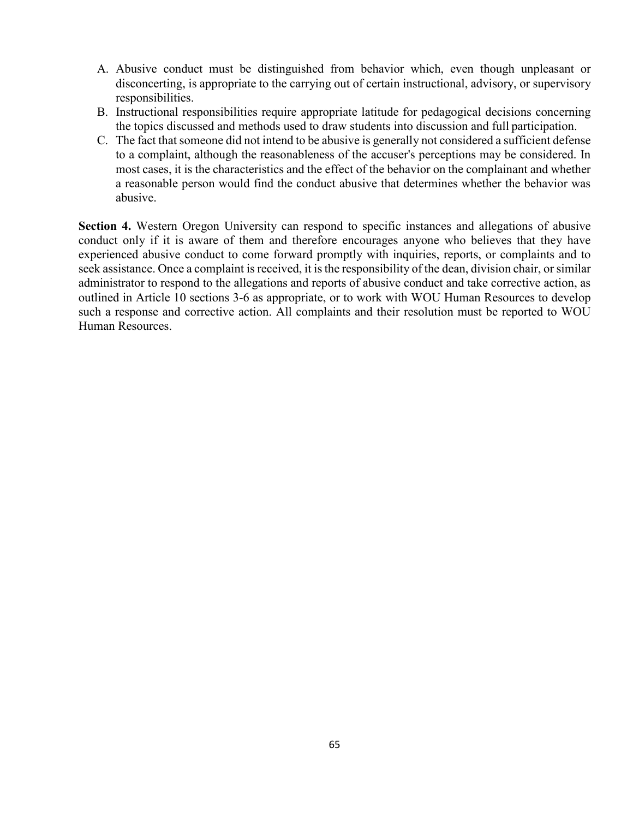- A. Abusive conduct must be distinguished from behavior which, even though unpleasant or disconcerting, is appropriate to the carrying out of certain instructional, advisory, or supervisory responsibilities.
- B. Instructional responsibilities require appropriate latitude for pedagogical decisions concerning the topics discussed and methods used to draw students into discussion and full participation.
- C. The fact that someone did not intend to be abusive is generally not considered a sufficient defense to a complaint, although the reasonableness of the accuser's perceptions may be considered. In most cases, it is the characteristics and the effect of the behavior on the complainant and whether a reasonable person would find the conduct abusive that determines whether the behavior was abusive.

**Section 4.** Western Oregon University can respond to specific instances and allegations of abusive conduct only if it is aware of them and therefore encourages anyone who believes that they have experienced abusive conduct to come forward promptly with inquiries, reports, or complaints and to seek assistance. Once a complaint is received, it is the responsibility of the dean, division chair, or similar administrator to respond to the allegations and reports of abusive conduct and take corrective action, as outlined in Article 10 sections 3-6 as appropriate, or to work with WOU Human Resources to develop such a response and corrective action. All complaints and their resolution must be reported to WOU Human Resources.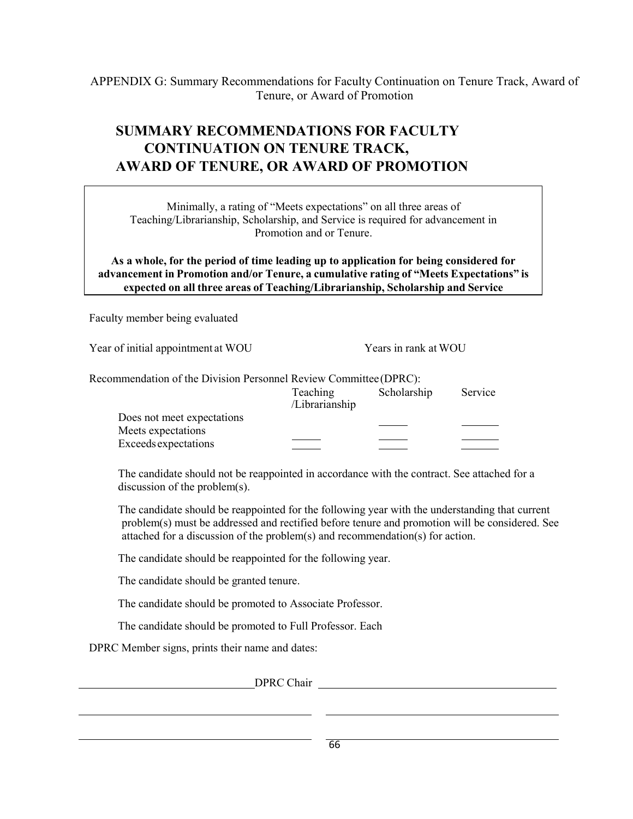APPENDIX G: Summary Recommendations for Faculty Continuation on Tenure Track, Award of Tenure, or Award of Promotion

## **SUMMARY RECOMMENDATIONS FOR FACULTY CONTINUATION ON TENURE TRACK, AWARD OF TENURE, OR AWARD OF PROMOTION**

Minimally, a rating of "Meets expectations" on all three areas of Teaching/Librarianship, Scholarship, and Service is required for advancement in Promotion and or Tenure.

**As a whole, for the period of time leading up to application for being considered for advancement in Promotion and/or Tenure, a cumulative rating of "Meets Expectations" is expected on all three areas of Teaching/Librarianship, Scholarship and Service**

Faculty member being evaluated

Year of initial appointment at WOU Years in rank at WOU

| Recommendation of the Division Personnel Review Committee (DPRC): |          |             |         |
|-------------------------------------------------------------------|----------|-------------|---------|
|                                                                   | Teaching | Scholarship | Service |

|                            | I caculing<br>/Librarianship | <b>SCHOTAL SHIP</b> | <b>DELVICE</b> |
|----------------------------|------------------------------|---------------------|----------------|
| Does not meet expectations |                              |                     |                |
| Meets expectations         |                              |                     |                |
| Exceeds expectations       |                              |                     |                |

The candidate should not be reappointed in accordance with the contract. See attached for a discussion of the problem(s).

The candidate should be reappointed for the following year with the understanding that current problem(s) must be addressed and rectified before tenure and promotion will be considered. See attached for a discussion of the problem(s) and recommendation(s) for action.

The candidate should be reappointed for the following year.

The candidate should be granted tenure.

The candidate should be promoted to Associate Professor.

The candidate should be promoted to Full Professor. Each

DPRC Member signs, prints their name and dates:

DPRC Chair and the state of the state of the state of the state of the state of the state of the state of the state of the state of the state of the state of the state of the state of the state of the state of the state of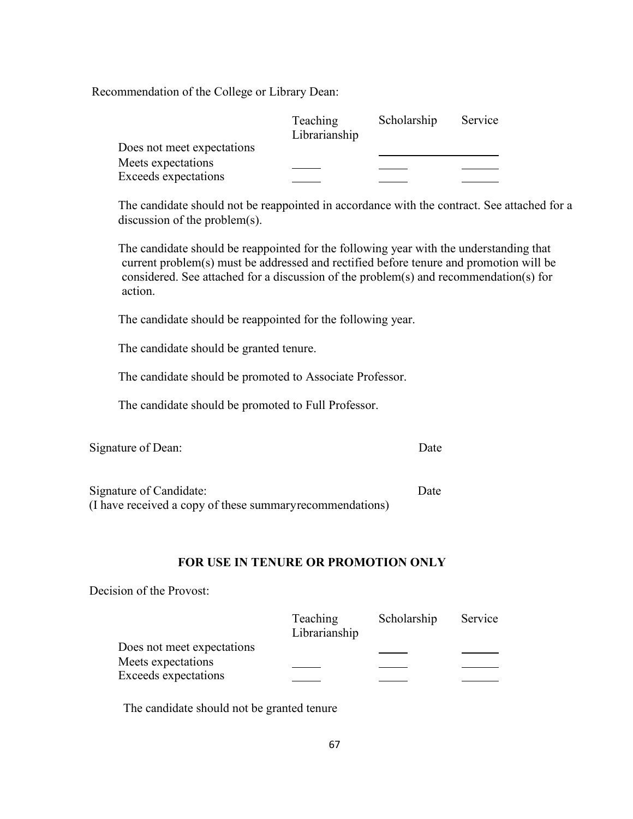Recommendation of the College or Library Dean:

|                             | <b>Teaching</b><br>Librarianship | Scholarship | Service |
|-----------------------------|----------------------------------|-------------|---------|
| Does not meet expectations  |                                  |             |         |
| Meets expectations          |                                  |             |         |
| <b>Exceeds expectations</b> |                                  |             |         |

The candidate should not be reappointed in accordance with the contract. See attached for a discussion of the problem(s).

The candidate should be reappointed for the following year with the understanding that current problem(s) must be addressed and rectified before tenure and promotion will be considered. See attached for a discussion of the problem(s) and recommendation(s) for action.

The candidate should be reappointed for the following year.

The candidate should be granted tenure.

The candidate should be promoted to Associate Professor.

The candidate should be promoted to Full Professor.

| Signature of Dean: | Date |
|--------------------|------|
|                    |      |
|                    |      |

| Signature of Candidate:                                   | Date |
|-----------------------------------------------------------|------|
| (I have received a copy of these summary recommendations) |      |

#### **FOR USE IN TENURE OR PROMOTION ONLY**

Decision of the Provost:

|                            | <b>Teaching</b><br>Librarianship | Scholarship | Service |
|----------------------------|----------------------------------|-------------|---------|
|                            |                                  |             |         |
| Does not meet expectations |                                  |             |         |
| Meets expectations         |                                  |             |         |
| Exceeds expectations       |                                  |             |         |

The candidate should not be granted tenure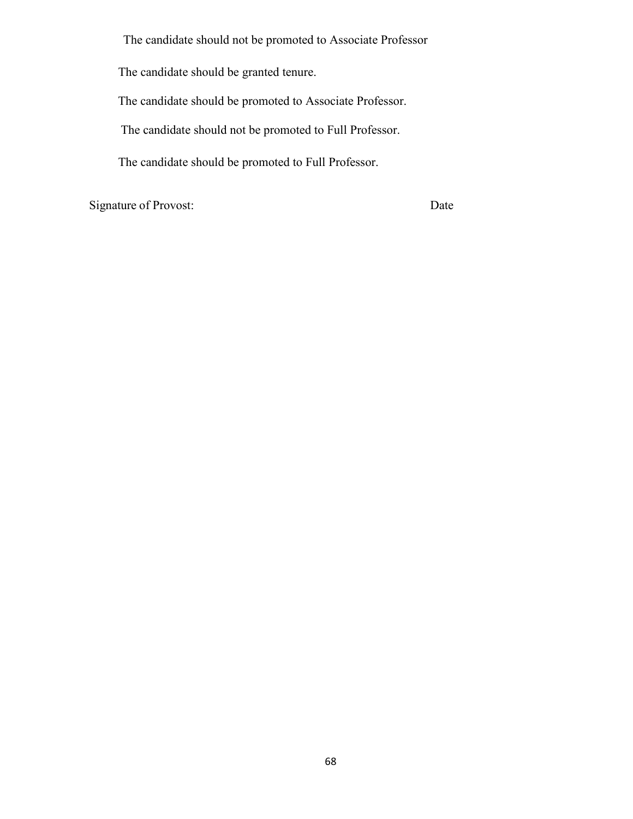The candidate should not be promoted to Associate Professor

The candidate should be granted tenure.

The candidate should be promoted to Associate Professor.

The candidate should not be promoted to Full Professor.

The candidate should be promoted to Full Professor.

Signature of Provost: Date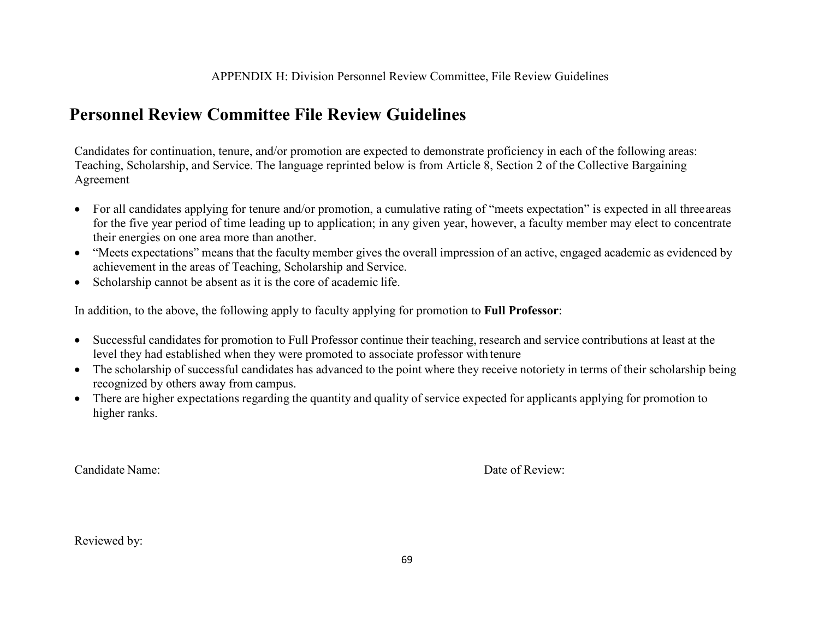## **Personnel Review Committee File Review Guidelines**

Candidates for continuation, tenure, and/or promotion are expected to demonstrate proficiency in each of the following areas: Teaching, Scholarship, and Service. The language reprinted below is from Article 8, Section 2 of the Collective Bargaining Agreement

- For all candidates applying for tenure and/or promotion, a cumulative rating of "meets expectation" is expected in all three areas for the five year period of time leading up to application; in any given year, however, a faculty member may elect to concentrate their energies on one area more than another.
- "Meets expectations" means that the faculty member gives the overall impression of an active, engaged academic as evidenced by achievement in the areas of Teaching, Scholarship and Service.
- Scholarship cannot be absent as it is the core of academic life.

In addition, to the above, the following apply to faculty applying for promotion to **Full Professor**:

- Successful candidates for promotion to Full Professor continue their teaching, research and service contributions at least at the level they had established when they were promoted to associate professor with tenure
- The scholarship of successful candidates has advanced to the point where they receive notoriety in terms of their scholarship being recognized by others away from campus.
- There are higher expectations regarding the quantity and quality of service expected for applicants applying for promotion to higher ranks.

Candidate Name: Date of Review:

Reviewed by: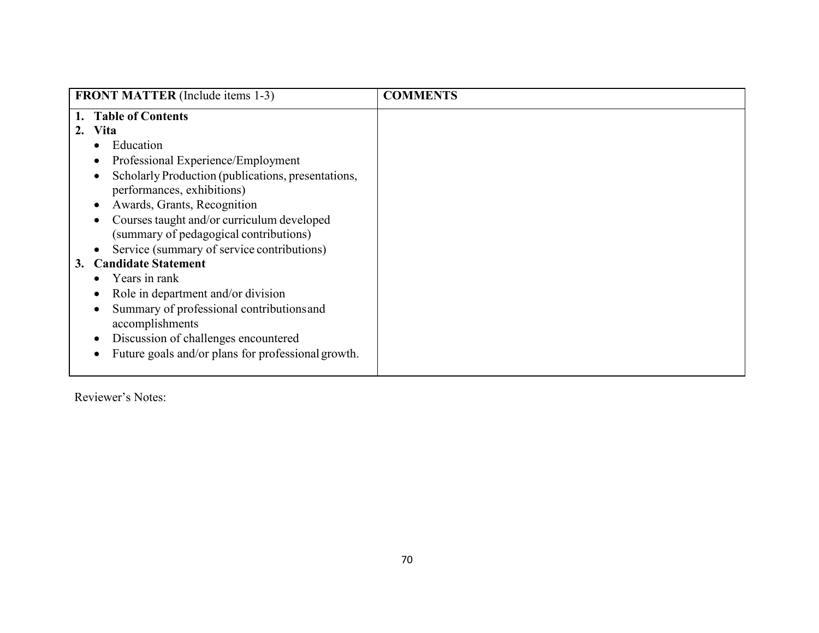| <b>FRONT MATTER</b> (Include items 1-3)            | <b>COMMENTS</b> |
|----------------------------------------------------|-----------------|
| <b>Table of Contents</b>                           |                 |
| Vita                                               |                 |
| Education                                          |                 |
| Professional Experience/Employment                 |                 |
| Scholarly Production (publications, presentations, |                 |
| performances, exhibitions)                         |                 |
| Awards, Grants, Recognition                        |                 |
| Courses taught and/or curriculum developed         |                 |
| (summary of pedagogical contributions)             |                 |
| Service (summary of service contributions)         |                 |
| <b>Candidate Statement</b><br>3.                   |                 |
| Years in rank                                      |                 |
| Role in department and/or division                 |                 |
| Summary of professional contributions and          |                 |
| accomplishments                                    |                 |
| Discussion of challenges encountered               |                 |
| Future goals and/or plans for professional growth. |                 |
|                                                    |                 |

Reviewer's Notes: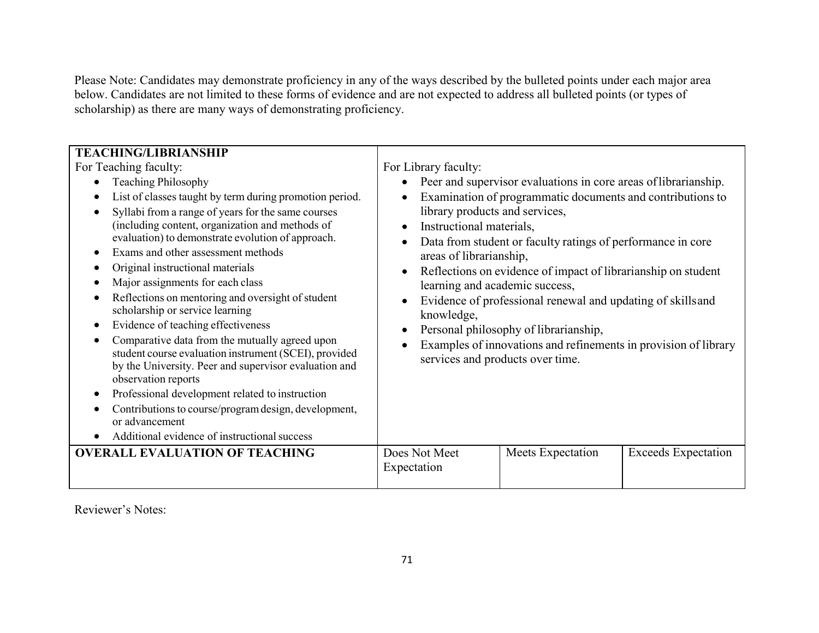Please Note: Candidates may demonstrate proficiency in any of the ways described by the bulleted points under each major area below. Candidates are not limited to these forms of evidence and are not expected to address all bulleted points (or types of scholarship) as there are many ways of demonstrating proficiency.

| <b>TEACHING/LIBRIANSHIP</b>                                                                                                                                                                                                                                                                                                                                                                                                                                                                                                                                                                                                                                                                                                                                                                                                                                                                                                                            |                                                                                                                                                                                                                                 |                                                                                                                                                                                                                                                                                                                                                                                                                                                               |                            |
|--------------------------------------------------------------------------------------------------------------------------------------------------------------------------------------------------------------------------------------------------------------------------------------------------------------------------------------------------------------------------------------------------------------------------------------------------------------------------------------------------------------------------------------------------------------------------------------------------------------------------------------------------------------------------------------------------------------------------------------------------------------------------------------------------------------------------------------------------------------------------------------------------------------------------------------------------------|---------------------------------------------------------------------------------------------------------------------------------------------------------------------------------------------------------------------------------|---------------------------------------------------------------------------------------------------------------------------------------------------------------------------------------------------------------------------------------------------------------------------------------------------------------------------------------------------------------------------------------------------------------------------------------------------------------|----------------------------|
| For Teaching faculty:<br><b>Teaching Philosophy</b><br>List of classes taught by term during promotion period.<br>Syllabi from a range of years for the same courses<br>(including content, organization and methods of<br>evaluation) to demonstrate evolution of approach.<br>Exams and other assessment methods<br>Original instructional materials<br>Major assignments for each class<br>Reflections on mentoring and oversight of student<br>scholarship or service learning<br>Evidence of teaching effectiveness<br>$\bullet$<br>Comparative data from the mutually agreed upon<br>student course evaluation instrument (SCEI), provided<br>by the University. Peer and supervisor evaluation and<br>observation reports<br>Professional development related to instruction<br>Contributions to course/program design, development,<br>or advancement<br>Additional evidence of instructional success<br><b>OVERALL EVALUATION OF TEACHING</b> | For Library faculty:<br>library products and services,<br>Instructional materials,<br>areas of librarianship,<br>$\bullet$<br>learning and academic success,<br>knowledge,<br>services and products over time.<br>Does Not Meet | Peer and supervisor evaluations in core areas of librarianship.<br>Examination of programmatic documents and contributions to<br>Data from student or faculty ratings of performance in core<br>Reflections on evidence of impact of librarianship on student<br>Evidence of professional renewal and updating of skills and<br>Personal philosophy of librarianship,<br>Examples of innovations and refinements in provision of library<br>Meets Expectation | <b>Exceeds Expectation</b> |
|                                                                                                                                                                                                                                                                                                                                                                                                                                                                                                                                                                                                                                                                                                                                                                                                                                                                                                                                                        | Expectation                                                                                                                                                                                                                     |                                                                                                                                                                                                                                                                                                                                                                                                                                                               |                            |

Reviewer's Notes: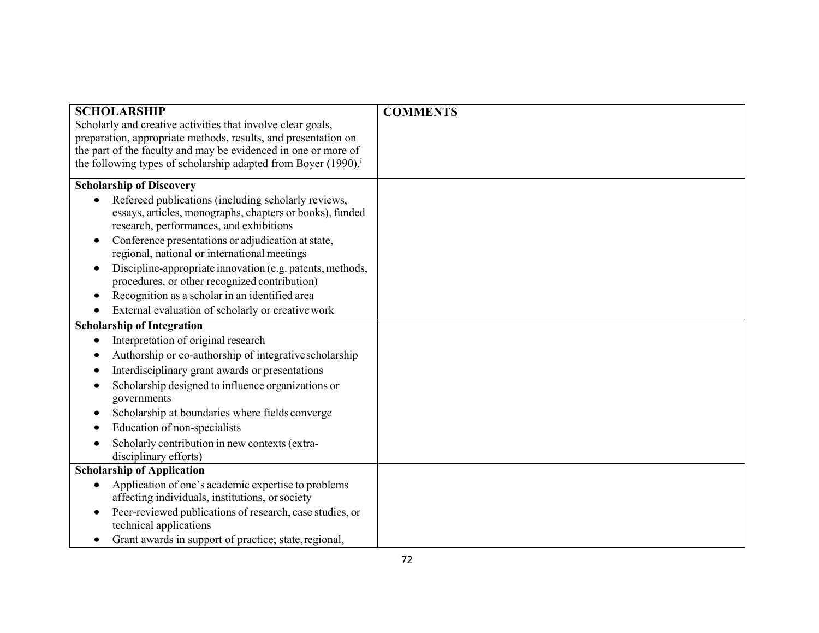| <b>SCHOLARSHIP</b>                                                         | <b>COMMENTS</b> |
|----------------------------------------------------------------------------|-----------------|
| Scholarly and creative activities that involve clear goals,                |                 |
| preparation, appropriate methods, results, and presentation on             |                 |
| the part of the faculty and may be evidenced in one or more of             |                 |
| the following types of scholarship adapted from Boyer (1990). <sup>i</sup> |                 |
| <b>Scholarship of Discovery</b>                                            |                 |
| Refereed publications (including scholarly reviews,                        |                 |
| essays, articles, monographs, chapters or books), funded                   |                 |
| research, performances, and exhibitions                                    |                 |
| Conference presentations or adjudication at state,                         |                 |
| regional, national or international meetings                               |                 |
| Discipline-appropriate innovation (e.g. patents, methods,                  |                 |
| procedures, or other recognized contribution)                              |                 |
| Recognition as a scholar in an identified area<br>$\bullet$                |                 |
| External evaluation of scholarly or creative work                          |                 |
| <b>Scholarship of Integration</b>                                          |                 |
| Interpretation of original research                                        |                 |
| Authorship or co-authorship of integrative scholarship                     |                 |
| Interdisciplinary grant awards or presentations                            |                 |
| Scholarship designed to influence organizations or                         |                 |
| governments                                                                |                 |
| Scholarship at boundaries where fields converge<br>$\bullet$               |                 |
| Education of non-specialists                                               |                 |
| Scholarly contribution in new contexts (extra-                             |                 |
| disciplinary efforts)                                                      |                 |
| <b>Scholarship of Application</b>                                          |                 |
| Application of one's academic expertise to problems                        |                 |
| affecting individuals, institutions, or society                            |                 |
| Peer-reviewed publications of research, case studies, or                   |                 |
| technical applications                                                     |                 |
| Grant awards in support of practice; state, regional,                      |                 |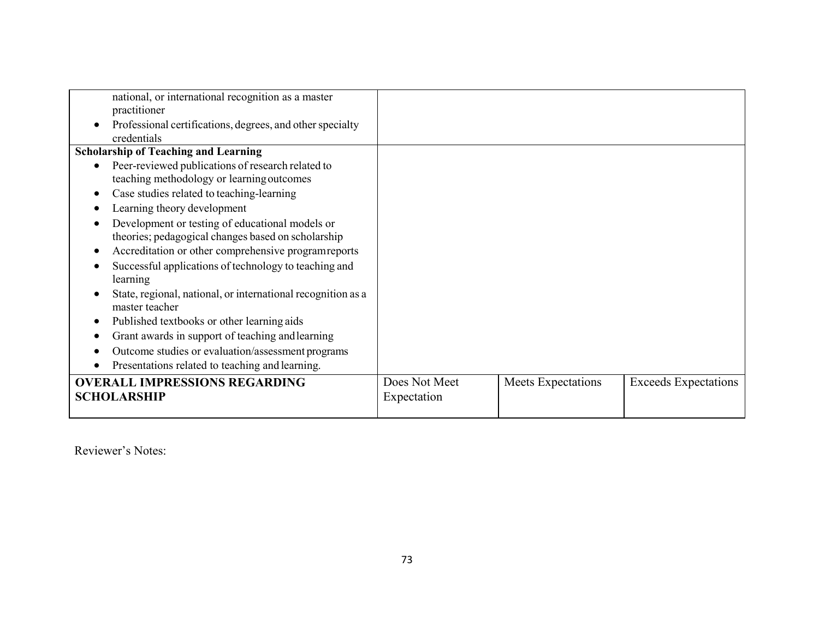| national, or international recognition as a master                             |               |                    |                             |
|--------------------------------------------------------------------------------|---------------|--------------------|-----------------------------|
| practitioner                                                                   |               |                    |                             |
| Professional certifications, degrees, and other specialty                      |               |                    |                             |
| credentials                                                                    |               |                    |                             |
| <b>Scholarship of Teaching and Learning</b>                                    |               |                    |                             |
| Peer-reviewed publications of research related to<br>$\bullet$                 |               |                    |                             |
| teaching methodology or learning outcomes                                      |               |                    |                             |
| Case studies related to teaching-learning                                      |               |                    |                             |
| Learning theory development                                                    |               |                    |                             |
| Development or testing of educational models or                                |               |                    |                             |
| theories; pedagogical changes based on scholarship                             |               |                    |                             |
| Accreditation or other comprehensive program reports                           |               |                    |                             |
| Successful applications of technology to teaching and<br>learning              |               |                    |                             |
| State, regional, national, or international recognition as a<br>master teacher |               |                    |                             |
| Published textbooks or other learning aids                                     |               |                    |                             |
| Grant awards in support of teaching and learning<br>$\bullet$                  |               |                    |                             |
| Outcome studies or evaluation/assessment programs                              |               |                    |                             |
| Presentations related to teaching and learning.                                |               |                    |                             |
| <b>OVERALL IMPRESSIONS REGARDING</b>                                           | Does Not Meet | Meets Expectations | <b>Exceeds Expectations</b> |
| <b>SCHOLARSHIP</b>                                                             | Expectation   |                    |                             |
|                                                                                |               |                    |                             |

Reviewer's Notes: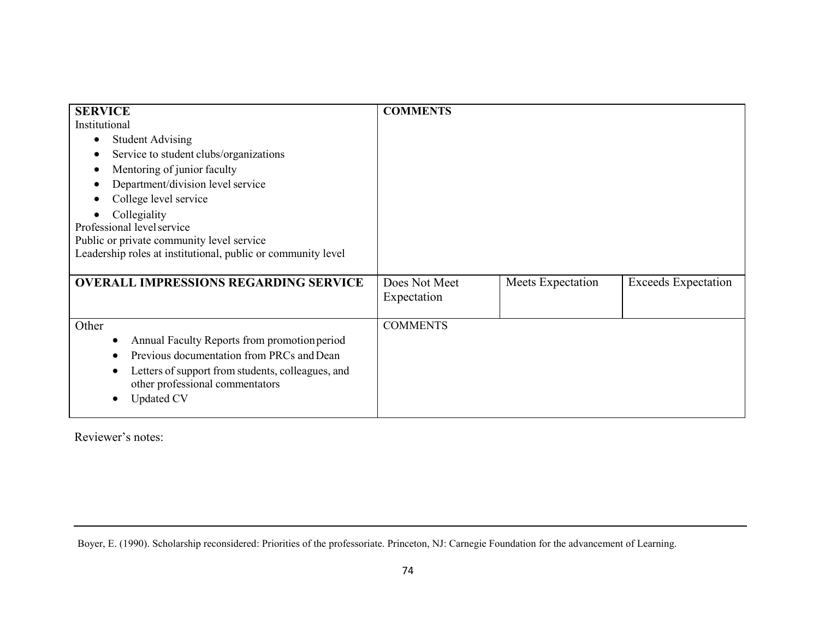| <b>SERVICE</b>                                               | <b>COMMENTS</b> |                   |                            |
|--------------------------------------------------------------|-----------------|-------------------|----------------------------|
| Institutional                                                |                 |                   |                            |
| <b>Student Advising</b>                                      |                 |                   |                            |
| Service to student clubs/organizations                       |                 |                   |                            |
| Mentoring of junior faculty                                  |                 |                   |                            |
| Department/division level service                            |                 |                   |                            |
| College level service                                        |                 |                   |                            |
| Collegiality                                                 |                 |                   |                            |
| Professional level service                                   |                 |                   |                            |
| Public or private community level service                    |                 |                   |                            |
| Leadership roles at institutional, public or community level |                 |                   |                            |
|                                                              |                 |                   |                            |
| <b>OVERALL IMPRESSIONS REGARDING SERVICE</b>                 | Does Not Meet   | Meets Expectation | <b>Exceeds Expectation</b> |
|                                                              | Expectation     |                   |                            |
|                                                              |                 |                   |                            |
| Other                                                        | <b>COMMENTS</b> |                   |                            |
| Annual Faculty Reports from promotion period                 |                 |                   |                            |
| Previous documentation from PRCs and Dean                    |                 |                   |                            |
| Letters of support from students, colleagues, and            |                 |                   |                            |
| other professional commentators                              |                 |                   |                            |
| <b>Updated CV</b>                                            |                 |                   |                            |
|                                                              |                 |                   |                            |

Reviewer's notes:

Boyer, E. (1990). Scholarship reconsidered: Priorities of the professoriate. Princeton, NJ: Carnegie Foundation for the advancement of Learning.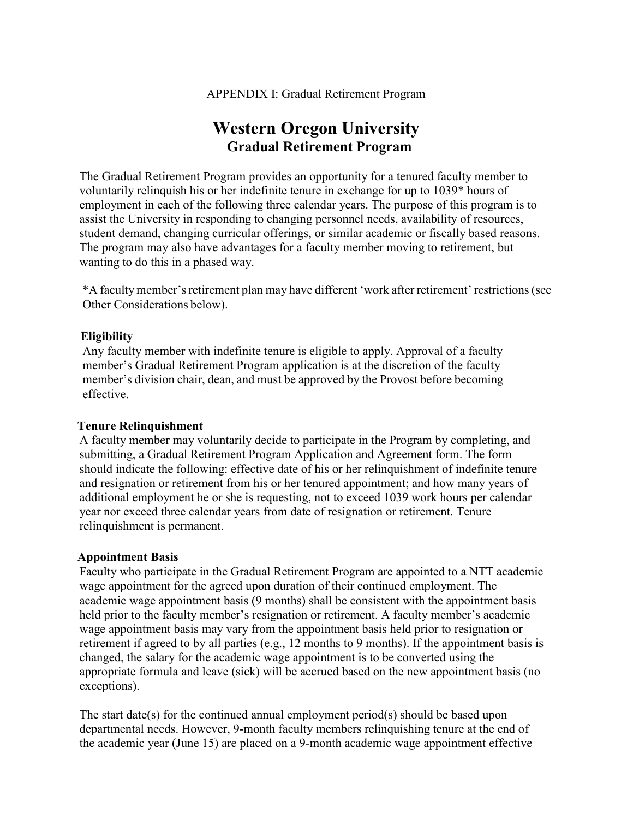# **Western Oregon University Gradual Retirement Program**

The Gradual Retirement Program provides an opportunity for a tenured faculty member to voluntarily relinquish his or her indefinite tenure in exchange for up to 1039\* hours of employment in each of the following three calendar years. The purpose of this program is to assist the University in responding to changing personnel needs, availability of resources, student demand, changing curricular offerings, or similar academic or fiscally based reasons. The program may also have advantages for a faculty member moving to retirement, but wanting to do this in a phased way.

\*A faculty member'sretirement plan may have different 'work after retirement' restrictions(see Other Considerations below).

#### **Eligibility**

Any faculty member with indefinite tenure is eligible to apply. Approval of a faculty member's Gradual Retirement Program application is at the discretion of the faculty member's division chair, dean, and must be approved by the Provost before becoming effective.

#### **Tenure Relinquishment**

A faculty member may voluntarily decide to participate in the Program by completing, and submitting, a Gradual Retirement Program Application and Agreement form. The form should indicate the following: effective date of his or her relinquishment of indefinite tenure and resignation or retirement from his or her tenured appointment; and how many years of additional employment he or she is requesting, not to exceed 1039 work hours per calendar year nor exceed three calendar years from date of resignation or retirement. Tenure relinquishment is permanent.

# **Appointment Basis**

Faculty who participate in the Gradual Retirement Program are appointed to a NTT academic wage appointment for the agreed upon duration of their continued employment. The academic wage appointment basis (9 months) shall be consistent with the appointment basis held prior to the faculty member's resignation or retirement. A faculty member's academic wage appointment basis may vary from the appointment basis held prior to resignation or retirement if agreed to by all parties (e.g., 12 months to 9 months). If the appointment basis is changed, the salary for the academic wage appointment is to be converted using the appropriate formula and leave (sick) will be accrued based on the new appointment basis (no exceptions).

The start date(s) for the continued annual employment period(s) should be based upon departmental needs. However, 9-month faculty members relinquishing tenure at the end of the academic year (June 15) are placed on a 9-month academic wage appointment effective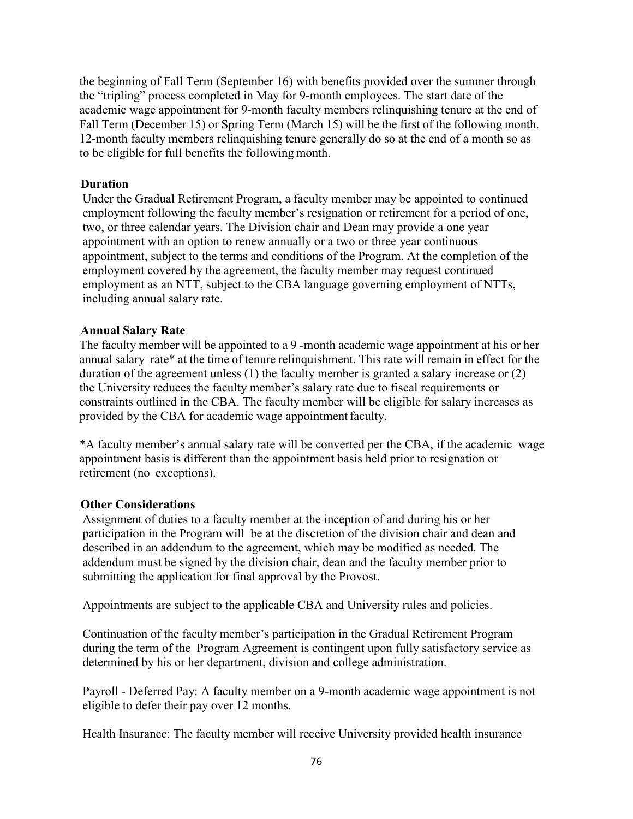the beginning of Fall Term (September 16) with benefits provided over the summer through the "tripling" process completed in May for 9-month employees. The start date of the academic wage appointment for 9-month faculty members relinquishing tenure at the end of Fall Term (December 15) or Spring Term (March 15) will be the first of the following month. 12-month faculty members relinquishing tenure generally do so at the end of a month so as to be eligible for full benefits the following month.

#### **Duration**

Under the Gradual Retirement Program, a faculty member may be appointed to continued employment following the faculty member's resignation or retirement for a period of one, two, or three calendar years. The Division chair and Dean may provide a one year appointment with an option to renew annually or a two or three year continuous appointment, subject to the terms and conditions of the Program. At the completion of the employment covered by the agreement, the faculty member may request continued employment as an NTT, subject to the CBA language governing employment of NTTs, including annual salary rate.

#### **Annual Salary Rate**

The faculty member will be appointed to a 9 -month academic wage appointment at his or her annual salary rate\* at the time of tenure relinquishment. This rate will remain in effect for the duration of the agreement unless (1) the faculty member is granted a salary increase or (2) the University reduces the faculty member's salary rate due to fiscal requirements or constraints outlined in the CBA. The faculty member will be eligible for salary increases as provided by the CBA for academic wage appointment faculty.

\*A faculty member's annual salary rate will be converted per the CBA, if the academic wage appointment basis is different than the appointment basis held prior to resignation or retirement (no exceptions).

#### **Other Considerations**

Assignment of duties to a faculty member at the inception of and during his or her participation in the Program will be at the discretion of the division chair and dean and described in an addendum to the agreement, which may be modified as needed. The addendum must be signed by the division chair, dean and the faculty member prior to submitting the application for final approval by the Provost.

Appointments are subject to the applicable CBA and University rules and policies.

Continuation of the faculty member's participation in the Gradual Retirement Program during the term of the Program Agreement is contingent upon fully satisfactory service as determined by his or her department, division and college administration.

Payroll - Deferred Pay: A faculty member on a 9-month academic wage appointment is not eligible to defer their pay over 12 months.

Health Insurance: The faculty member will receive University provided health insurance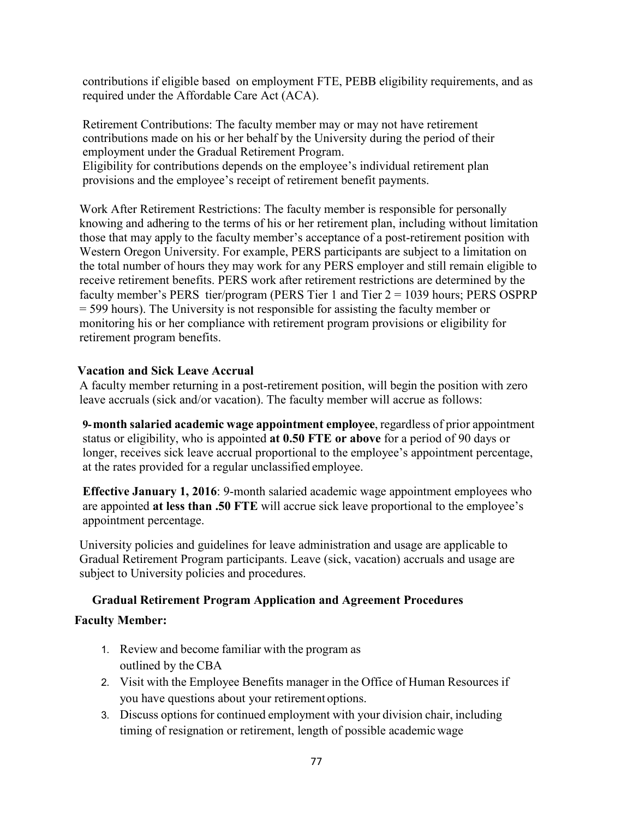contributions if eligible based on employment FTE, PEBB eligibility requirements, and as required under the Affordable Care Act (ACA).

Retirement Contributions: The faculty member may or may not have retirement contributions made on his or her behalf by the University during the period of their employment under the Gradual Retirement Program. Eligibility for contributions depends on the employee's individual retirement plan

provisions and the employee's receipt of retirement benefit payments.

Work After Retirement Restrictions: The faculty member is responsible for personally knowing and adhering to the terms of his or her retirement plan, including without limitation those that may apply to the faculty member's acceptance of a post-retirement position with Western Oregon University. For example, PERS participants are subject to a limitation on the total number of hours they may work for any PERS employer and still remain eligible to receive retirement benefits. PERS work after retirement restrictions are determined by the faculty member's PERS tier/program (PERS Tier 1 and Tier 2 = 1039 hours; PERS OSPRP = 599 hours). The University is not responsible for assisting the faculty member or monitoring his or her compliance with retirement program provisions or eligibility for retirement program benefits.

# **Vacation and Sick Leave Accrual**

A faculty member returning in a post-retirement position, will begin the position with zero leave accruals (sick and/or vacation). The faculty member will accrue as follows:

**9-month salaried academic wage appointment employee**, regardless of prior appointment status or eligibility, who is appointed **at 0.50 FTE or above** for a period of 90 days or longer, receives sick leave accrual proportional to the employee's appointment percentage, at the rates provided for a regular unclassified employee.

**Effective January 1, 2016**: 9-month salaried academic wage appointment employees who are appointed **at less than .50 FTE** will accrue sick leave proportional to the employee's appointment percentage.

University policies and guidelines for leave administration and usage are applicable to Gradual Retirement Program participants. Leave (sick, vacation) accruals and usage are subject to University policies and procedures.

# **Gradual Retirement Program Application and Agreement Procedures**

# **Faculty Member:**

- 1. Review and become familiar with the program as outlined by the CBA
- 2. Visit with the Employee Benefits manager in the Office of Human Resources if you have questions about your retirement options.
- 3. Discuss options for continued employment with your division chair, including timing of resignation or retirement, length of possible academicwage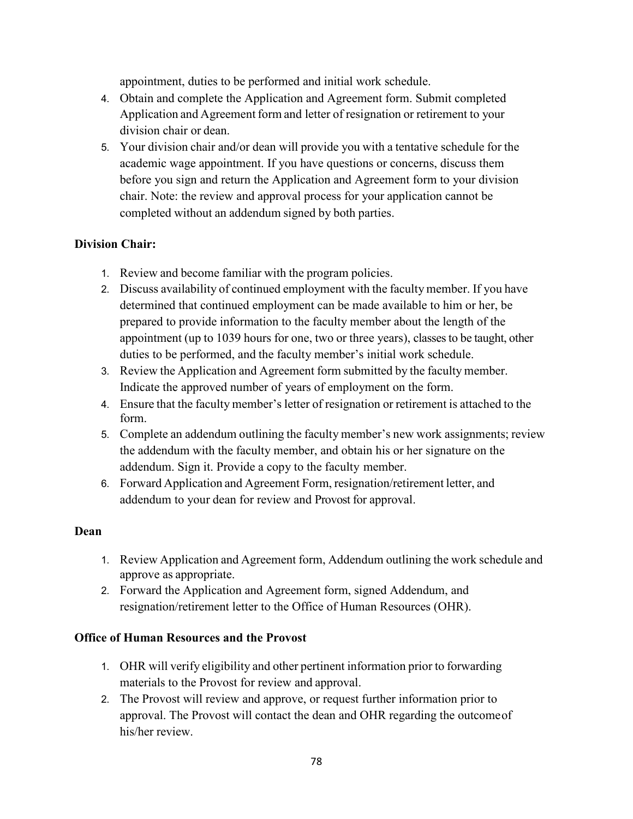appointment, duties to be performed and initial work schedule.

- 4. Obtain and complete the Application and Agreement form. Submit completed Application and Agreement form and letter of resignation or retirement to your division chair or dean.
- 5. Your division chair and/or dean will provide you with a tentative schedule for the academic wage appointment. If you have questions or concerns, discuss them before you sign and return the Application and Agreement form to your division chair. Note: the review and approval process for your application cannot be completed without an addendum signed by both parties.

# **Division Chair:**

- 1. Review and become familiar with the program policies.
- 2. Discuss availability of continued employment with the faculty member. If you have determined that continued employment can be made available to him or her, be prepared to provide information to the faculty member about the length of the appointment (up to 1039 hours for one, two or three years), classesto be taught, other duties to be performed, and the faculty member's initial work schedule.
- 3. Review the Application and Agreement form submitted by the faculty member. Indicate the approved number of years of employment on the form.
- 4. Ensure that the faculty member's letter of resignation or retirement is attached to the form.
- 5. Complete an addendum outlining the faculty member's new work assignments; review the addendum with the faculty member, and obtain his or her signature on the addendum. Sign it. Provide a copy to the faculty member.
- 6. Forward Application and Agreement Form, resignation/retirement letter, and addendum to your dean for review and Provost for approval.

# **Dean**

- 1. Review Application and Agreement form, Addendum outlining the work schedule and approve as appropriate.
- 2. Forward the Application and Agreement form, signed Addendum, and resignation/retirement letter to the Office of Human Resources (OHR).

# **Office of Human Resources and the Provost**

- 1. OHR will verify eligibility and other pertinent information prior to forwarding materials to the Provost for review and approval.
- 2. The Provost will review and approve, or request further information prior to approval. The Provost will contact the dean and OHR regarding the outcomeof his/her review.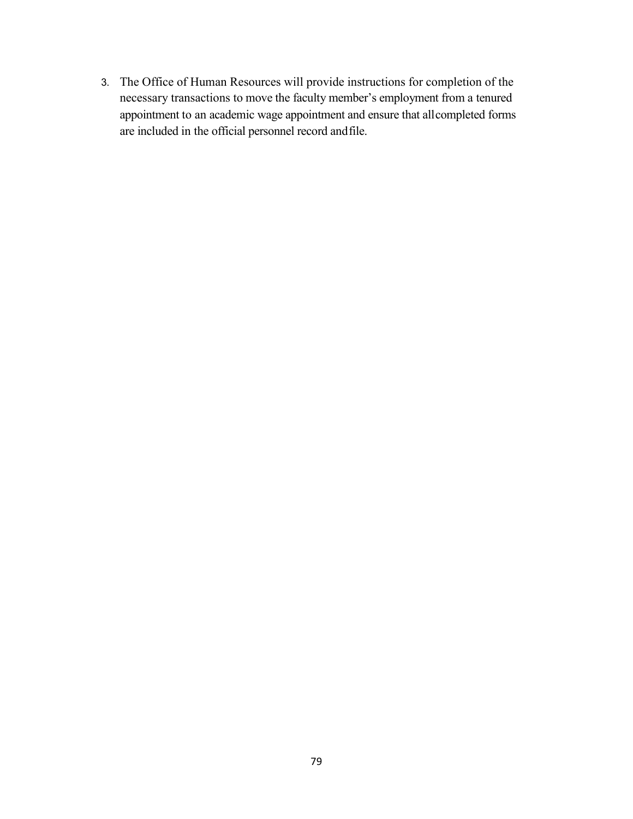3. The Office of Human Resources will provide instructions for completion of the necessary transactions to move the faculty member's employment from a tenured appointment to an academic wage appointment and ensure that allcompleted forms are included in the official personnel record andfile.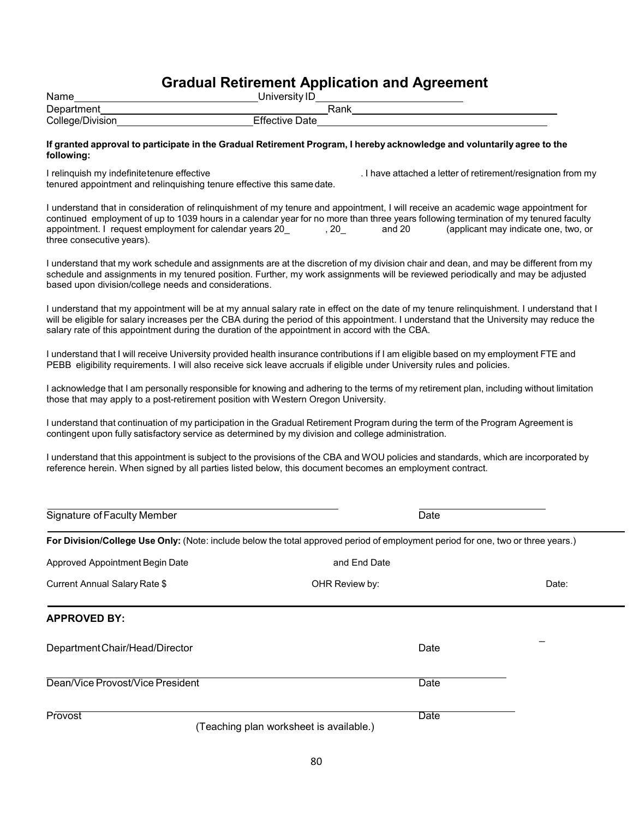# **Gradual Retirement Application and Agreement**

| Name             | University ID         |  |
|------------------|-----------------------|--|
| Department       | Rank                  |  |
| College/Division | <b>Effective Date</b> |  |

#### If granted approval to participate in the Gradual Retirement Program, I hereby acknowledge and voluntarily agree to the **following:**

I relinquish my indefinitetenure effective ... I have attached a letter of retirement/resignation from my

tenured appointment and relinquishing tenure effective this samedate.

I understand that in consideration of relinquishment of my tenure and appointment, I will receive an academic wage appointment for continued employment of up to 1039 hours in a calendar year for no more than three years following termination of my tenured faculty appointment. I request employment for calendar years 20 , 20 , 20 and 20 (applicant may indicate one, two, or three consecutive years).

I understand that my work schedule and assignments are at the discretion of my division chair and dean, and may be different from my schedule and assignments in my tenured position. Further, my work assignments will be reviewed periodically and may be adjusted based upon division/college needs and considerations.

I understand that my appointment will be at my annual salary rate in effect on the date of my tenure relinquishment. I understand that I will be eligible for salary increases per the CBA during the period of this appointment. I understand that the University may reduce the salary rate of this appointment during the duration of the appointment in accord with the CBA.

I understand that I will receive University provided health insurance contributions if I am eligible based on my employment FTE and PEBB eligibility requirements. I will also receive sick leave accruals if eligible under University rules and policies.

I acknowledge that I am personally responsible for knowing and adhering to the terms of my retirement plan, including without limitation those that may apply to a post-retirement position with Western Oregon University.

I understand that continuation of my participation in the Gradual Retirement Program during the term of the Program Agreement is contingent upon fully satisfactory service as determined by my division and college administration.

I understand that this appointment is subject to the provisions of the CBA and WOU policies and standards, which are incorporated by reference herein. When signed by all parties listed below, this document becomes an employment contract.

| Signature of Faculty Member      | Date                                                                                                                             |       |
|----------------------------------|----------------------------------------------------------------------------------------------------------------------------------|-------|
|                                  | For Division/College Use Only: (Note: include below the total approved period of employment period for one, two or three years.) |       |
| Approved Appointment Begin Date  | and End Date                                                                                                                     |       |
| Current Annual Salary Rate \$    | OHR Review by:                                                                                                                   | Date: |
| <b>APPROVED BY:</b>              |                                                                                                                                  |       |
| Department Chair/Head/Director   | Date                                                                                                                             |       |
| Dean/Vice Provost/Vice President | Date                                                                                                                             |       |
| <b>Provost</b>                   | Date<br>(Teaching plan worksheet is available.)                                                                                  |       |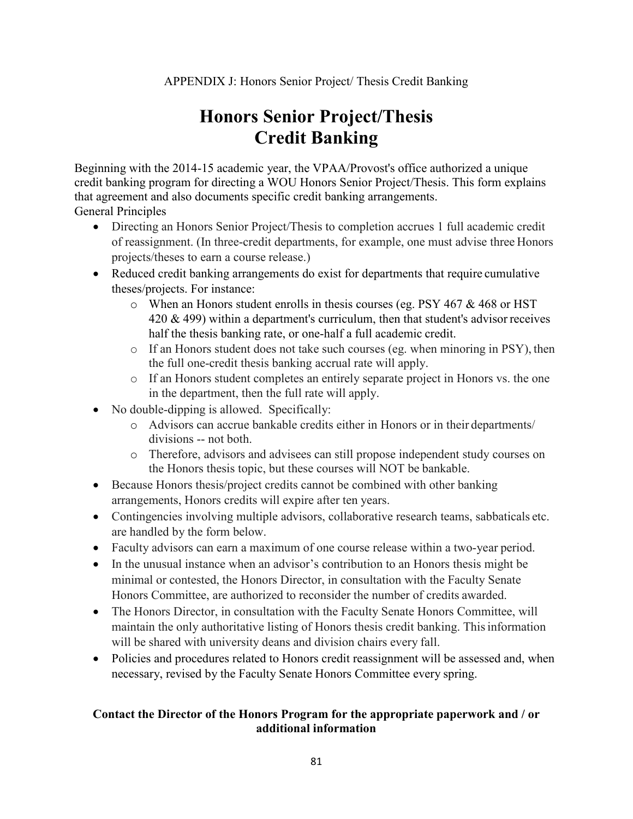# **Honors Senior Project/Thesis Credit Banking**

Beginning with the 2014-15 academic year, the VPAA/Provost's office authorized a unique credit banking program for directing a WOU Honors Senior Project/Thesis. This form explains that agreement and also documents specific credit banking arrangements.

General Principles

- Directing an Honors Senior Project/Thesis to completion accrues 1 full academic credit of reassignment. (In three-credit departments, for example, one must advise three Honors projects/theses to earn a course release.)
- Reduced credit banking arrangements do exist for departments that require cumulative theses/projects. For instance:
	- $\circ$  When an Honors student enrolls in thesis courses (eg. PSY 467 & 468 or HST)  $420 \& 499$ ) within a department's curriculum, then that student's advisor receives half the thesis banking rate, or one-half a full academic credit.
	- o If an Honors student does not take such courses (eg. when minoring in PSY), then the full one-credit thesis banking accrual rate will apply.
	- o If an Honors student completes an entirely separate project in Honors vs. the one in the department, then the full rate will apply.
- No double-dipping is allowed. Specifically:
	- o Advisors can accrue bankable credits either in Honors or in their departments/ divisions -- not both.
	- o Therefore, advisors and advisees can still propose independent study courses on the Honors thesis topic, but these courses will NOT be bankable.
- Because Honors thesis/project credits cannot be combined with other banking arrangements, Honors credits will expire after ten years.
- Contingencies involving multiple advisors, collaborative research teams, sabbaticals etc. are handled by the form below.
- Faculty advisors can earn a maximum of one course release within a two-year period.
- In the unusual instance when an advisor's contribution to an Honors thesis might be minimal or contested, the Honors Director, in consultation with the Faculty Senate Honors Committee, are authorized to reconsider the number of credits awarded.
- The Honors Director, in consultation with the Faculty Senate Honors Committee, will maintain the only authoritative listing of Honors thesis credit banking. Thisinformation will be shared with university deans and division chairs every fall.
- Policies and procedures related to Honors credit reassignment will be assessed and, when necessary, revised by the Faculty Senate Honors Committee every spring.

# **Contact the Director of the Honors Program for the appropriate paperwork and / or additional information**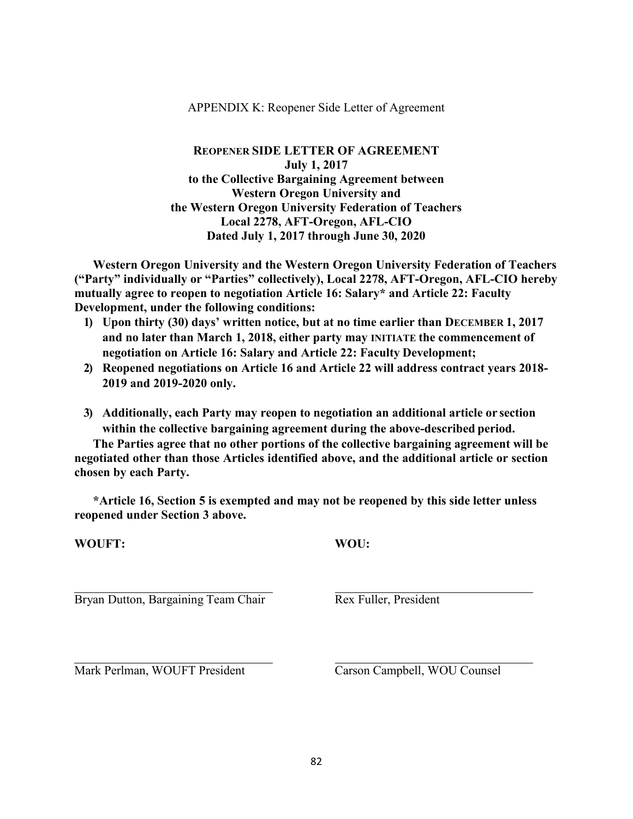#### APPENDIX K: Reopener Side Letter of Agreement

### **REOPENER SIDE LETTER OF AGREEMENT July 1, 2017 to the Collective Bargaining Agreement between Western Oregon University and the Western Oregon University Federation of Teachers Local 2278, AFT-Oregon, AFL-CIO Dated July 1, 2017 through June 30, 2020**

**Western Oregon University and the Western Oregon University Federation of Teachers ("Party" individually or "Parties" collectively), Local 2278, AFT-Oregon, AFL-CIO hereby mutually agree to reopen to negotiation Article 16: Salary\* and Article 22: Faculty Development, under the following conditions:**

- **1) Upon thirty (30) days' written notice, but at no time earlier than DECEMBER 1, 2017 and no later than March 1, 2018, either party may INITIATE the commencement of negotiation on Article 16: Salary and Article 22: Faculty Development;**
- **2) Reopened negotiations on Article 16 and Article 22 will address contract years 2018- 2019 and 2019-2020 only.**
- **3) Additionally, each Party may reopen to negotiation an additional article or section within the collective bargaining agreement during the above-described period.**

**The Parties agree that no other portions of the collective bargaining agreement will be negotiated other than those Articles identified above, and the additional article or section chosen by each Party.**

**\*Article 16, Section 5 is exempted and may not be reopened by this side letter unless reopened under Section 3 above.**

**WOUFT: WOU:**

Bryan Dutton, Bargaining Team Chair Rex Fuller, President

Mark Perlman, WOUFT President Carson Campbell, WOU Counsel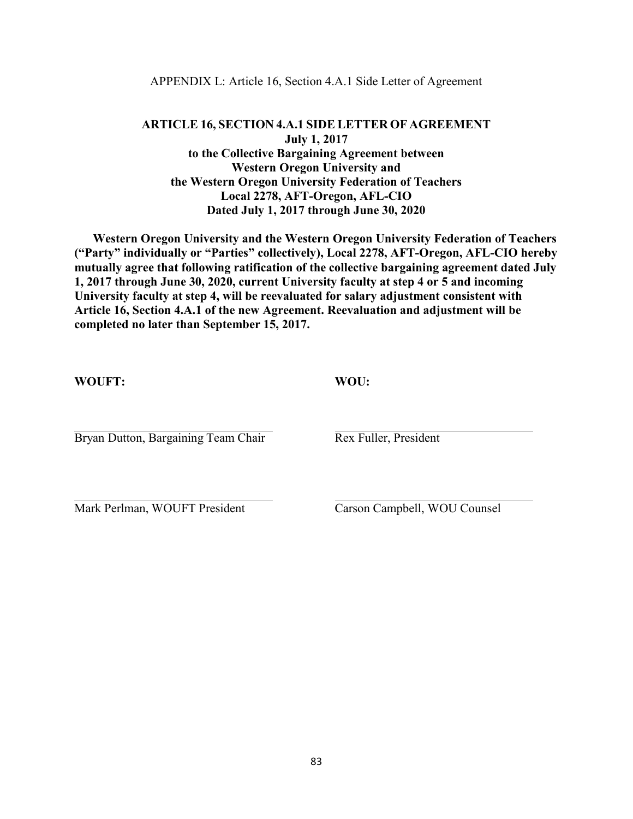#### APPENDIX L: Article 16, Section 4.A.1 Side Letter of Agreement

# **ARTICLE 16, SECTION 4.A.1 SIDE LETTER OF AGREEMENT July 1, 2017 to the Collective Bargaining Agreement between Western Oregon University and the Western Oregon University Federation of Teachers Local 2278, AFT-Oregon, AFL-CIO Dated July 1, 2017 through June 30, 2020**

**Western Oregon University and the Western Oregon University Federation of Teachers ("Party" individually or "Parties" collectively), Local 2278, AFT-Oregon, AFL-CIO hereby mutually agree that following ratification of the collective bargaining agreement dated July 1, 2017 through June 30, 2020, current University faculty at step 4 or 5 and incoming University faculty at step 4, will be reevaluated for salary adjustment consistent with Article 16, Section 4.A.1 of the new Agreement. Reevaluation and adjustment will be completed no later than September 15, 2017.**

**WOUFT: WOU:**

Bryan Dutton, Bargaining Team Chair Rex Fuller, President

Mark Perlman, WOUFT President Carson Campbell, WOU Counsel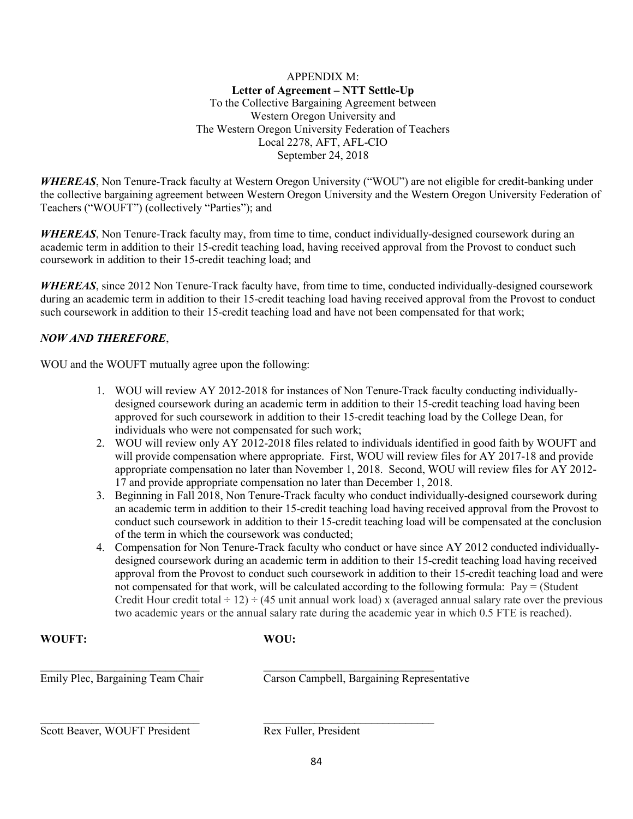#### APPENDIX M: **Letter of Agreement – NTT Settle-Up** To the Collective Bargaining Agreement between Western Oregon University and The Western Oregon University Federation of Teachers Local 2278, AFT, AFL-CIO September 24, 2018

*WHEREAS*, Non Tenure-Track faculty at Western Oregon University ("WOU") are not eligible for credit-banking under the collective bargaining agreement between Western Oregon University and the Western Oregon University Federation of Teachers ("WOUFT") (collectively "Parties"); and

*WHEREAS*, Non Tenure-Track faculty may, from time to time, conduct individually-designed coursework during an academic term in addition to their 15-credit teaching load, having received approval from the Provost to conduct such coursework in addition to their 15-credit teaching load; and

*WHEREAS*, since 2012 Non Tenure-Track faculty have, from time to time, conducted individually-designed coursework during an academic term in addition to their 15-credit teaching load having received approval from the Provost to conduct such coursework in addition to their 15-credit teaching load and have not been compensated for that work;

# *NOW AND THEREFORE*,

WOU and the WOUFT mutually agree upon the following:

- 1. WOU will review AY 2012-2018 for instances of Non Tenure-Track faculty conducting individuallydesigned coursework during an academic term in addition to their 15-credit teaching load having been approved for such coursework in addition to their 15-credit teaching load by the College Dean, for individuals who were not compensated for such work;
- 2. WOU will review only AY 2012-2018 files related to individuals identified in good faith by WOUFT and will provide compensation where appropriate. First, WOU will review files for AY 2017-18 and provide appropriate compensation no later than November 1, 2018. Second, WOU will review files for AY 2012- 17 and provide appropriate compensation no later than December 1, 2018.
- 3. Beginning in Fall 2018, Non Tenure-Track faculty who conduct individually-designed coursework during an academic term in addition to their 15-credit teaching load having received approval from the Provost to conduct such coursework in addition to their 15-credit teaching load will be compensated at the conclusion of the term in which the coursework was conducted;
- 4. Compensation for Non Tenure-Track faculty who conduct or have since AY 2012 conducted individuallydesigned coursework during an academic term in addition to their 15-credit teaching load having received approval from the Provost to conduct such coursework in addition to their 15-credit teaching load and were not compensated for that work, will be calculated according to the following formula: Pay = (Student Credit Hour credit total  $\div$  12)  $\div$  (45 unit annual work load) x (averaged annual salary rate over the previous two academic years or the annual salary rate during the academic year in which 0.5 FTE is reached).

#### **WOUFT: WOU:**

\_\_\_\_\_\_\_\_\_\_\_\_\_\_\_\_\_\_\_\_\_\_\_\_\_\_\_\_ \_\_\_\_\_\_\_\_\_\_\_\_\_\_\_\_\_\_\_\_\_\_\_\_\_\_\_\_\_\_ Emily Plec, Bargaining Team Chair Carson Campbell, Bargaining Representative

Scott Beaver, WOUFT President Rex Fuller, President

\_\_\_\_\_\_\_\_\_\_\_\_\_\_\_\_\_\_\_\_\_\_\_\_\_\_\_\_ \_\_\_\_\_\_\_\_\_\_\_\_\_\_\_\_\_\_\_\_\_\_\_\_\_\_\_\_\_\_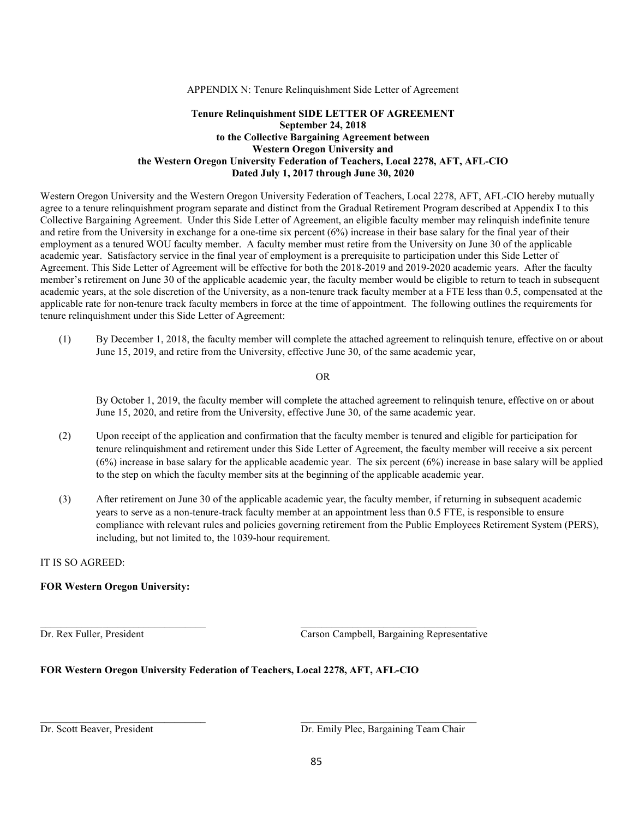APPENDIX N: Tenure Relinquishment Side Letter of Agreement

#### **Tenure Relinquishment SIDE LETTER OF AGREEMENT September 24, 2018 to the Collective Bargaining Agreement between Western Oregon University and the Western Oregon University Federation of Teachers, Local 2278, AFT, AFL-CIO Dated July 1, 2017 through June 30, 2020**

Western Oregon University and the Western Oregon University Federation of Teachers, Local 2278, AFT, AFL-CIO hereby mutually agree to a tenure relinquishment program separate and distinct from the Gradual Retirement Program described at Appendix I to this Collective Bargaining Agreement. Under this Side Letter of Agreement, an eligible faculty member may relinquish indefinite tenure and retire from the University in exchange for a one-time six percent (6%) increase in their base salary for the final year of their employment as a tenured WOU faculty member. A faculty member must retire from the University on June 30 of the applicable academic year. Satisfactory service in the final year of employment is a prerequisite to participation under this Side Letter of Agreement. This Side Letter of Agreement will be effective for both the 2018-2019 and 2019-2020 academic years. After the faculty member's retirement on June 30 of the applicable academic year, the faculty member would be eligible to return to teach in subsequent academic years, at the sole discretion of the University, as a non-tenure track faculty member at a FTE less than 0.5, compensated at the applicable rate for non-tenure track faculty members in force at the time of appointment. The following outlines the requirements for tenure relinquishment under this Side Letter of Agreement:

(1) By December 1, 2018, the faculty member will complete the attached agreement to relinquish tenure, effective on or about June 15, 2019, and retire from the University, effective June 30, of the same academic year,

OR

By October 1, 2019, the faculty member will complete the attached agreement to relinquish tenure, effective on or about June 15, 2020, and retire from the University, effective June 30, of the same academic year.

- (2) Upon receipt of the application and confirmation that the faculty member is tenured and eligible for participation for tenure relinquishment and retirement under this Side Letter of Agreement, the faculty member will receive a six percent (6%) increase in base salary for the applicable academic year. The six percent (6%) increase in base salary will be applied to the step on which the faculty member sits at the beginning of the applicable academic year.
- (3) After retirement on June 30 of the applicable academic year, the faculty member, if returning in subsequent academic years to serve as a non-tenure-track faculty member at an appointment less than 0.5 FTE, is responsible to ensure compliance with relevant rules and policies governing retirement from the Public Employees Retirement System (PERS), including, but not limited to, the 1039-hour requirement.

#### IT IS SO AGREED:

#### **FOR Western Oregon University:**

Dr. Rex Fuller, President Carson Campbell, Bargaining Representative

#### **FOR Western Oregon University Federation of Teachers, Local 2278, AFT, AFL-CIO**

 $\overline{\phantom{a}}$  , and the set of the set of the set of the set of the set of the set of the set of the set of the set of the set of the set of the set of the set of the set of the set of the set of the set of the set of the s

 $\_$  , and the state of the state of the state of the state of the state of the state of the state of the state of the state of the state of the state of the state of the state of the state of the state of the state of the

Dr. Scott Beaver, President Dr. Emily Plec, Bargaining Team Chair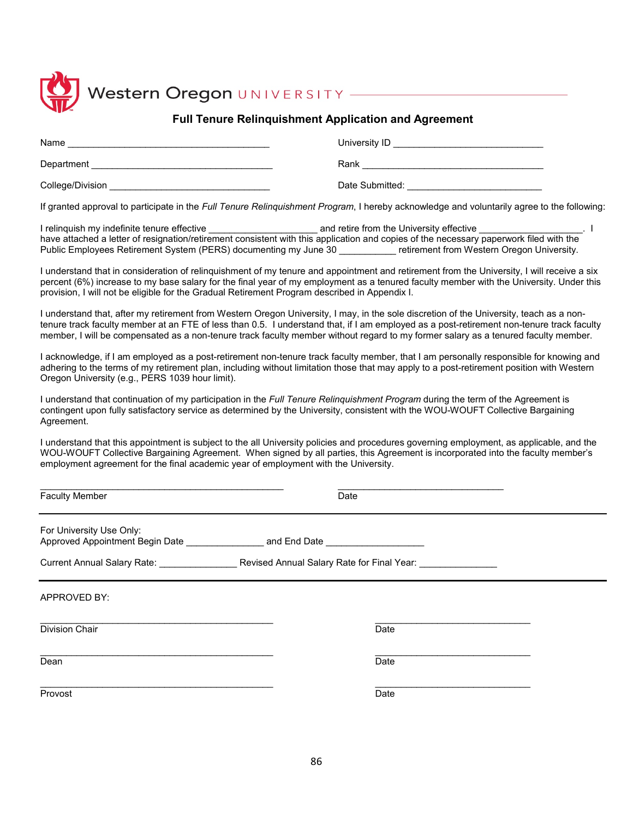

# Western Oregon UNIVERSITY

#### **Full Tenure Relinquishment Application and Agreement**

| Name             | University ID   |
|------------------|-----------------|
| Department       | Rank            |
| College/Division | Date Submitted: |

If granted approval to participate in the *Full Tenure Relinquishment Program*, I hereby acknowledge and voluntarily agree to the following:

I relinquish my indefinite tenure effective \_\_\_\_\_\_\_\_\_\_\_\_\_\_\_\_\_\_\_\_\_\_\_\_ and retire from the University effective \_\_\_\_\_\_\_\_\_\_\_\_\_\_\_\_\_\_. I have attached a letter of resignation/retirement consistent with this application and copies of the necessary paperwork filed with the Public Employees Retirement System (PERS) documenting my June 30 **Example 19 Feralt From Western Oregon University.** 

I understand that in consideration of relinquishment of my tenure and appointment and retirement from the University, I will receive a six percent (6%) increase to my base salary for the final year of my employment as a tenured faculty member with the University. Under this provision, I will not be eligible for the Gradual Retirement Program described in Appendix I.

I understand that, after my retirement from Western Oregon University, I may, in the sole discretion of the University, teach as a nontenure track faculty member at an FTE of less than 0.5. I understand that, if I am employed as a post-retirement non-tenure track faculty member, I will be compensated as a non-tenure track faculty member without regard to my former salary as a tenured faculty member.

I acknowledge, if I am employed as a post-retirement non-tenure track faculty member, that I am personally responsible for knowing and adhering to the terms of my retirement plan, including without limitation those that may apply to a post-retirement position with Western Oregon University (e.g., PERS 1039 hour limit).

I understand that continuation of my participation in the *Full Tenure Relinquishment Program* during the term of the Agreement is contingent upon fully satisfactory service as determined by the University, consistent with the WOU-WOUFT Collective Bargaining Agreement.

I understand that this appointment is subject to the all University policies and procedures governing employment, as applicable, and the WOU-WOUFT Collective Bargaining Agreement. When signed by all parties, this Agreement is incorporated into the faculty member's employment agreement for the final academic year of employment with the University.

| <b>Faculty Member</b>                                                                                      | Date |
|------------------------------------------------------------------------------------------------------------|------|
| For University Use Only:                                                                                   |      |
| Current Annual Salary Rate: _____________________Revised Annual Salary Rate for Final Year: ______________ |      |
| APPROVED BY:                                                                                               |      |
| Division Chair                                                                                             | Date |
| Dean                                                                                                       | Date |
| Provost                                                                                                    | Date |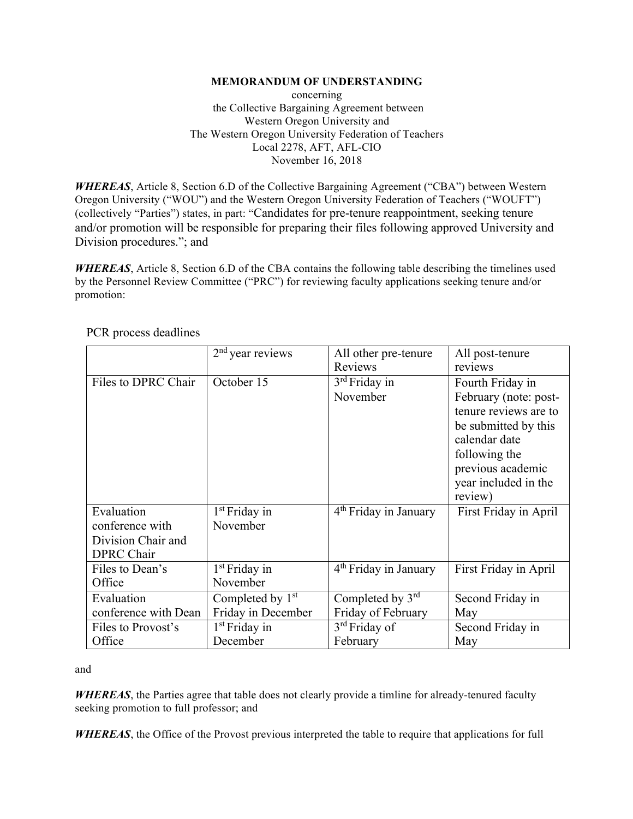#### **MEMORANDUM OF UNDERSTANDING**

concerning the Collective Bargaining Agreement between Western Oregon University and The Western Oregon University Federation of Teachers Local 2278, AFT, AFL-CIO November 16, 2018

*WHEREAS*, Article 8, Section 6.D of the Collective Bargaining Agreement ("CBA") between Western Oregon University ("WOU") and the Western Oregon University Federation of Teachers ("WOUFT") (collectively "Parties") states, in part: "Candidates for pre-tenure reappointment, seeking tenure and/or promotion will be responsible for preparing their files following approved University and Division procedures."; and

*WHEREAS*, Article 8, Section 6.D of the CBA contains the following table describing the timelines used by the Personnel Review Committee ("PRC") for reviewing faculty applications seeking tenure and/or promotion:

|                      | $2nd$ year reviews           | All other pre-tenure      | All post-tenure       |
|----------------------|------------------------------|---------------------------|-----------------------|
|                      |                              | <b>Reviews</b>            | reviews               |
| Files to DPRC Chair  | October 15                   | 3 <sup>rd</sup> Friday in | Fourth Friday in      |
|                      |                              | November                  | February (note: post- |
|                      |                              |                           | tenure reviews are to |
|                      |                              |                           | be submitted by this  |
|                      |                              |                           | calendar date         |
|                      |                              |                           | following the         |
|                      |                              |                           | previous academic     |
|                      |                              |                           | year included in the  |
|                      |                              |                           | review)               |
| Evaluation           | $1st$ Friday in              | $4th$ Friday in January   | First Friday in April |
| conference with      | November                     |                           |                       |
| Division Chair and   |                              |                           |                       |
| <b>DPRC</b> Chair    |                              |                           |                       |
| Files to Dean's      | $1st$ Friday in              | $4th$ Friday in January   | First Friday in April |
| Office               | November                     |                           |                       |
| Evaluation           | Completed by 1 <sup>st</sup> | Completed by 3rd          | Second Friday in      |
| conference with Dean | Friday in December           | Friday of February        | May                   |
| Files to Provost's   | $1st$ Friday in              | 3 <sup>rd</sup> Friday of | Second Friday in      |
| Office               | December                     | February                  | May                   |

PCR process deadlines

and

*WHEREAS*, the Parties agree that table does not clearly provide a timline for already-tenured faculty seeking promotion to full professor; and

*WHEREAS*, the Office of the Provost previous interpreted the table to require that applications for full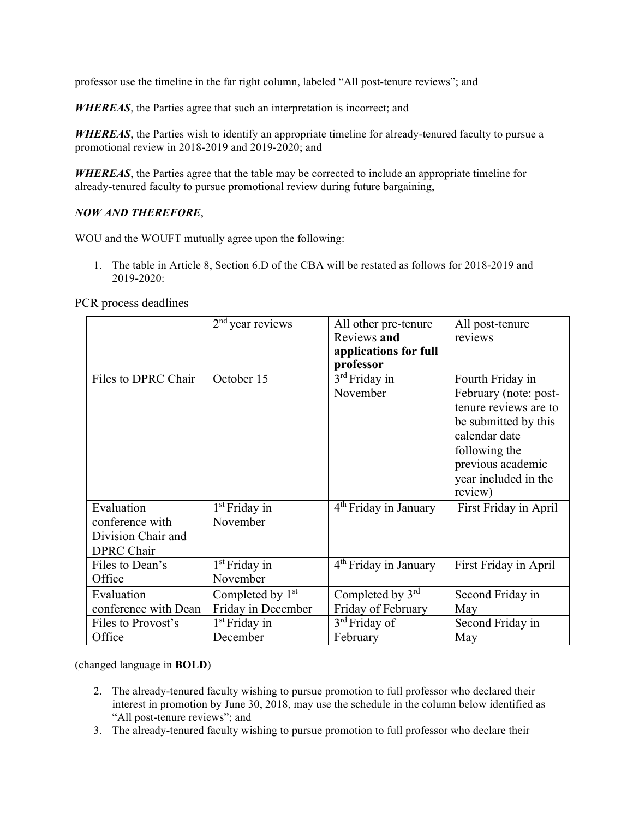professor use the timeline in the far right column, labeled "All post-tenure reviews"; and

*WHEREAS*, the Parties agree that such an interpretation is incorrect; and

*WHEREAS*, the Parties wish to identify an appropriate timeline for already-tenured faculty to pursue a promotional review in 2018-2019 and 2019-2020; and

*WHEREAS*, the Parties agree that the table may be corrected to include an appropriate timeline for already-tenured faculty to pursue promotional review during future bargaining,

#### *NOW AND THEREFORE*,

WOU and the WOUFT mutually agree upon the following:

1. The table in Article 8, Section 6.D of the CBA will be restated as follows for 2018-2019 and 2019-2020:

PCR process deadlines

|                      | $2nd$ year reviews           | All other pre-tenure              | All post-tenure       |
|----------------------|------------------------------|-----------------------------------|-----------------------|
|                      |                              | Reviews and                       | reviews               |
|                      |                              | applications for full             |                       |
|                      |                              | professor                         |                       |
| Files to DPRC Chair  | October 15                   | 3 <sup>rd</sup> Friday in         | Fourth Friday in      |
|                      |                              | November                          | February (note: post- |
|                      |                              |                                   | tenure reviews are to |
|                      |                              |                                   | be submitted by this  |
|                      |                              |                                   | calendar date         |
|                      |                              |                                   | following the         |
|                      |                              |                                   | previous academic     |
|                      |                              |                                   | year included in the  |
|                      |                              |                                   | review)               |
| Evaluation           | $1st$ Friday in              | 4 <sup>th</sup> Friday in January | First Friday in April |
| conference with      | November                     |                                   |                       |
| Division Chair and   |                              |                                   |                       |
| <b>DPRC</b> Chair    |                              |                                   |                       |
| Files to Dean's      | 1 <sup>st</sup> Friday in    | 4 <sup>th</sup> Friday in January | First Friday in April |
| Office               | November                     |                                   |                       |
| Evaluation           | Completed by 1 <sup>st</sup> | Completed by $3rd$                | Second Friday in      |
| conference with Dean | Friday in December           | Friday of February                | May                   |
| Files to Provost's   | 1 <sup>st</sup> Friday in    | 3 <sup>rd</sup> Friday of         | Second Friday in      |
| Office               | December                     | February                          | May                   |

(changed language in **BOLD**)

- 2. The already-tenured faculty wishing to pursue promotion to full professor who declared their interest in promotion by June 30, 2018, may use the schedule in the column below identified as "All post-tenure reviews"; and
- 3. The already-tenured faculty wishing to pursue promotion to full professor who declare their